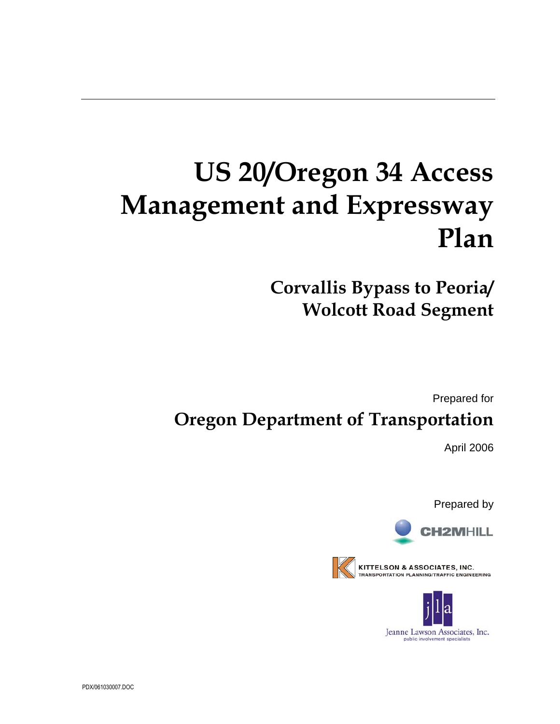# **US 20/Oregon 34 Access Management and Expressway Plan**

**Corvallis Bypass to Peoria/ Wolcott Road Segment** 

Prepared for **Oregon Department of Transportation** 

April 2006

Prepared by





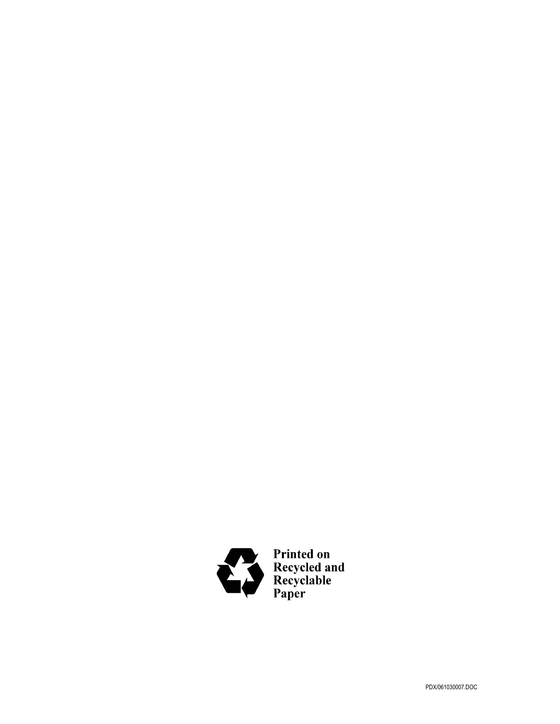

Printed on<br>Recycled and<br>Recyclable<br>Paper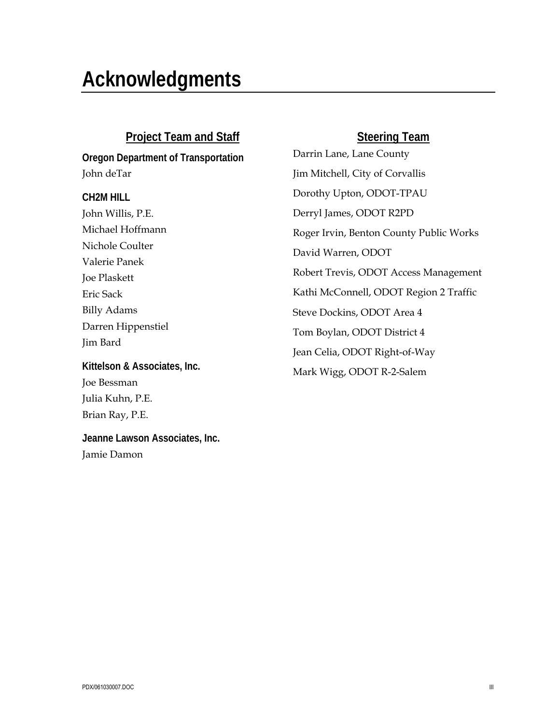## **Acknowledgments**

### **Project Team and Staff**

**Oregon Department of Transportation**  John deTar

**CH2M HILL**  John Willis, P.E. Michael Hoffmann Nichole Coulter Valerie Panek Joe Plaskett Eric Sack Billy Adams Darren Hippenstiel Jim Bard

**Kittelson & Associates, Inc.**  Joe Bessman Julia Kuhn, P.E. Brian Ray, P.E.

**Jeanne Lawson Associates, Inc.**  Jamie Damon

#### **Steering Team**

Darrin Lane, Lane County Jim Mitchell, City of Corvallis Dorothy Upton, ODOT-TPAU Derryl James, ODOT R2PD Roger Irvin, Benton County Public Works David Warren, ODOT Robert Trevis, ODOT Access Management Kathi McConnell, ODOT Region 2 Traffic Steve Dockins, ODOT Area 4 Tom Boylan, ODOT District 4 Jean Celia, ODOT Right-of-Way Mark Wigg, ODOT R-2-Salem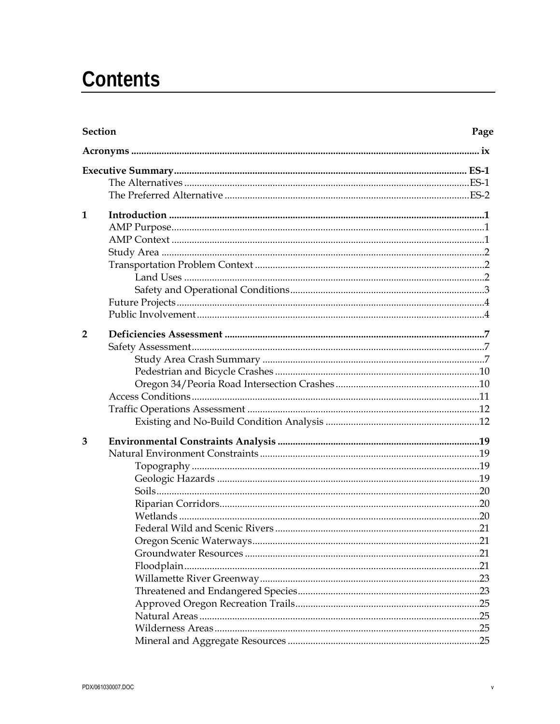## **Contents**

| Section | Page |
|---------|------|
|         |      |
|         |      |
|         |      |
|         |      |
| 1       |      |
|         |      |
|         |      |
|         |      |
|         |      |
|         |      |
|         |      |
|         |      |
|         |      |
| 2       |      |
|         |      |
|         |      |
|         |      |
|         |      |
|         |      |
|         |      |
|         |      |
| 3       |      |
|         |      |
|         |      |
|         |      |
|         |      |
|         |      |
|         |      |
|         |      |
|         |      |
|         |      |
|         |      |
|         |      |
|         |      |
|         |      |
|         |      |
|         |      |
|         |      |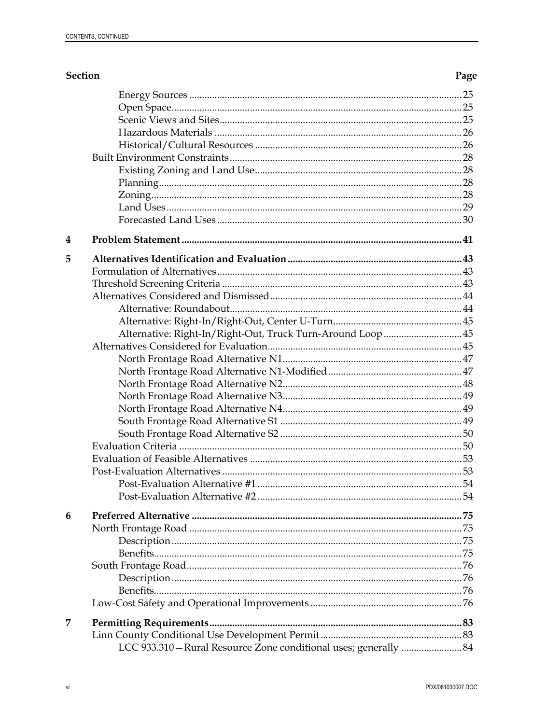| <b>Section</b> |                                                                 | Page |
|----------------|-----------------------------------------------------------------|------|
|                |                                                                 |      |
|                |                                                                 |      |
|                |                                                                 |      |
|                |                                                                 |      |
|                |                                                                 |      |
|                |                                                                 |      |
|                |                                                                 |      |
|                |                                                                 |      |
|                |                                                                 |      |
|                |                                                                 |      |
|                |                                                                 |      |
| 4              |                                                                 |      |
|                |                                                                 |      |
| 5              |                                                                 |      |
|                |                                                                 |      |
|                |                                                                 |      |
|                |                                                                 |      |
|                |                                                                 |      |
|                |                                                                 |      |
|                | Alternative: Right-In/Right-Out, Truck Turn-Around Loop45       |      |
|                |                                                                 |      |
|                |                                                                 |      |
|                |                                                                 |      |
|                |                                                                 |      |
|                |                                                                 |      |
|                |                                                                 |      |
|                |                                                                 |      |
|                |                                                                 |      |
|                |                                                                 |      |
|                |                                                                 |      |
|                |                                                                 |      |
|                |                                                                 |      |
|                |                                                                 |      |
| 6              |                                                                 |      |
|                |                                                                 |      |
|                |                                                                 |      |
|                |                                                                 |      |
|                |                                                                 |      |
|                |                                                                 |      |
|                |                                                                 |      |
|                |                                                                 |      |
| 7              |                                                                 |      |
|                |                                                                 |      |
|                | LCC 933.310-Rural Resource Zone conditional uses; generally  84 |      |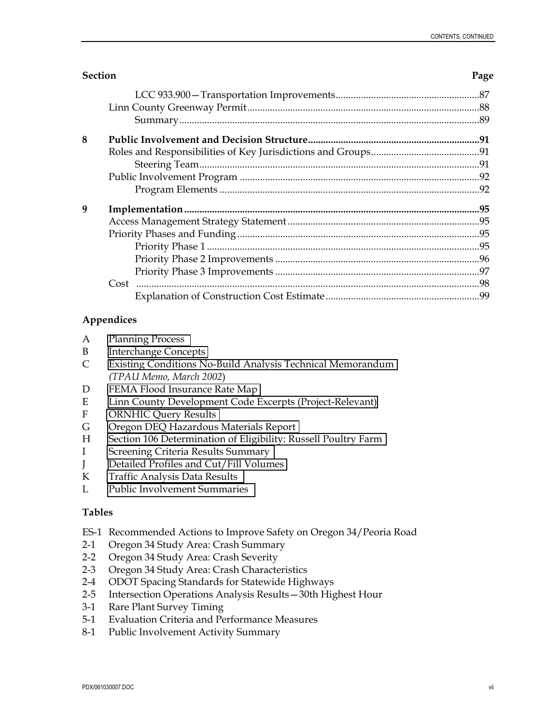| <b>Section</b> | Page |
|----------------|------|
|                |      |
|                |      |
|                |      |
| 8              |      |
|                |      |
|                |      |
|                |      |
|                |      |
| 9              |      |
|                |      |
|                |      |
|                |      |
|                |      |
|                |      |
|                |      |
|                | .99  |

#### **Appendices**

- A [Planning Process](http://www.oregon.gov/ODOT/HWY/REGION2/docs/area4/US20OR34AMEP/US20/Appendix_A.pdf)
- B [Interchange Concepts](http://www.oregon.gov/ODOT/HWY/REGION2/docs/area4/US20OR34AMEP/US20/Appendix_B.pdf)
- C [Existing Conditions No-Build Analysis Technical Memorandum](http://www.oregon.gov/ODOT/HWY/REGION2/docs/area4/US20OR34AMEP/US20/Appendix_C.pdf)  *(TPAU Memo, March 2002*)
- D [FEMA Flood Insurance Rate Map](http://www.oregon.gov/ODOT/HWY/REGION2/docs/area4/US20OR34AMEP/US20/Appendix_D.pdf)
- E [Linn County Development Code Excerpts \(Project-Relevant\)](http://www.oregon.gov/ODOT/HWY/REGION2/docs/area4/US20OR34AMEP/US20/Appendix_E.pdf)
- F [ORNHIC Query Results](http://www.oregon.gov/ODOT/HWY/REGION2/docs/area4/US20OR34AMEP/US20/Appendix_F.pdf)
- G [Oregon DEQ Hazardous Materials Report](http://www.oregon.gov/ODOT/HWY/REGION2/docs/area4/US20OR34AMEP/US20/Appendix_G.pdf)
- H [Section 106 Determination of Eligibility: Russell Poultry Farm](http://www.oregon.gov/ODOT/HWY/REGION2/docs/area4/US20OR34AMEP/US20/Appendix_H.pdf)
- I [Screening Criteria Results Summary](http://www.oregon.gov/ODOT/HWY/REGION2/docs/area4/US20OR34AMEP/US20/Appendix_I.pdf)
- J [Detailed Profiles and Cut/Fill Volumes](http://www.oregon.gov/ODOT/HWY/REGION2/docs/area4/US20OR34AMEP/US20/Appendix_J.pdf)
- K [Traffic Analysis Data Results](http://www.oregon.gov/ODOT/HWY/REGION2/docs/area4/US20OR34AMEP/US20/Appendix_K.pdf)
- L [Public Involvement Summaries](http://www.oregon.gov/ODOT/HWY/REGION2/docs/area4/US20OR34AMEP/US20/Appendix_L.pdf)

#### **Tables**

- ES-1 Recommended Actions to Improve Safety on Oregon 34/Peoria Road
- 2-1 Oregon 34 Study Area: Crash Summary
- 2-2 Oregon 34 Study Area: Crash Severity
- 2-3 Oregon 34 Study Area: Crash Characteristics
- 2-4 ODOT Spacing Standards for Statewide Highways
- 2-5 Intersection Operations Analysis Results—30th Highest Hour
- 3-1 Rare Plant Survey Timing
- 5-1 Evaluation Criteria and Performance Measures
- 8-1 Public Involvement Activity Summary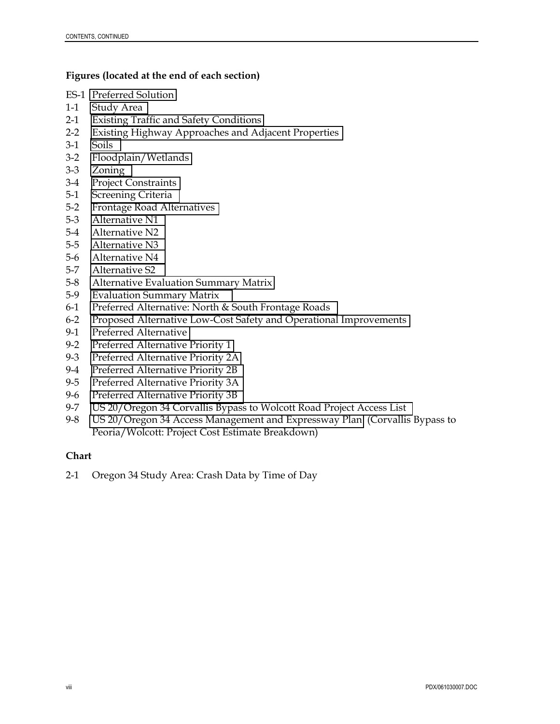#### **Figures (located at the end of each section)**

- ES-1 [Preferred Solution](http://www.oregon.gov/ODOT/HWY/REGION2/docs/area4/US20OR34AMEP/US20/Figure_ES-1.pdf)
- 1-1 [Study Area](http://www.oregon.gov/ODOT/HWY/REGION2/docs/area4/US20OR34AMEP/US20/Figure_1_1.pdf)
- 2-1 [Existing Traffic and Safety Conditions](http://www.oregon.gov/ODOT/HWY/REGION2/docs/area4/US20OR34AMEP/US20/Figure_2_1.pdf)
- 2-2 [Existing Highway Approaches and Adjacent Properties](http://www.oregon.gov/ODOT/HWY/REGION2/docs/area4/US20OR34AMEP/US20/Figure_2_2.pdf)
- 3-1 [Soils](http://www.oregon.gov/ODOT/HWY/REGION2/docs/area4/US20OR34AMEP/US20/Figure_3_1.pdf)
- 3-2 [Floodplain/Wetlands](http://www.oregon.gov/ODOT/HWY/REGION2/docs/area4/US20OR34AMEP/US20/Figure_3_2.pdf)
- 3-3 [Zoning](http://www.oregon.gov/ODOT/HWY/REGION2/docs/area4/US20OR34AMEP/US20/Figure_3_3.pdf)
- 3-4 [Project Constraints](http://www.oregon.gov/ODOT/HWY/REGION2/docs/area4/US20OR34AMEP/US20/Figure_3_4.pdf)
- 5-1 [Screening Criteria](http://www.oregon.gov/ODOT/HWY/REGION2/docs/area4/US20OR34AMEP/US20/Figure_5_1.pdf)
- 5-2 [Frontage Road Alternatives](http://www.oregon.gov/ODOT/HWY/REGION2/docs/area4/US20OR34AMEP/US20/Figure_5_2.pdf)
- 5-3 [Alternative N1](http://www.oregon.gov/ODOT/HWY/REGION2/docs/area4/US20OR34AMEP/US20/Figure_5_3.pdf)
- 5-4 [Alternative N2](http://www.oregon.gov/ODOT/HWY/REGION2/docs/area4/US20OR34AMEP/US20/Figure_5_4.pdf)
- 5-5 [Alternative N3](http://www.oregon.gov/ODOT/HWY/REGION2/docs/area4/US20OR34AMEP/US20/Figure_5_5.pdf)
- 5-6 [Alternative N4](http://www.oregon.gov/ODOT/HWY/REGION2/docs/area4/US20OR34AMEP/US20/Figure_5_6.pdf)
- 5-7 [Alternative S2](http://www.oregon.gov/ODOT/HWY/REGION2/docs/area4/US20OR34AMEP/US20/Figure_5_7.pdf)
- 5-8 [Alternative Evaluation Summary Matrix](http://www.oregon.gov/ODOT/HWY/REGION2/docs/area4/US20OR34AMEP/US20/Figure_5_8.pdf)
- 5-9 [Evaluation Summary Matrix](http://www.oregon.gov/ODOT/HWY/REGION2/docs/area4/US20OR34AMEP/US20/Figure_5_9.pdf)
- 6-1 [Preferred Alternative: North & South Frontage Roads](http://www.oregon.gov/ODOT/HWY/REGION2/docs/area4/US20OR34AMEP/US20/Figure_6_1.pdf)
- 6-2 [Proposed Alternative Low-Cost Safety and Operational Improvements](http://www.oregon.gov/ODOT/HWY/REGION2/docs/area4/US20OR34AMEP/US20/Figure_6_2.pdf)
- 9-1 [Preferred Alternative](http://www.oregon.gov/ODOT/HWY/REGION2/docs/area4/US20OR34AMEP/US20/Figure_9_1.pdf)
- 9-2 [Preferred Alternative Priority 1](http://www.oregon.gov/ODOT/HWY/REGION2/docs/area4/US20OR34AMEP/US20/Figure_9_2.pdf)
- 9-3 [Preferred Alternative Priority 2A](http://www.oregon.gov/ODOT/HWY/REGION2/docs/area4/US20OR34AMEP/US20/Figure_9_3.pdf)
- 9-4 [Preferred Alternative Priority 2B](http://www.oregon.gov/ODOT/HWY/REGION2/docs/area4/US20OR34AMEP/US20/Figure_9_4.pdf)
- 9-5 [Preferred Alternative Priority 3A](http://www.oregon.gov/ODOT/HWY/REGION2/docs/area4/US20OR34AMEP/US20/Figure_9_5.pdf)
- 9-6 [Preferred Alternative Priority 3B](http://www.oregon.gov/ODOT/HWY/REGION2/docs/area4/US20OR34AMEP/US20/Figure_9_6.pdf)
- 9-7 [US 20/Oregon 34 Corvallis Bypass to Wolcott Road Project Access List](http://www.oregon.gov/ODOT/HWY/REGION2/docs/area4/US20OR34AMEP/US20/Figure_9_7.pdf)
- 9-8 [US 20/Oregon 34 Access Management and Expressway Plan](http://www.oregon.gov/ODOT/HWY/REGION2/docs/area4/US20OR34AMEP/US20/Figure_9_8.pdf) (Corvallis Bypass to Peoria/Wolcott: Project Cost Estimate Breakdown)

#### **Chart**

2-1 Oregon 34 Study Area: Crash Data by Time of Day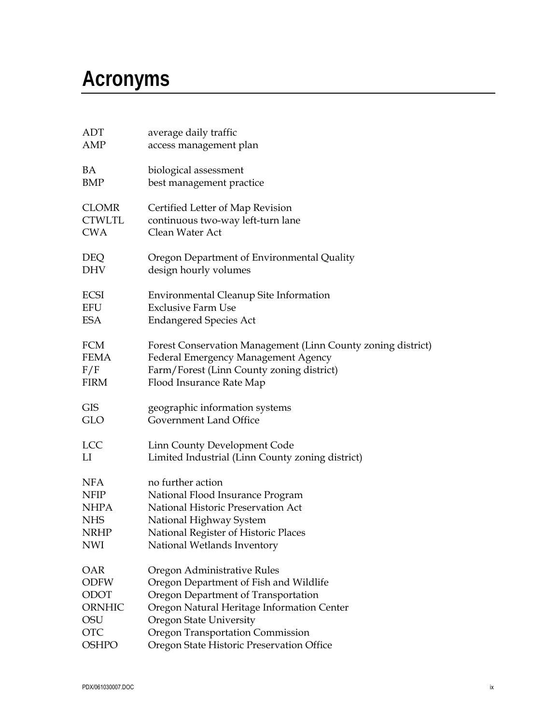## <span id="page-8-0"></span>**Acronyms**

| ADT           | average daily traffic                                        |
|---------------|--------------------------------------------------------------|
| AMP           | access management plan                                       |
| ВA            | biological assessment                                        |
| BMP           | best management practice                                     |
| <b>CLOMR</b>  | Certified Letter of Map Revision                             |
| <b>CTWLTL</b> | continuous two-way left-turn lane                            |
| <b>CWA</b>    | Clean Water Act                                              |
| DEQ           | Oregon Department of Environmental Quality                   |
| <b>DHV</b>    | design hourly volumes                                        |
| ECSI          | Environmental Cleanup Site Information                       |
| EFU           | <b>Exclusive Farm Use</b>                                    |
| ESA           | <b>Endangered Species Act</b>                                |
| FCM           | Forest Conservation Management (Linn County zoning district) |
| <b>FEMA</b>   | Federal Emergency Management Agency                          |
| F/F           | Farm/Forest (Linn County zoning district)                    |
| <b>FIRM</b>   | Flood Insurance Rate Map                                     |
| GIS           | geographic information systems                               |
| GLO           | Government Land Office                                       |
| LCC           | Linn County Development Code                                 |
| $_{\rm LI}$   | Limited Industrial (Linn County zoning district)             |
| <b>NFA</b>    | no further action                                            |
| <b>NFIP</b>   | National Flood Insurance Program                             |
| <b>NHPA</b>   | National Historic Preservation Act                           |
| <b>NHS</b>    | National Highway System                                      |
| NRHP          | National Register of Historic Places                         |
| <b>NWI</b>    | National Wetlands Inventory                                  |
| OAR           | Oregon Administrative Rules                                  |
| ODFW          | Oregon Department of Fish and Wildlife                       |
| ODOT          | Oregon Department of Transportation                          |
| ORNHIC        | Oregon Natural Heritage Information Center                   |
| OSU           | <b>Oregon State University</b>                               |
| <b>OTC</b>    | Oregon Transportation Commission                             |
| OSHPO         | Oregon State Historic Preservation Office                    |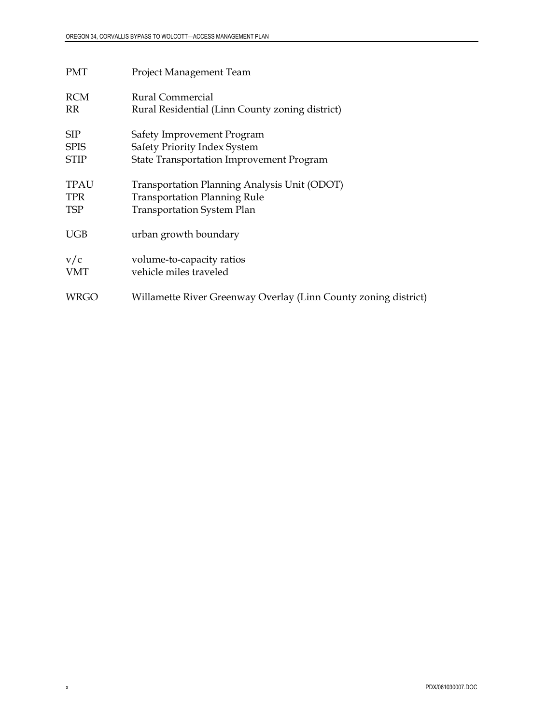| <b>PMT</b>  | Project Management Team                                         |
|-------------|-----------------------------------------------------------------|
| <b>RCM</b>  | Rural Commercial                                                |
| RR.         | Rural Residential (Linn County zoning district)                 |
| SIP         | Safety Improvement Program                                      |
| <b>SPIS</b> | Safety Priority Index System                                    |
| <b>STIP</b> | <b>State Transportation Improvement Program</b>                 |
| TPAU        | Transportation Planning Analysis Unit (ODOT)                    |
| TPR.        | <b>Transportation Planning Rule</b>                             |
| <b>TSP</b>  | <b>Transportation System Plan</b>                               |
| <b>UGB</b>  | urban growth boundary                                           |
| v/c<br>VMT  | volume-to-capacity ratios<br>vehicle miles traveled             |
| WRGO        | Willamette River Greenway Overlay (Linn County zoning district) |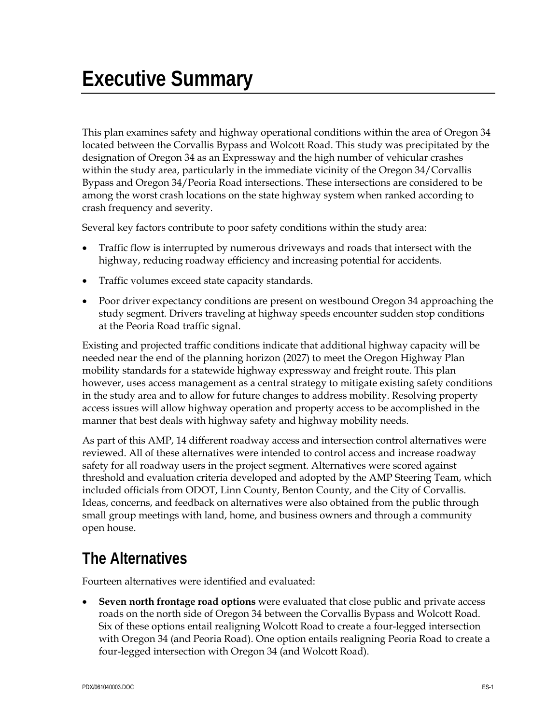<span id="page-10-0"></span>This plan examines safety and highway operational conditions within the area of Oregon 34 located between the Corvallis Bypass and Wolcott Road. This study was precipitated by the designation of Oregon 34 as an Expressway and the high number of vehicular crashes within the study area, particularly in the immediate vicinity of the Oregon 34/Corvallis Bypass and Oregon 34/Peoria Road intersections. These intersections are considered to be among the worst crash locations on the state highway system when ranked according to crash frequency and severity.

Several key factors contribute to poor safety conditions within the study area:

- Traffic flow is interrupted by numerous driveways and roads that intersect with the highway, reducing roadway efficiency and increasing potential for accidents.
- Traffic volumes exceed state capacity standards.
- Poor driver expectancy conditions are present on westbound Oregon 34 approaching the study segment. Drivers traveling at highway speeds encounter sudden stop conditions at the Peoria Road traffic signal.

Existing and projected traffic conditions indicate that additional highway capacity will be needed near the end of the planning horizon (2027) to meet the Oregon Highway Plan mobility standards for a statewide highway expressway and freight route. This plan however, uses access management as a central strategy to mitigate existing safety conditions in the study area and to allow for future changes to address mobility. Resolving property access issues will allow highway operation and property access to be accomplished in the manner that best deals with highway safety and highway mobility needs.

As part of this AMP, 14 different roadway access and intersection control alternatives were reviewed. All of these alternatives were intended to control access and increase roadway safety for all roadway users in the project segment. Alternatives were scored against threshold and evaluation criteria developed and adopted by the AMP Steering Team, which included officials from ODOT, Linn County, Benton County, and the City of Corvallis. Ideas, concerns, and feedback on alternatives were also obtained from the public through small group meetings with land, home, and business owners and through a community open house.

## **The Alternatives**

Fourteen alternatives were identified and evaluated:

• **Seven north frontage road options** were evaluated that close public and private access roads on the north side of Oregon 34 between the Corvallis Bypass and Wolcott Road. Six of these options entail realigning Wolcott Road to create a four-legged intersection with Oregon 34 (and Peoria Road). One option entails realigning Peoria Road to create a four-legged intersection with Oregon 34 (and Wolcott Road).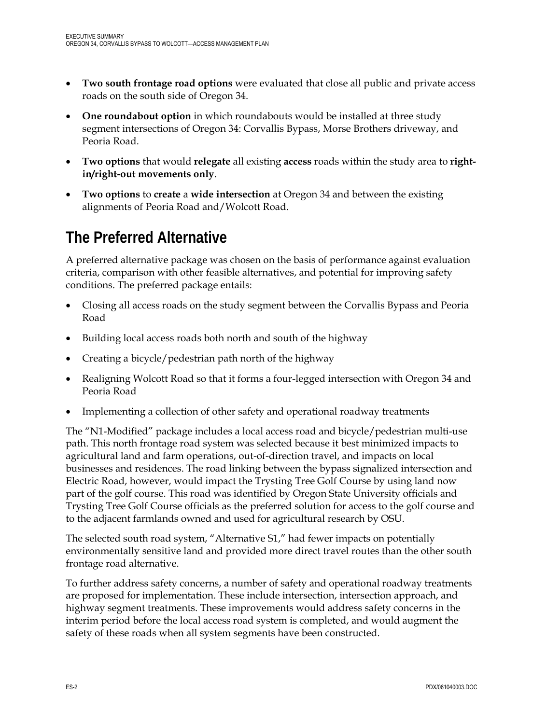- <span id="page-11-0"></span>• **Two south frontage road options** were evaluated that close all public and private access roads on the south side of Oregon 34.
- **One roundabout option** in which roundabouts would be installed at three study segment intersections of Oregon 34: Corvallis Bypass, Morse Brothers driveway, and Peoria Road.
- **Two options** that would **relegate** all existing **access** roads within the study area to **right**in/right-out movements only.
- **Two options** to **create** a **wide intersection** at Oregon 34 and between the existing alignments of Peoria Road and/Wolcott Road.

## **The Preferred Alternative**

A preferred alternative package was chosen on the basis of performance against evaluation criteria, comparison with other feasible alternatives, and potential for improving safety conditions. The preferred package entails:

- Closing all access roads on the study segment between the Corvallis Bypass and Peoria Road
- Building local access roads both north and south of the highway
- Creating a bicycle/pedestrian path north of the highway
- Realigning Wolcott Road so that it forms a four-legged intersection with Oregon 34 and Peoria Road
- Implementing a collection of other safety and operational roadway treatments

The "N1-Modified" package includes a local access road and bicycle/pedestrian multi-use path. This north frontage road system was selected because it best minimized impacts to agricultural land and farm operations, out-of-direction travel, and impacts on local businesses and residences. The road linking between the bypass signalized intersection and Electric Road, however, would impact the Trysting Tree Golf Course by using land now part of the golf course. This road was identified by Oregon State University officials and Trysting Tree Golf Course officials as the preferred solution for access to the golf course and to the adjacent farmlands owned and used for agricultural research by OSU.

The selected south road system, "Alternative S1," had fewer impacts on potentially environmentally sensitive land and provided more direct travel routes than the other south frontage road alternative.

To further address safety concerns, a number of safety and operational roadway treatments are proposed for implementation. These include intersection, intersection approach, and highway segment treatments. These improvements would address safety concerns in the interim period before the local access road system is completed, and would augment the safety of these roads when all system segments have been constructed.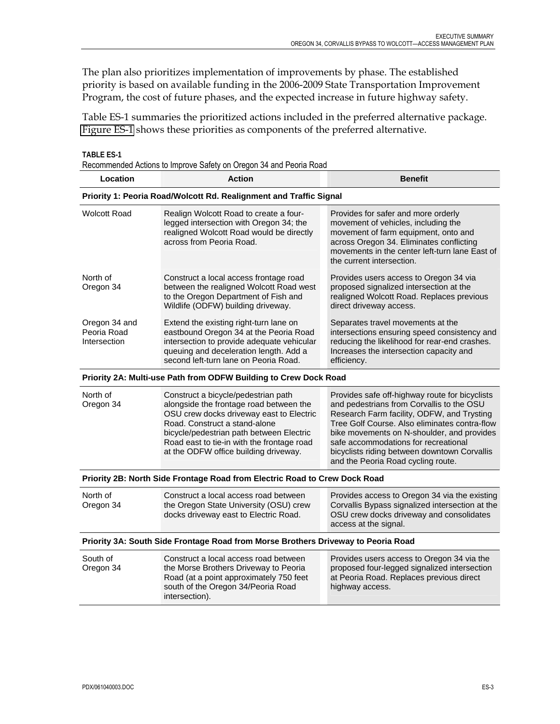The plan also prioritizes implementation of improvements by phase. The established priority is based on available funding in the 2006-2009 State Transportation Improvement Program, the cost of future phases, and the expected increase in future highway safety.

Table ES-1 summaries the prioritized actions included in the preferred alternative package. [Figure ES-1](http://www.oregon.gov/ODOT/HWY/REGION2/docs/area4/US20OR34AMEP/US20/Figure_ES-1.pdf) shows these priorities as components of the preferred alternative.

| Recommended Actions to Improve Safety on Oregon 34 and Peoria Road |                                                                                                                                                                                                                                                                                                |                                                                                                                                                                                                                                                                                                                                                                        |  |  |  |  |  |  |  |
|--------------------------------------------------------------------|------------------------------------------------------------------------------------------------------------------------------------------------------------------------------------------------------------------------------------------------------------------------------------------------|------------------------------------------------------------------------------------------------------------------------------------------------------------------------------------------------------------------------------------------------------------------------------------------------------------------------------------------------------------------------|--|--|--|--|--|--|--|
| Location                                                           | <b>Action</b>                                                                                                                                                                                                                                                                                  | <b>Benefit</b>                                                                                                                                                                                                                                                                                                                                                         |  |  |  |  |  |  |  |
| Priority 1: Peoria Road/Wolcott Rd. Realignment and Traffic Signal |                                                                                                                                                                                                                                                                                                |                                                                                                                                                                                                                                                                                                                                                                        |  |  |  |  |  |  |  |
| <b>Wolcott Road</b>                                                | Realign Wolcott Road to create a four-<br>legged intersection with Oregon 34; the<br>realigned Wolcott Road would be directly<br>across from Peoria Road.                                                                                                                                      | Provides for safer and more orderly<br>movement of vehicles, including the<br>movement of farm equipment, onto and<br>across Oregon 34. Eliminates conflicting<br>movements in the center left-turn lane East of<br>the current intersection.                                                                                                                          |  |  |  |  |  |  |  |
| North of<br>Oregon 34                                              | Construct a local access frontage road<br>between the realigned Wolcott Road west<br>to the Oregon Department of Fish and<br>Wildlife (ODFW) building driveway.                                                                                                                                | Provides users access to Oregon 34 via<br>proposed signalized intersection at the<br>realigned Wolcott Road. Replaces previous<br>direct driveway access.                                                                                                                                                                                                              |  |  |  |  |  |  |  |
| Oregon 34 and<br>Peoria Road<br>Intersection                       | Extend the existing right-turn lane on<br>eastbound Oregon 34 at the Peoria Road<br>intersection to provide adequate vehicular<br>queuing and deceleration length. Add a<br>second left-turn lane on Peoria Road.                                                                              | Separates travel movements at the<br>intersections ensuring speed consistency and<br>reducing the likelihood for rear-end crashes.<br>Increases the intersection capacity and<br>efficiency.                                                                                                                                                                           |  |  |  |  |  |  |  |
|                                                                    | Priority 2A: Multi-use Path from ODFW Building to Crew Dock Road                                                                                                                                                                                                                               |                                                                                                                                                                                                                                                                                                                                                                        |  |  |  |  |  |  |  |
| North of<br>Oregon 34                                              | Construct a bicycle/pedestrian path<br>alongside the frontage road between the<br>OSU crew docks driveway east to Electric<br>Road. Construct a stand-alone<br>bicycle/pedestrian path between Electric<br>Road east to tie-in with the frontage road<br>at the ODFW office building driveway. | Provides safe off-highway route for bicyclists<br>and pedestrians from Corvallis to the OSU<br>Research Farm facility, ODFW, and Trysting<br>Tree Golf Course. Also eliminates contra-flow<br>bike movements on N-shoulder, and provides<br>safe accommodations for recreational<br>bicyclists riding between downtown Corvallis<br>and the Peoria Road cycling route. |  |  |  |  |  |  |  |
|                                                                    | Priority 2B: North Side Frontage Road from Electric Road to Crew Dock Road                                                                                                                                                                                                                     |                                                                                                                                                                                                                                                                                                                                                                        |  |  |  |  |  |  |  |
| North of<br>Oregon 34                                              | Construct a local access road between<br>the Oregon State University (OSU) crew<br>docks driveway east to Electric Road.                                                                                                                                                                       | Provides access to Oregon 34 via the existing<br>Corvallis Bypass signalized intersection at the<br>OSU crew docks driveway and consolidates<br>access at the signal.                                                                                                                                                                                                  |  |  |  |  |  |  |  |
|                                                                    | Priority 3A: South Side Frontage Road from Morse Brothers Driveway to Peoria Road                                                                                                                                                                                                              |                                                                                                                                                                                                                                                                                                                                                                        |  |  |  |  |  |  |  |
| South of<br>Oregon 34                                              | Construct a local access road between<br>the Morse Brothers Driveway to Peoria<br>Road (at a point approximately 750 feet<br>south of the Oregon 34/Peoria Road<br>intersection).                                                                                                              | Provides users access to Oregon 34 via the<br>proposed four-legged signalized intersection<br>at Peoria Road. Replaces previous direct<br>highway access.                                                                                                                                                                                                              |  |  |  |  |  |  |  |

**TABLE ES-1**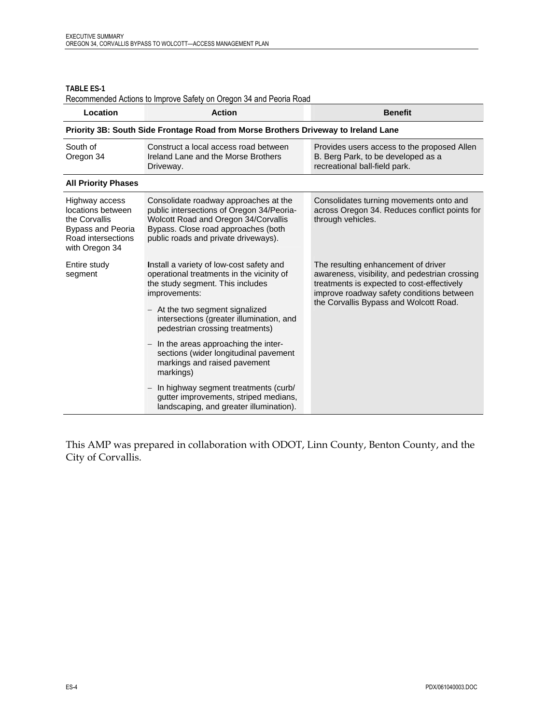| Location                                                                                                                 | <b>Action</b>                                                                                                                                                                                                                                                                                                                                                                               | <b>Benefit</b>                                                                                                                                                                                                             |  |  |  |  |  |  |  |
|--------------------------------------------------------------------------------------------------------------------------|---------------------------------------------------------------------------------------------------------------------------------------------------------------------------------------------------------------------------------------------------------------------------------------------------------------------------------------------------------------------------------------------|----------------------------------------------------------------------------------------------------------------------------------------------------------------------------------------------------------------------------|--|--|--|--|--|--|--|
|                                                                                                                          | Priority 3B: South Side Frontage Road from Morse Brothers Driveway to Ireland Lane                                                                                                                                                                                                                                                                                                          |                                                                                                                                                                                                                            |  |  |  |  |  |  |  |
| South of<br>Oregon 34                                                                                                    | Construct a local access road between<br>Ireland Lane and the Morse Brothers<br>Driveway.                                                                                                                                                                                                                                                                                                   | Provides users access to the proposed Allen<br>B. Berg Park, to be developed as a<br>recreational ball-field park.                                                                                                         |  |  |  |  |  |  |  |
| <b>All Priority Phases</b>                                                                                               |                                                                                                                                                                                                                                                                                                                                                                                             |                                                                                                                                                                                                                            |  |  |  |  |  |  |  |
| Highway access<br>locations between<br>the Corvallis<br><b>Bypass and Peoria</b><br>Road intersections<br>with Oregon 34 | Consolidate roadway approaches at the<br>public intersections of Oregon 34/Peoria-<br>Wolcott Road and Oregon 34/Corvallis<br>Bypass. Close road approaches (both<br>public roads and private driveways).                                                                                                                                                                                   | Consolidates turning movements onto and<br>across Oregon 34. Reduces conflict points for<br>through vehicles.                                                                                                              |  |  |  |  |  |  |  |
| Entire study<br>segment                                                                                                  | Install a variety of low-cost safety and<br>operational treatments in the vicinity of<br>the study segment. This includes<br>improvements:<br>$-$ At the two segment signalized<br>intersections (greater illumination, and<br>pedestrian crossing treatments)<br>In the areas approaching the inter-<br>sections (wider longitudinal pavement<br>markings and raised pavement<br>markings) | The resulting enhancement of driver<br>awareness, visibility, and pedestrian crossing<br>treatments is expected to cost-effectively<br>improve roadway safety conditions between<br>the Corvallis Bypass and Wolcott Road. |  |  |  |  |  |  |  |
|                                                                                                                          | In highway segment treatments (curb/<br>gutter improvements, striped medians,<br>landscaping, and greater illumination).                                                                                                                                                                                                                                                                    |                                                                                                                                                                                                                            |  |  |  |  |  |  |  |

| TABLE ES-1                                                   |  |  |
|--------------------------------------------------------------|--|--|
| Recommended Actions to Improve Safety on Oregon 34 and Peori |  |  |

This AMP was prepared in collaboration with ODOT, Linn County, Benton County, and the City of Corvallis.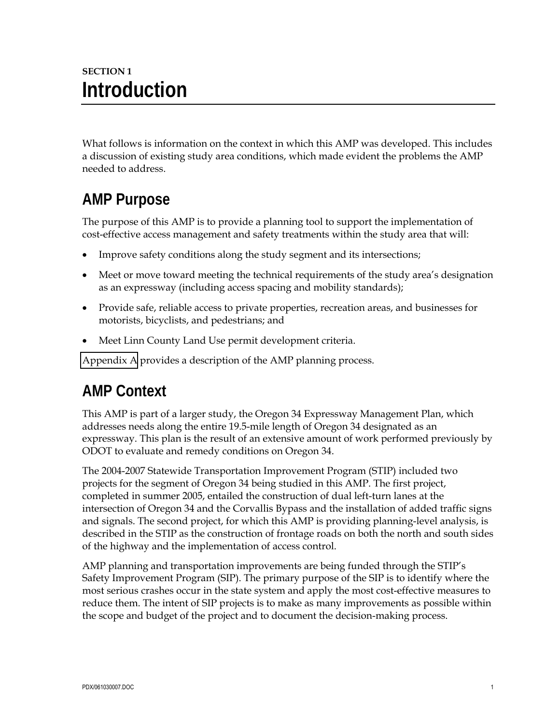## <span id="page-14-0"></span>**SECTION 1 Introduction**

What follows is information on the context in which this AMP was developed. This includes a discussion of existing study area conditions, which made evident the problems the AMP needed to address.

## **AMP Purpose**

The purpose of this AMP is to provide a planning tool to support the implementation of cost-effective access management and safety treatments within the study area that will:

- Improve safety conditions along the study segment and its intersections;
- Meet or move toward meeting the technical requirements of the study area's designation as an expressway (including access spacing and mobility standards);
- Provide safe, reliable access to private properties, recreation areas, and businesses for motorists, bicyclists, and pedestrians; and
- Meet Linn County Land Use permit development criteria.

[Appendix A](http://www.oregon.gov/ODOT/HWY/REGION2/docs/area4/US20OR34AMEP/US20/Appendix_A.pdf) provides a description of the AMP planning process.

## **AMP Context**

This AMP is part of a larger study, the Oregon 34 Expressway Management Plan, which addresses needs along the entire 19.5-mile length of Oregon 34 designated as an expressway. This plan is the result of an extensive amount of work performed previously by ODOT to evaluate and remedy conditions on Oregon 34.

The 2004-2007 Statewide Transportation Improvement Program (STIP) included two projects for the segment of Oregon 34 being studied in this AMP. The first project, completed in summer 2005, entailed the construction of dual left-turn lanes at the intersection of Oregon 34 and the Corvallis Bypass and the installation of added traffic signs and signals. The second project, for which this AMP is providing planning-level analysis, is described in the STIP as the construction of frontage roads on both the north and south sides of the highway and the implementation of access control.

AMP planning and transportation improvements are being funded through the STIP's Safety Improvement Program (SIP). The primary purpose of the SIP is to identify where the most serious crashes occur in the state system and apply the most cost-effective measures to reduce them. The intent of SIP projects is to make as many improvements as possible within the scope and budget of the project and to document the decision-making process.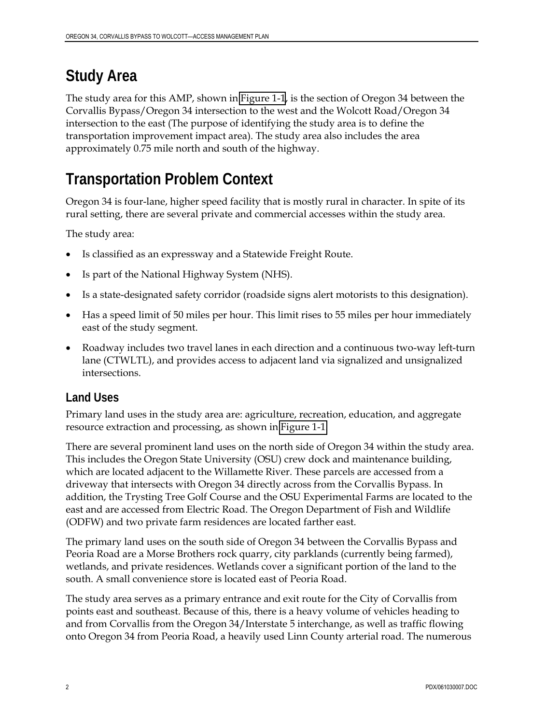## <span id="page-15-0"></span>**Study Area**

The study area for this AMP, shown in [Figure 1-1](http://www.oregon.gov/ODOT/HWY/REGION2/docs/area4/US20OR34AMEP/US20/Figure_1_1.pdf), is the section of Oregon 34 between the Corvallis Bypass/Oregon 34 intersection to the west and the Wolcott Road/Oregon 34 intersection to the east (The purpose of identifying the study area is to define the transportation improvement impact area). The study area also includes the area approximately 0.75 mile north and south of the highway.

## **Transportation Problem Context**

Oregon 34 is four-lane, higher speed facility that is mostly rural in character. In spite of its rural setting, there are several private and commercial accesses within the study area.

The study area:

- Is classified as an expressway and a Statewide Freight Route.
- Is part of the National Highway System (NHS).
- Is a state-designated safety corridor (roadside signs alert motorists to this designation).
- Has a speed limit of 50 miles per hour. This limit rises to 55 miles per hour immediately east of the study segment.
- Roadway includes two travel lanes in each direction and a continuous two-way left-turn lane (CTWLTL), and provides access to adjacent land via signalized and unsignalized intersections.

### **Land Uses**

Primary land uses in the study area are: agriculture, recreation, education, and aggregate resource extraction and processing, as shown in [Figure 1-1.](http://www.oregon.gov/ODOT/HWY/REGION2/docs/area4/US20OR34AMEP/US20/Figure_1_1.pdf)

There are several prominent land uses on the north side of Oregon 34 within the study area. This includes the Oregon State University (OSU) crew dock and maintenance building, which are located adjacent to the Willamette River. These parcels are accessed from a driveway that intersects with Oregon 34 directly across from the Corvallis Bypass. In addition, the Trysting Tree Golf Course and the OSU Experimental Farms are located to the east and are accessed from Electric Road. The Oregon Department of Fish and Wildlife (ODFW) and two private farm residences are located farther east.

The primary land uses on the south side of Oregon 34 between the Corvallis Bypass and Peoria Road are a Morse Brothers rock quarry, city parklands (currently being farmed), wetlands, and private residences. Wetlands cover a significant portion of the land to the south. A small convenience store is located east of Peoria Road.

The study area serves as a primary entrance and exit route for the City of Corvallis from points east and southeast. Because of this, there is a heavy volume of vehicles heading to and from Corvallis from the Oregon 34/Interstate 5 interchange, as well as traffic flowing onto Oregon 34 from Peoria Road, a heavily used Linn County arterial road. The numerous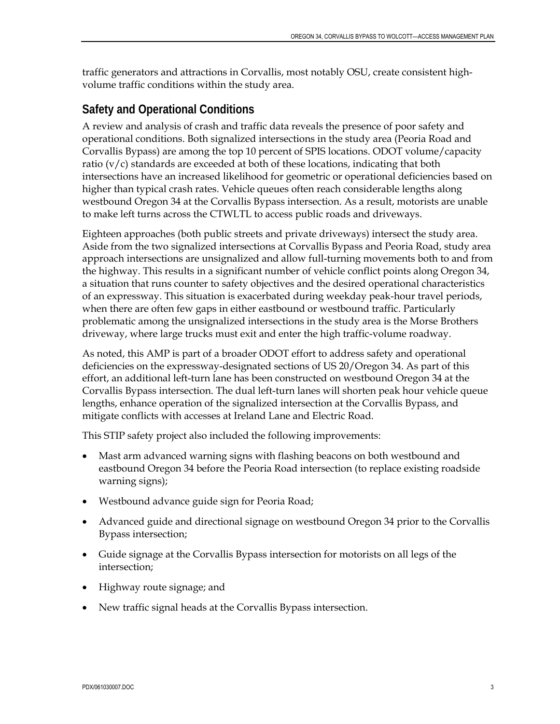<span id="page-16-0"></span>traffic generators and attractions in Corvallis, most notably OSU, create consistent highvolume traffic conditions within the study area.

## **Safety and Operational Conditions**

A review and analysis of crash and traffic data reveals the presence of poor safety and operational conditions. Both signalized intersections in the study area (Peoria Road and Corvallis Bypass) are among the top 10 percent of SPIS locations. ODOT volume/capacity ratio (v/c) standards are exceeded at both of these locations, indicating that both intersections have an increased likelihood for geometric or operational deficiencies based on higher than typical crash rates. Vehicle queues often reach considerable lengths along westbound Oregon 34 at the Corvallis Bypass intersection. As a result, motorists are unable to make left turns across the CTWLTL to access public roads and driveways.

Eighteen approaches (both public streets and private driveways) intersect the study area. Aside from the two signalized intersections at Corvallis Bypass and Peoria Road, study area approach intersections are unsignalized and allow full-turning movements both to and from the highway. This results in a significant number of vehicle conflict points along Oregon 34, a situation that runs counter to safety objectives and the desired operational characteristics of an expressway. This situation is exacerbated during weekday peak-hour travel periods, when there are often few gaps in either eastbound or westbound traffic. Particularly problematic among the unsignalized intersections in the study area is the Morse Brothers driveway, where large trucks must exit and enter the high traffic-volume roadway.

As noted, this AMP is part of a broader ODOT effort to address safety and operational deficiencies on the expressway-designated sections of US 20/Oregon 34. As part of this effort, an additional left-turn lane has been constructed on westbound Oregon 34 at the Corvallis Bypass intersection. The dual left-turn lanes will shorten peak hour vehicle queue lengths, enhance operation of the signalized intersection at the Corvallis Bypass, and mitigate conflicts with accesses at Ireland Lane and Electric Road.

This STIP safety project also included the following improvements:

- Mast arm advanced warning signs with flashing beacons on both westbound and eastbound Oregon 34 before the Peoria Road intersection (to replace existing roadside warning signs);
- Westbound advance guide sign for Peoria Road;
- Advanced guide and directional signage on westbound Oregon 34 prior to the Corvallis Bypass intersection;
- Guide signage at the Corvallis Bypass intersection for motorists on all legs of the intersection;
- Highway route signage; and
- New traffic signal heads at the Corvallis Bypass intersection.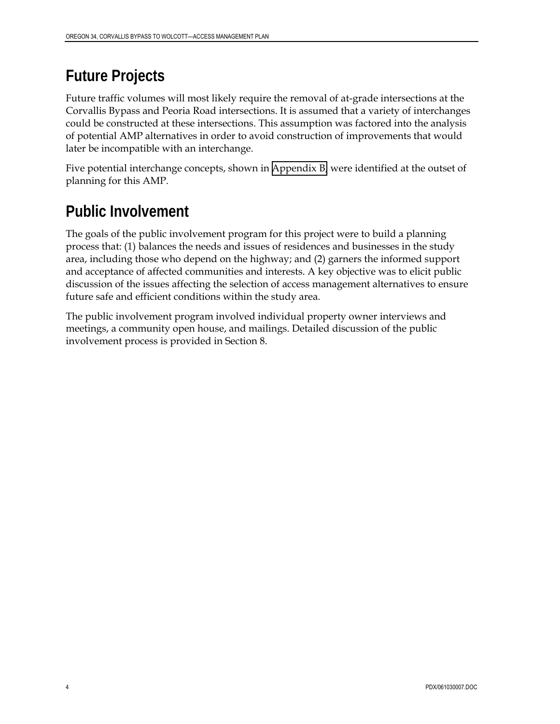## <span id="page-17-0"></span>**Future Projects**

Future traffic volumes will most likely require the removal of at-grade intersections at the Corvallis Bypass and Peoria Road intersections. It is assumed that a variety of interchanges could be constructed at these intersections. This assumption was factored into the analysis of potential AMP alternatives in order to avoid construction of improvements that would later be incompatible with an interchange.

Five potential interchange concepts, shown in [Appendix B,](http://www.oregon.gov/ODOT/HWY/REGION2/docs/area4/US20OR34AMEP/US20/Appendix_B.pdf) were identified at the outset of planning for this AMP.

## **Public Involvement**

The goals of the public involvement program for this project were to build a planning process that: (1) balances the needs and issues of residences and businesses in the study area, including those who depend on the highway; and (2) garners the informed support and acceptance of affected communities and interests. A key objective was to elicit public discussion of the issues affecting the selection of access management alternatives to ensure future safe and efficient conditions within the study area.

The public involvement program involved individual property owner interviews and meetings, a community open house, and mailings. Detailed discussion of the public involvement process is provided in Section 8.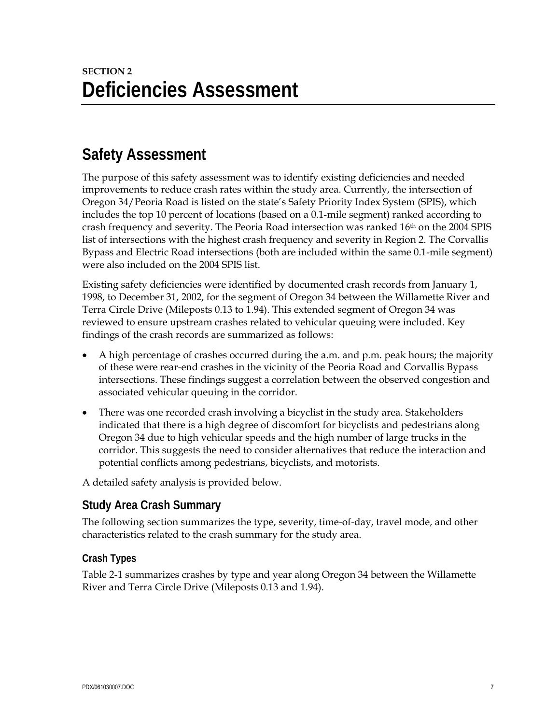## <span id="page-18-0"></span>**Safety Assessment**

The purpose of this safety assessment was to identify existing deficiencies and needed improvements to reduce crash rates within the study area. Currently, the intersection of Oregon 34/Peoria Road is listed on the state's Safety Priority Index System (SPIS), which includes the top 10 percent of locations (based on a 0.1-mile segment) ranked according to crash frequency and severity. The Peoria Road intersection was ranked 16<sup>th</sup> on the 2004 SPIS list of intersections with the highest crash frequency and severity in Region 2. The Corvallis Bypass and Electric Road intersections (both are included within the same 0.1-mile segment) were also included on the 2004 SPIS list.

Existing safety deficiencies were identified by documented crash records from January 1, 1998, to December 31, 2002, for the segment of Oregon 34 between the Willamette River and Terra Circle Drive (Mileposts 0.13 to 1.94). This extended segment of Oregon 34 was reviewed to ensure upstream crashes related to vehicular queuing were included. Key findings of the crash records are summarized as follows:

- A high percentage of crashes occurred during the a.m. and p.m. peak hours; the majority of these were rear-end crashes in the vicinity of the Peoria Road and Corvallis Bypass intersections. These findings suggest a correlation between the observed congestion and associated vehicular queuing in the corridor.
- There was one recorded crash involving a bicyclist in the study area. Stakeholders indicated that there is a high degree of discomfort for bicyclists and pedestrians along Oregon 34 due to high vehicular speeds and the high number of large trucks in the corridor. This suggests the need to consider alternatives that reduce the interaction and potential conflicts among pedestrians, bicyclists, and motorists.

A detailed safety analysis is provided below.

#### **Study Area Crash Summary**

The following section summarizes the type, severity, time-of-day, travel mode, and other characteristics related to the crash summary for the study area.

#### **Crash Types**

Table 2-1 summarizes crashes by type and year along Oregon 34 between the Willamette River and Terra Circle Drive (Mileposts 0.13 and 1.94).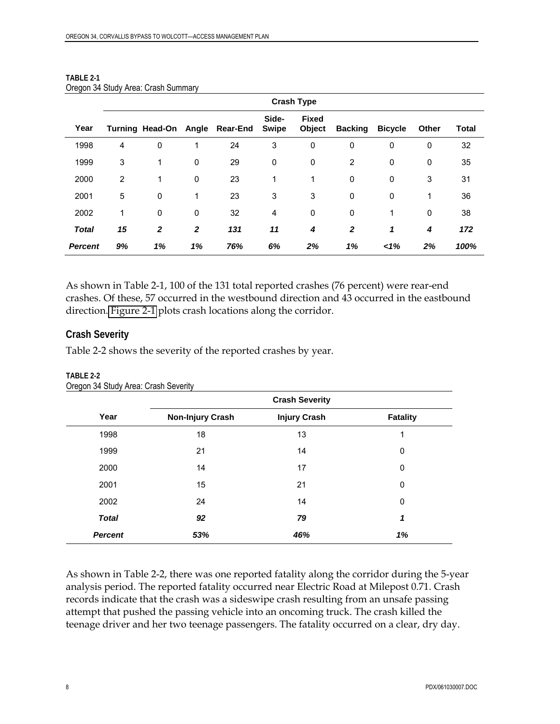|                | <b>Crash Type</b> |              |              |                                |                |                        |                |                |       |       |
|----------------|-------------------|--------------|--------------|--------------------------------|----------------|------------------------|----------------|----------------|-------|-------|
| Year           |                   |              |              | Turning Head-On Angle Rear-End | Side-<br>Swipe | <b>Fixed</b><br>Object | <b>Backing</b> | <b>Bicycle</b> | Other | Total |
| 1998           | 4                 | 0            | 1            | 24                             | 3              | 0                      | 0              | 0              | 0     | 32    |
| 1999           | 3                 | 1            | 0            | 29                             | $\mathbf 0$    | 0                      | 2              | 0              | 0     | 35    |
| 2000           | $\overline{2}$    | 1            | $\mathbf 0$  | 23                             | 1              | 1                      | $\mathbf 0$    | 0              | 3     | 31    |
| 2001           | 5                 | 0            | 1            | 23                             | 3              | 3                      | 0              | 0              | 1     | 36    |
| 2002           | 1                 | $\mathbf 0$  | 0            | 32                             | 4              | 0                      | 0              | 1              | 0     | 38    |
| <b>Total</b>   | 15                | $\mathbf{2}$ | $\mathbf{2}$ | 131                            | 11             | 4                      | $\mathbf{2}$   | 1              | 4     | 172   |
| <b>Percent</b> | 9%                | 1%           | 1%           | 76%                            | 6%             | 2%                     | 1%             | 1%             | 2%    | 100%  |

| TABLE 2-1                           |  |
|-------------------------------------|--|
| Oregon 34 Study Area: Crash Summary |  |

As shown in Table 2-1, 100 of the 131 total reported crashes (76 percent) were rear-end crashes. Of these, 57 occurred in the westbound direction and 43 occurred in the eastbound direction. [Figure 2-1](http://www.oregon.gov/ODOT/HWY/REGION2/docs/area4/US20OR34AMEP/US20/Figure_2_1.pdf) plots crash locations along the corridor.

#### **Crash Severity**

Table 2-2 shows the severity of the reported crashes by year.

|                | <b>Crash Severity</b>   |                     |                 |  |  |
|----------------|-------------------------|---------------------|-----------------|--|--|
| Year           | <b>Non-Injury Crash</b> | <b>Injury Crash</b> | <b>Fatality</b> |  |  |
| 1998           | 18                      | 13                  |                 |  |  |
| 1999           | 21                      | 14                  | 0               |  |  |
| 2000           | 14                      | 17                  | 0               |  |  |
| 2001           | 15                      | 21                  | $\Omega$        |  |  |
| 2002           | 24                      | 14                  | $\Omega$        |  |  |
| <b>Total</b>   | 92                      | 79                  | 1               |  |  |
| <b>Percent</b> | 53%                     | 46%                 | 1%              |  |  |

#### **TABLE 2-2**  Oregon 34 Study Area: Crash Severity

As shown in Table 2-2, there was one reported fatality along the corridor during the 5-year analysis period. The reported fatality occurred near Electric Road at Milepost 0.71. Crash records indicate that the crash was a sideswipe crash resulting from an unsafe passing attempt that pushed the passing vehicle into an oncoming truck. The crash killed the teenage driver and her two teenage passengers. The fatality occurred on a clear, dry day.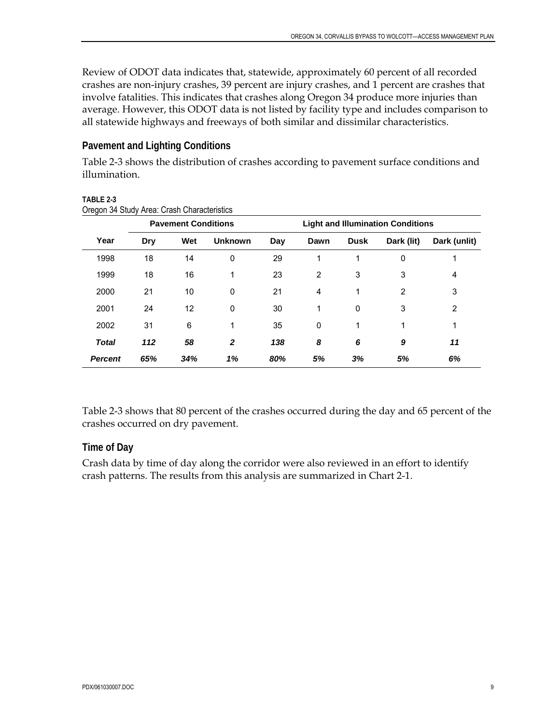Review of ODOT data indicates that, statewide, approximately 60 percent of all recorded crashes are non-injury crashes, 39 percent are injury crashes, and 1 percent are crashes that involve fatalities. This indicates that crashes along Oregon 34 produce more injuries than average. However, this ODOT data is not listed by facility type and includes comparison to all statewide highways and freeways of both similar and dissimilar characteristics.

#### **Pavement and Lighting Conditions**

Table 2-3 shows the distribution of crashes according to pavement surface conditions and illumination.

|                | <b>Pavement Conditions</b> |     |                | <b>Light and Illumination Conditions</b> |                |             |            |              |  |
|----------------|----------------------------|-----|----------------|------------------------------------------|----------------|-------------|------------|--------------|--|
| Year           | Dry                        | Wet | <b>Unknown</b> | Day                                      | Dawn           | <b>Dusk</b> | Dark (lit) | Dark (unlit) |  |
| 1998           | 18                         | 14  | 0              | 29                                       | 1              | 1           | 0          |              |  |
| 1999           | 18                         | 16  | 1              | 23                                       | $\overline{2}$ | 3           | 3          | 4            |  |
| 2000           | 21                         | 10  | 0              | 21                                       | 4              | 1           | 2          | 3            |  |
| 2001           | 24                         | 12  | 0              | 30                                       | 1              | $\mathbf 0$ | 3          | 2            |  |
| 2002           | 31                         | 6   | 1              | 35                                       | 0              | 1           | 1          | 1            |  |
| <b>Total</b>   | 112                        | 58  | $\mathbf{2}$   | 138                                      | 8              | 6           | 9          | 11           |  |
| <b>Percent</b> | 65%                        | 34% | 1%             | 80%                                      | 5%             | 3%          | 5%         | 6%           |  |

#### **TABLE 2-3**  Oregon 34 Study Area: Crash Characteristics

Table 2-3 shows that 80 percent of the crashes occurred during the day and 65 percent of the crashes occurred on dry pavement.

#### **Time of Day**

Crash data by time of day along the corridor were also reviewed in an effort to identify crash patterns. The results from this analysis are summarized in Chart 2-1.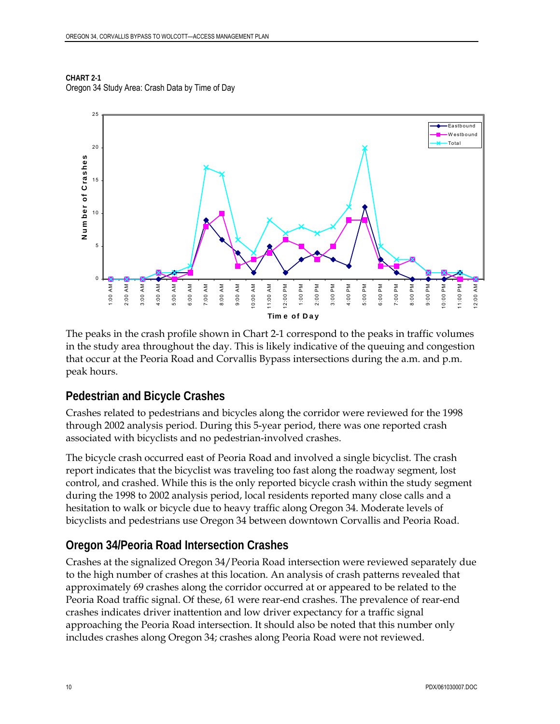<span id="page-21-0"></span>**CHART 2-1**  Oregon 34 Study Area: Crash Data by Time of Day



The peaks in the crash profile shown in Chart 2-1 correspond to the peaks in traffic volumes in the study area throughout the day. This is likely indicative of the queuing and congestion that occur at the Peoria Road and Corvallis Bypass intersections during the a.m. and p.m. peak hours.

### **Pedestrian and Bicycle Crashes**

Crashes related to pedestrians and bicycles along the corridor were reviewed for the 1998 through 2002 analysis period. During this 5-year period, there was one reported crash associated with bicyclists and no pedestrian-involved crashes.

The bicycle crash occurred east of Peoria Road and involved a single bicyclist. The crash report indicates that the bicyclist was traveling too fast along the roadway segment, lost control, and crashed. While this is the only reported bicycle crash within the study segment during the 1998 to 2002 analysis period, local residents reported many close calls and a hesitation to walk or bicycle due to heavy traffic along Oregon 34. Moderate levels of bicyclists and pedestrians use Oregon 34 between downtown Corvallis and Peoria Road.

### **Oregon 34/Peoria Road Intersection Crashes**

Crashes at the signalized Oregon 34/Peoria Road intersection were reviewed separately due to the high number of crashes at this location. An analysis of crash patterns revealed that approximately 69 crashes along the corridor occurred at or appeared to be related to the Peoria Road traffic signal. Of these, 61 were rear-end crashes. The prevalence of rear-end crashes indicates driver inattention and low driver expectancy for a traffic signal approaching the Peoria Road intersection. It should also be noted that this number only includes crashes along Oregon 34; crashes along Peoria Road were not reviewed.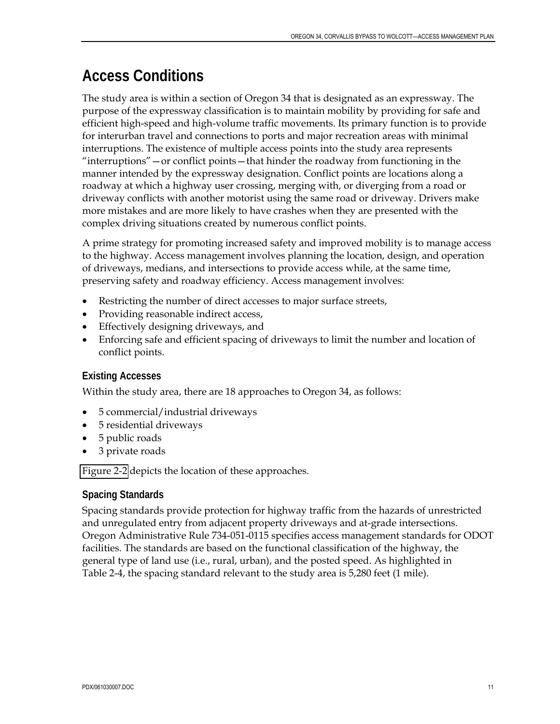## <span id="page-22-0"></span>**Access Conditions**

The study area is within a section of Oregon 34 that is designated as an expressway. The purpose of the expressway classification is to maintain mobility by providing for safe and efficient high-speed and high-volume traffic movements. Its primary function is to provide for interurban travel and connections to ports and major recreation areas with minimal interruptions. The existence of multiple access points into the study area represents "interruptions"—or conflict points—that hinder the roadway from functioning in the manner intended by the expressway designation. Conflict points are locations along a roadway at which a highway user crossing, merging with, or diverging from a road or driveway conflicts with another motorist using the same road or driveway. Drivers make more mistakes and are more likely to have crashes when they are presented with the complex driving situations created by numerous conflict points.

A prime strategy for promoting increased safety and improved mobility is to manage access to the highway. Access management involves planning the location, design, and operation of driveways, medians, and intersections to provide access while, at the same time, preserving safety and roadway efficiency. Access management involves:

- Restricting the number of direct accesses to major surface streets,
- Providing reasonable indirect access,
- Effectively designing driveways, and
- Enforcing safe and efficient spacing of driveways to limit the number and location of conflict points.

#### **Existing Accesses**

Within the study area, there are 18 approaches to Oregon 34, as follows:

- 5 commercial/industrial driveways
- 5 residential driveways
- 5 public roads
- 3 private roads

[Figure 2-2](http://www.oregon.gov/ODOT/HWY/REGION2/docs/area4/US20OR34AMEP/US20/Figure_2_2.pdf) depicts the location of these approaches.

#### **Spacing Standards**

Spacing standards provide protection for highway traffic from the hazards of unrestricted and unregulated entry from adjacent property driveways and at-grade intersections. Oregon Administrative Rule 734-051-0115 specifies access management standards for ODOT facilities. The standards are based on the functional classification of the highway, the general type of land use (i.e., rural, urban), and the posted speed. As highlighted in Table 2-4, the spacing standard relevant to the study area is 5,280 feet (1 mile).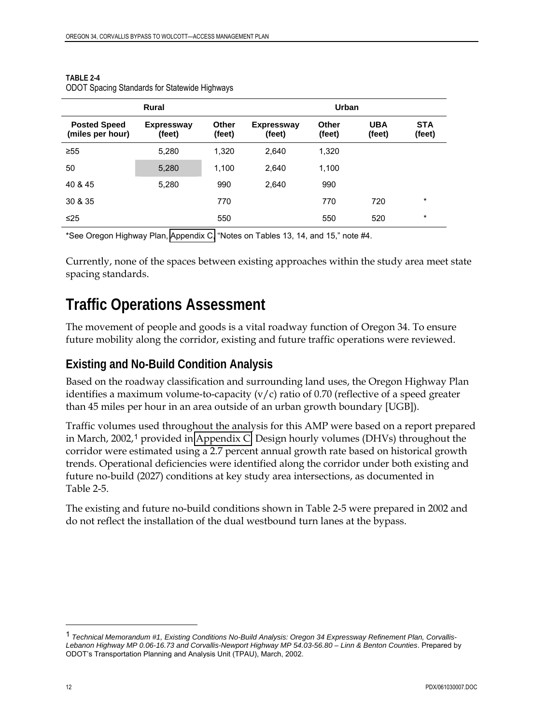| <b>Rural</b>                            |                             |                 | Urban                       |                 |                      |                      |
|-----------------------------------------|-----------------------------|-----------------|-----------------------------|-----------------|----------------------|----------------------|
| <b>Posted Speed</b><br>(miles per hour) | <b>Expressway</b><br>(feet) | Other<br>(feet) | <b>Expressway</b><br>(feet) | Other<br>(feet) | <b>UBA</b><br>(feet) | <b>STA</b><br>(feet) |
| $\geq 55$                               | 5,280                       | 1,320           | 2,640                       | 1,320           |                      |                      |
| 50                                      | 5,280                       | 1,100           | 2.640                       | 1,100           |                      |                      |
| 40 & 45                                 | 5.280                       | 990             | 2.640                       | 990             |                      |                      |
| 30 & 35                                 |                             | 770             |                             | 770             | 720                  | $^\star$             |
| ≤25                                     |                             | 550             |                             | 550             | 520                  | $\star$              |

<span id="page-23-0"></span>**TABLE 2-4**  ODOT Spacing Standards for Statewide Highways

\*See Oregon Highway Plan, [Appendix C,](http://www.oregon.gov/ODOT/HWY/REGION2/docs/area4/US20OR34AMEP/US20/Appendix_C.pdf) "Notes on Tables 13, 14, and 15," note #4.

Currently, none of the spaces between existing approaches within the study area meet state spacing standards.

## **Traffic Operations Assessment**

The movement of people and goods is a vital roadway function of Oregon 34. To ensure future mobility along the corridor, existing and future traffic operations were reviewed.

### **Existing and No-Build Condition Analysis**

Based on the roadway classification and surrounding land uses, the Oregon Highway Plan identifies a maximum volume-to-capacity  $(v/c)$  ratio of 0.70 (reflective of a speed greater than 45 miles per hour in an area outside of an urban growth boundary [UGB]).

Traffic volumes used throughout the analysis for this AMP were based on a report prepared in March, 2002,<sup>[1](#page-23-1)</sup> provided in [Appendix C.](http://www.oregon.gov/ODOT/HWY/REGION2/docs/area4/US20OR34AMEP/US20/Appendix_C.pdf) Design hourly volumes (DHVs) throughout the corridor were estimated using a 2.7 percent annual growth rate based on historical growth trends. Operational deficiencies were identified along the corridor under both existing and future no-build (2027) conditions at key study area intersections, as documented in Table 2-5.

The existing and future no-build conditions shown in Table 2-5 were prepared in 2002 and do not reflect the installation of the dual westbound turn lanes at the bypass.

<span id="page-23-1"></span><sup>1</sup> *Technical Memorandum #1, Existing Conditions No-Build Analysis: Oregon 34 Expressway Refinement Plan, Corvallis-Lebanon Highway MP 0.06-16.73 and Corvallis-Newport Highway MP 54.03-56.80 – Linn & Benton Counties*. Prepared by ODOT's Transportation Planning and Analysis Unit (TPAU), March, 2002.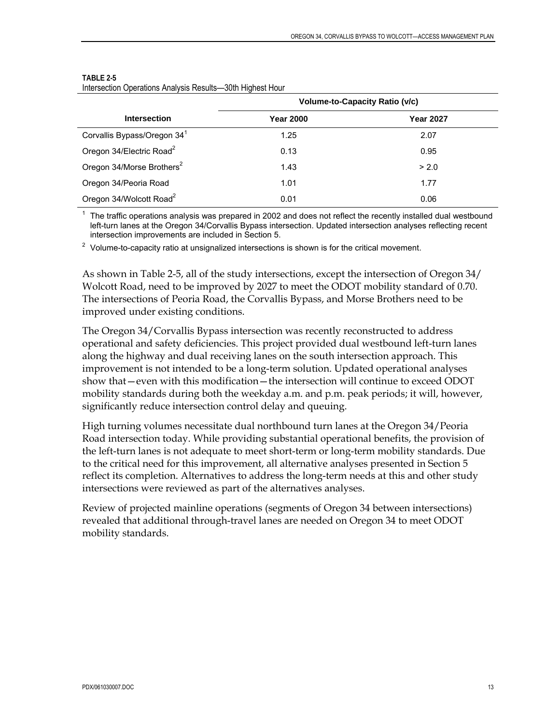|                                         |           | <b>Volume-to-Capacity Ratio (v/c)</b> |
|-----------------------------------------|-----------|---------------------------------------|
| <b>Intersection</b>                     | Year 2000 | <b>Year 2027</b>                      |
| Corvallis Bypass/Oregon 34 <sup>1</sup> | 1.25      | 2.07                                  |
| Oregon 34/Electric Road <sup>2</sup>    | 0.13      | 0.95                                  |
| Oregon 34/Morse Brothers <sup>2</sup>   | 1.43      | > 2.0                                 |
| Oregon 34/Peoria Road                   | 1.01      | 1.77                                  |
| Oregon 34/Wolcott Road <sup>2</sup>     | 0.01      | 0.06                                  |

#### **TABLE 2-5**

#### Intersection Operations Analysis Results—30th Highest Hour

 $1$  The traffic operations analysis was prepared in 2002 and does not reflect the recently installed dual westbound left-turn lanes at the Oregon 34/Corvallis Bypass intersection. Updated intersection analyses reflecting recent intersection improvements are included in Section 5.

 $2$  Volume-to-capacity ratio at unsignalized intersections is shown is for the critical movement.

As shown in Table 2-5, all of the study intersections, except the intersection of Oregon 34/ Wolcott Road, need to be improved by 2027 to meet the ODOT mobility standard of 0.70. The intersections of Peoria Road, the Corvallis Bypass, and Morse Brothers need to be improved under existing conditions.

The Oregon 34/Corvallis Bypass intersection was recently reconstructed to address operational and safety deficiencies. This project provided dual westbound left-turn lanes along the highway and dual receiving lanes on the south intersection approach. This improvement is not intended to be a long-term solution. Updated operational analyses show that—even with this modification—the intersection will continue to exceed ODOT mobility standards during both the weekday a.m. and p.m. peak periods; it will, however, significantly reduce intersection control delay and queuing.

High turning volumes necessitate dual northbound turn lanes at the Oregon 34/Peoria Road intersection today. While providing substantial operational benefits, the provision of the left-turn lanes is not adequate to meet short-term or long-term mobility standards. Due to the critical need for this improvement, all alternative analyses presented in Section 5 reflect its completion. Alternatives to address the long-term needs at this and other study intersections were reviewed as part of the alternatives analyses.

Review of projected mainline operations (segments of Oregon 34 between intersections) revealed that additional through-travel lanes are needed on Oregon 34 to meet ODOT mobility standards.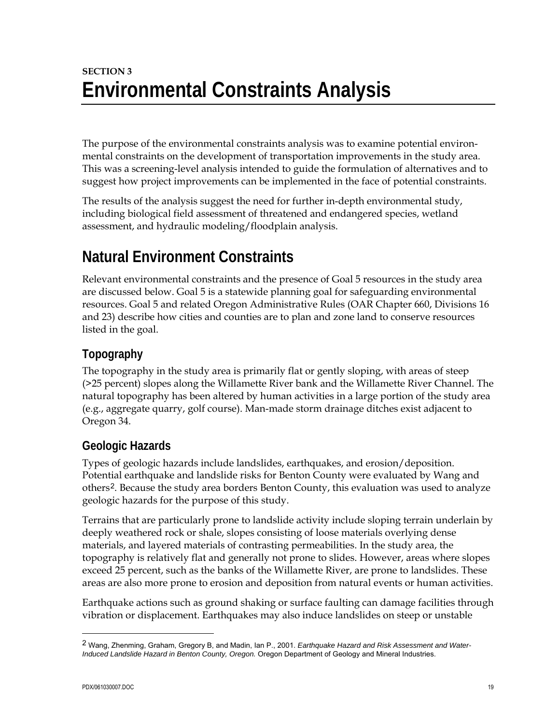## <span id="page-26-0"></span>**SECTION 3 Environmental Constraints Analysis**

The purpose of the environmental constraints analysis was to examine potential environmental constraints on the development of transportation improvements in the study area. This was a screening-level analysis intended to guide the formulation of alternatives and to suggest how project improvements can be implemented in the face of potential constraints.

The results of the analysis suggest the need for further in-depth environmental study, including biological field assessment of threatened and endangered species, wetland assessment, and hydraulic modeling/floodplain analysis.

## **Natural Environment Constraints**

Relevant environmental constraints and the presence of Goal 5 resources in the study area are discussed below. Goal 5 is a statewide planning goal for safeguarding environmental resources. Goal 5 and related Oregon Administrative Rules (OAR Chapter 660, Divisions 16 and 23) describe how cities and counties are to plan and zone land to conserve resources listed in the goal.

### **Topography**

The topography in the study area is primarily flat or gently sloping, with areas of steep (>25 percent) slopes along the Willamette River bank and the Willamette River Channel. The natural topography has been altered by human activities in a large portion of the study area (e.g., aggregate quarry, golf course). Man-made storm drainage ditches exist adjacent to Oregon 34.

### **Geologic Hazards**

Types of geologic hazards include landslides, earthquakes, and erosion/deposition. Potential earthquake and landslide risks for Benton County were evaluated by Wang and others<sup>[2](#page-26-1)</sup>. Because the study area borders Benton County, this evaluation was used to analyze geologic hazards for the purpose of this study.

Terrains that are particularly prone to landslide activity include sloping terrain underlain by deeply weathered rock or shale, slopes consisting of loose materials overlying dense materials, and layered materials of contrasting permeabilities. In the study area, the topography is relatively flat and generally not prone to slides. However, areas where slopes exceed 25 percent, such as the banks of the Willamette River, are prone to landslides. These areas are also more prone to erosion and deposition from natural events or human activities.

Earthquake actions such as ground shaking or surface faulting can damage facilities through vibration or displacement. Earthquakes may also induce landslides on steep or unstable

<span id="page-26-1"></span><sup>2</sup> Wang, Zhenming, Graham, Gregory B, and Madin, Ian P., 2001. *Earthquake Hazard and Risk Assessment and Water-Induced Landslide Hazard in Benton County, Oregon.* Oregon Department of Geology and Mineral Industries.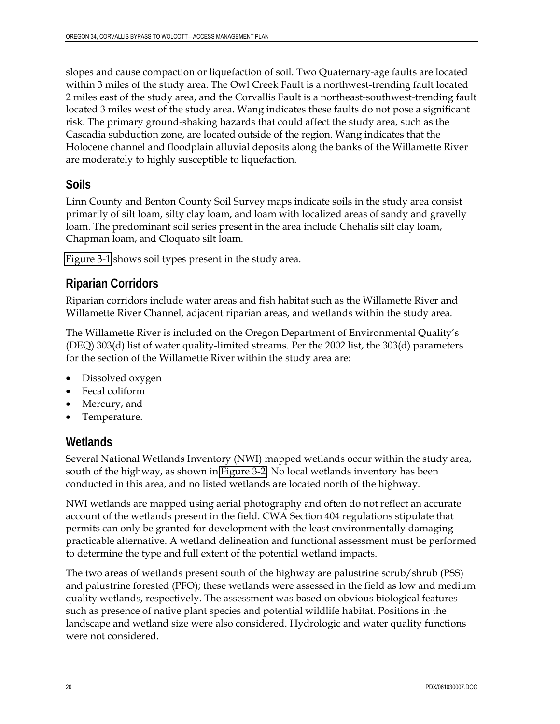<span id="page-27-0"></span>slopes and cause compaction or liquefaction of soil. Two Quaternary-age faults are located within 3 miles of the study area. The Owl Creek Fault is a northwest-trending fault located 2 miles east of the study area, and the Corvallis Fault is a northeast-southwest-trending fault located 3 miles west of the study area. Wang indicates these faults do not pose a significant risk. The primary ground-shaking hazards that could affect the study area, such as the Cascadia subduction zone, are located outside of the region. Wang indicates that the Holocene channel and floodplain alluvial deposits along the banks of the Willamette River are moderately to highly susceptible to liquefaction.

#### **Soils**

Linn County and Benton County Soil Survey maps indicate soils in the study area consist primarily of silt loam, silty clay loam, and loam with localized areas of sandy and gravelly loam. The predominant soil series present in the area include Chehalis silt clay loam, Chapman loam, and Cloquato silt loam.

[Figure 3-1](http://www.oregon.gov/ODOT/HWY/REGION2/docs/area4/US20OR34AMEP/US20/Figure_3_1.pdf) shows soil types present in the study area.

#### **Riparian Corridors**

Riparian corridors include water areas and fish habitat such as the Willamette River and Willamette River Channel, adjacent riparian areas, and wetlands within the study area.

The Willamette River is included on the Oregon Department of Environmental Quality's (DEQ) 303(d) list of water quality-limited streams. Per the 2002 list, the 303(d) parameters for the section of the Willamette River within the study area are:

- Dissolved oxygen
- Fecal coliform
- Mercury, and
- Temperature.

#### **Wetlands**

Several National Wetlands Inventory (NWI) mapped wetlands occur within the study area, south of the highway, as shown in [Figure 3-2.](http://www.oregon.gov/ODOT/HWY/REGION2/docs/area4/US20OR34AMEP/US20/Figure_3_2.pdf) No local wetlands inventory has been conducted in this area, and no listed wetlands are located north of the highway.

NWI wetlands are mapped using aerial photography and often do not reflect an accurate account of the wetlands present in the field. CWA Section 404 regulations stipulate that permits can only be granted for development with the least environmentally damaging practicable alternative. A wetland delineation and functional assessment must be performed to determine the type and full extent of the potential wetland impacts.

The two areas of wetlands present south of the highway are palustrine scrub/shrub (PSS) and palustrine forested (PFO); these wetlands were assessed in the field as low and medium quality wetlands, respectively. The assessment was based on obvious biological features such as presence of native plant species and potential wildlife habitat. Positions in the landscape and wetland size were also considered. Hydrologic and water quality functions were not considered.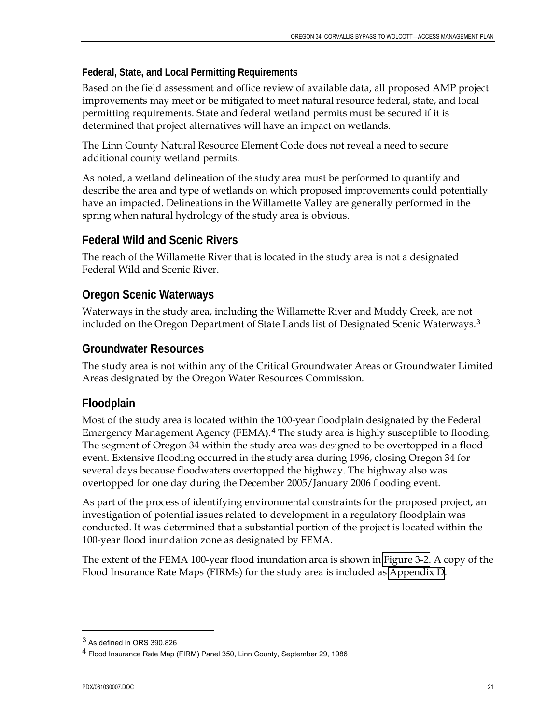#### <span id="page-28-0"></span>**Federal, State, and Local Permitting Requirements**

Based on the field assessment and office review of available data, all proposed AMP project improvements may meet or be mitigated to meet natural resource federal, state, and local permitting requirements. State and federal wetland permits must be secured if it is determined that project alternatives will have an impact on wetlands.

The Linn County Natural Resource Element Code does not reveal a need to secure additional county wetland permits.

As noted, a wetland delineation of the study area must be performed to quantify and describe the area and type of wetlands on which proposed improvements could potentially have an impacted. Delineations in the Willamette Valley are generally performed in the spring when natural hydrology of the study area is obvious.

#### **Federal Wild and Scenic Rivers**

The reach of the Willamette River that is located in the study area is not a designated Federal Wild and Scenic River.

### **Oregon Scenic Waterways**

Waterways in the study area, including the Willamette River and Muddy Creek, are not included on the Oregon Department of State Lands list of Designated Scenic Waterways.<sup>[3](#page-28-1)</sup>

#### **Groundwater Resources**

The study area is not within any of the Critical Groundwater Areas or Groundwater Limited Areas designated by the Oregon Water Resources Commission.

### **Floodplain**

Most of the study area is located within the 100-year floodplain designated by the Federal Emergency Management Agency (FEMA).[4](#page-28-2) The study area is highly susceptible to flooding. The segment of Oregon 34 within the study area was designed to be overtopped in a flood event. Extensive flooding occurred in the study area during 1996, closing Oregon 34 for several days because floodwaters overtopped the highway. The highway also was overtopped for one day during the December 2005/January 2006 flooding event.

As part of the process of identifying environmental constraints for the proposed project, an investigation of potential issues related to development in a regulatory floodplain was conducted. It was determined that a substantial portion of the project is located within the 100-year flood inundation zone as designated by FEMA.

The extent of the FEMA 100-year flood inundation area is shown in [Figure 3-2.](http://www.oregon.gov/ODOT/HWY/REGION2/docs/area4/US20OR34AMEP/US20/Figure_3_2.pdf) A copy of the Flood Insurance Rate Maps (FIRMs) for the study area is included as [Appendix D](http://www.oregon.gov/ODOT/HWY/REGION2/docs/area4/US20OR34AMEP/US20/Appendix_D.pdf).

<span id="page-28-1"></span><sup>3</sup> As defined in ORS 390.826

<span id="page-28-2"></span><sup>4</sup> Flood Insurance Rate Map (FIRM) Panel 350, Linn County, September 29, 1986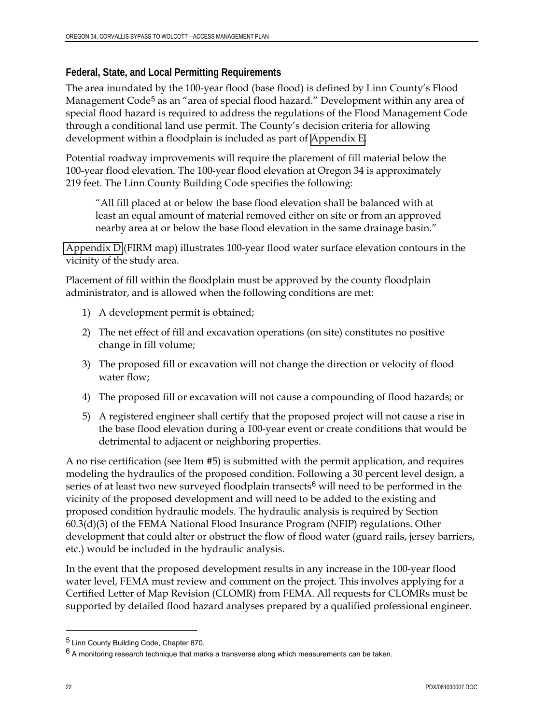#### **Federal, State, and Local Permitting Requirements**

The area inundated by the 100-year flood (base flood) is defined by Linn County's Flood Management Code<sup>[5](#page-29-0)</sup> as an "area of special flood hazard." Development within any area of special flood hazard is required to address the regulations of the Flood Management Code through a conditional land use permit. The County's decision criteria for allowing development within a floodplain is included as part of [Appendix E.](http://www.oregon.gov/ODOT/HWY/REGION2/docs/area4/US20OR34AMEP/US20/Appendix_E.pdf)

Potential roadway improvements will require the placement of fill material below the 100-year flood elevation. The 100-year flood elevation at Oregon 34 is approximately 219 feet. The Linn County Building Code specifies the following:

"All fill placed at or below the base flood elevation shall be balanced with at least an equal amount of material removed either on site or from an approved nearby area at or below the base flood elevation in the same drainage basin."

[Appendix D](http://www.oregon.gov/ODOT/HWY/REGION2/docs/area4/US20OR34AMEP/US20/Appendix_D.pdf) (FIRM map) illustrates 100-year flood water surface elevation contours in the vicinity of the study area.

Placement of fill within the floodplain must be approved by the county floodplain administrator, and is allowed when the following conditions are met:

- 1) A development permit is obtained;
- 2) The net effect of fill and excavation operations (on site) constitutes no positive change in fill volume;
- 3) The proposed fill or excavation will not change the direction or velocity of flood water flow;
- 4) The proposed fill or excavation will not cause a compounding of flood hazards; or
- 5) A registered engineer shall certify that the proposed project will not cause a rise in the base flood elevation during a 100-year event or create conditions that would be detrimental to adjacent or neighboring properties.

A no rise certification (see Item #5) is submitted with the permit application, and requires modeling the hydraulics of the proposed condition. Following a 30 percent level design, a series of at least two new surveyed floodplain transects<sup>[6](#page-29-1)</sup> will need to be performed in the vicinity of the proposed development and will need to be added to the existing and proposed condition hydraulic models. The hydraulic analysis is required by Section 60.3(d)(3) of the FEMA National Flood Insurance Program (NFIP) regulations. Other development that could alter or obstruct the flow of flood water (guard rails, jersey barriers, etc.) would be included in the hydraulic analysis.

In the event that the proposed development results in any increase in the 100-year flood water level, FEMA must review and comment on the project. This involves applying for a Certified Letter of Map Revision (CLOMR) from FEMA. All requests for CLOMRs must be supported by detailed flood hazard analyses prepared by a qualified professional engineer.

<u>.</u>

<span id="page-29-0"></span><sup>5</sup> Linn County Building Code, Chapter 870.

<span id="page-29-1"></span> $6$  A monitoring research technique that marks a transverse along which measurements can be taken.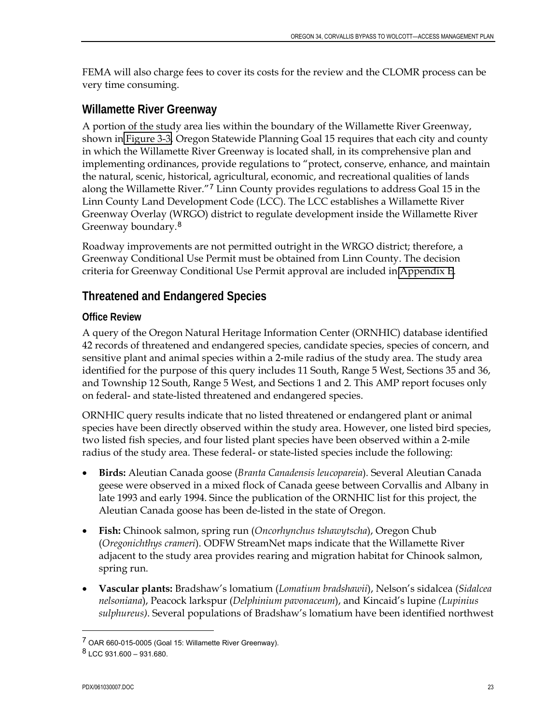<span id="page-30-0"></span>FEMA will also charge fees to cover its costs for the review and the CLOMR process can be very time consuming.

### **Willamette River Greenway**

A portion of the study area lies within the boundary of the Willamette River Greenway, shown in [Figure 3-3.](http://www.oregon.gov/ODOT/HWY/REGION2/docs/area4/US20OR34AMEP/US20/Figure_3_3.pdf) Oregon Statewide Planning Goal 15 requires that each city and county in which the Willamette River Greenway is located shall, in its comprehensive plan and implementing ordinances, provide regulations to "protect, conserve, enhance, and maintain the natural, scenic, historical, agricultural, economic, and recreational qualities of lands along the Willamette River."[7](#page-30-1) Linn County provides regulations to address Goal 15 in the Linn County Land Development Code (LCC). The LCC establishes a Willamette River Greenway Overlay (WRGO) district to regulate development inside the Willamette River Greenway boundary.[8](#page-30-2)

Roadway improvements are not permitted outright in the WRGO district; therefore, a Greenway Conditional Use Permit must be obtained from Linn County. The decision criteria for Greenway Conditional Use Permit approval are included in [Appendix E.](http://www.oregon.gov/ODOT/HWY/REGION2/docs/area4/US20OR34AMEP/US20/Appendix_E.pdf)

### **Threatened and Endangered Species**

#### **Office Review**

A query of the Oregon Natural Heritage Information Center (ORNHIC) database identified 42 records of threatened and endangered species, candidate species, species of concern, and sensitive plant and animal species within a 2-mile radius of the study area. The study area identified for the purpose of this query includes 11 South, Range 5 West, Sections 35 and 36, and Township 12 South, Range 5 West, and Sections 1 and 2. This AMP report focuses only on federal- and state-listed threatened and endangered species.

ORNHIC query results indicate that no listed threatened or endangered plant or animal species have been directly observed within the study area. However, one listed bird species, two listed fish species, and four listed plant species have been observed within a 2-mile radius of the study area. These federal- or state-listed species include the following:

- **Birds:** Aleutian Canada goose (*Branta Canadensis leucopareia*). Several Aleutian Canada geese were observed in a mixed flock of Canada geese between Corvallis and Albany in late 1993 and early 1994. Since the publication of the ORNHIC list for this project, the Aleutian Canada goose has been de-listed in the state of Oregon.
- **Fish:** Chinook salmon, spring run (*Oncorhynchus tshawytscha*), Oregon Chub (*Oregonichthys crameri*). ODFW StreamNet maps indicate that the Willamette River adjacent to the study area provides rearing and migration habitat for Chinook salmon, spring run.
- **Vascular plants:** Bradshaw's lomatium (*Lomatium bradshawii*), Nelson's sidalcea (*Sidalcea nelsoniana*), Peacock larkspur (*Delphinium pavonaceum*), and Kincaid's lupine *(Lupinius sulphureus)*. Several populations of Bradshaw's lomatium have been identified northwest

<span id="page-30-1"></span><sup>7</sup> OAR 660-015-0005 (Goal 15: Willamette River Greenway).

<span id="page-30-2"></span><sup>8</sup> LCC 931.600 – 931.680.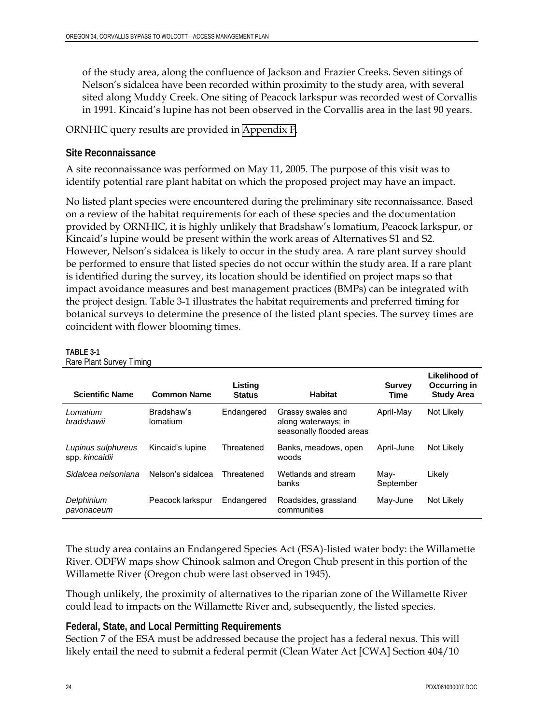of the study area, along the confluence of Jackson and Frazier Creeks. Seven sitings of Nelson's sidalcea have been recorded within proximity to the study area, with several sited along Muddy Creek. One siting of Peacock larkspur was recorded west of Corvallis in 1991. Kincaid's lupine has not been observed in the Corvallis area in the last 90 years.

ORNHIC query results are provided in [Appendix F](http://www.oregon.gov/ODOT/HWY/REGION2/docs/area4/US20OR34AMEP/US20/Appendix_F.pdf).

#### **Site Reconnaissance**

A site reconnaissance was performed on May 11, 2005. The purpose of this visit was to identify potential rare plant habitat on which the proposed project may have an impact.

No listed plant species were encountered during the preliminary site reconnaissance. Based on a review of the habitat requirements for each of these species and the documentation provided by ORNHIC, it is highly unlikely that Bradshaw's lomatium, Peacock larkspur, or Kincaid's lupine would be present within the work areas of Alternatives S1 and S2. However, Nelson's sidalcea is likely to occur in the study area. A rare plant survey should be performed to ensure that listed species do not occur within the study area. If a rare plant is identified during the survey, its location should be identified on project maps so that impact avoidance measures and best management practices (BMPs) can be integrated with the project design. Table 3-1 illustrates the habitat requirements and preferred timing for botanical surveys to determine the presence of the listed plant species. The survey times are coincident with flower blooming times.

#### **TABLE 3-1**

| Rare Plant Survey Timing |  |
|--------------------------|--|
|                          |  |

| <b>Scientific Name</b>               | <b>Common Name</b>     | Listing<br><b>Status</b> | <b>Habitat</b>                                                       | <b>Survey</b><br>Time | Likelihood of<br>Occurring in<br><b>Study Area</b> |
|--------------------------------------|------------------------|--------------------------|----------------------------------------------------------------------|-----------------------|----------------------------------------------------|
| Lomatium<br>bradshawii               | Bradshaw's<br>lomatium | Endangered               | Grassy swales and<br>along waterways; in<br>seasonally flooded areas | April-May             | Not Likely                                         |
| Lupinus sulphureus<br>spp. kincaidii | Kincaid's lupine       | Threatened               | Banks, meadows, open<br>woods                                        | April-June            | Not Likely                                         |
| Sidalcea nelsoniana                  | Nelson's sidalcea      | Threatened               | Wetlands and stream<br>banks                                         | May-<br>September     | Likely                                             |
| Delphinium<br>pavonaceum             | Peacock larkspur       | Endangered               | Roadsides, grassland<br>communities                                  | May-June              | Not Likely                                         |

The study area contains an Endangered Species Act (ESA)-listed water body: the Willamette River. ODFW maps show Chinook salmon and Oregon Chub present in this portion of the Willamette River (Oregon chub were last observed in 1945).

Though unlikely, the proximity of alternatives to the riparian zone of the Willamette River could lead to impacts on the Willamette River and, subsequently, the listed species.

#### **Federal, State, and Local Permitting Requirements**

Section 7 of the ESA must be addressed because the project has a federal nexus. This will likely entail the need to submit a federal permit (Clean Water Act [CWA] Section 404/10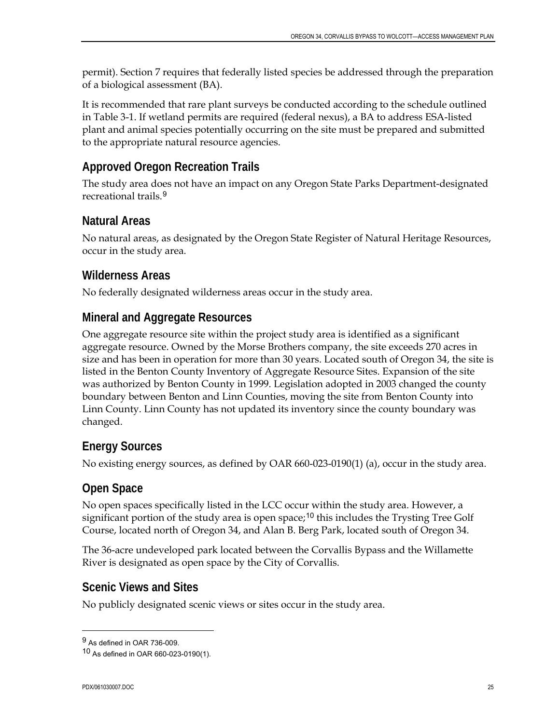<span id="page-32-0"></span>permit). Section 7 requires that federally listed species be addressed through the preparation of a biological assessment (BA).

It is recommended that rare plant surveys be conducted according to the schedule outlined in Table 3-1. If wetland permits are required (federal nexus), a BA to address ESA-listed plant and animal species potentially occurring on the site must be prepared and submitted to the appropriate natural resource agencies.

### **Approved Oregon Recreation Trails**

The study area does not have an impact on any Oregon State Parks Department-designated recreational trails.[9](#page-32-1)

### **Natural Areas**

No natural areas, as designated by the Oregon State Register of Natural Heritage Resources, occur in the study area.

### **Wilderness Areas**

No federally designated wilderness areas occur in the study area.

### **Mineral and Aggregate Resources**

One aggregate resource site within the project study area is identified as a significant aggregate resource. Owned by the Morse Brothers company, the site exceeds 270 acres in size and has been in operation for more than 30 years. Located south of Oregon 34, the site is listed in the Benton County Inventory of Aggregate Resource Sites. Expansion of the site was authorized by Benton County in 1999. Legislation adopted in 2003 changed the county boundary between Benton and Linn Counties, moving the site from Benton County into Linn County. Linn County has not updated its inventory since the county boundary was changed.

### **Energy Sources**

No existing energy sources, as defined by OAR 660-023-0190(1) (a), occur in the study area.

#### **Open Space**

No open spaces specifically listed in the LCC occur within the study area. However, a significant portion of the study area is open space;<sup>[10](#page-32-2)</sup> this includes the Trysting Tree Golf Course, located north of Oregon 34, and Alan B. Berg Park, located south of Oregon 34.

The 36-acre undeveloped park located between the Corvallis Bypass and the Willamette River is designated as open space by the City of Corvallis.

#### **Scenic Views and Sites**

No publicly designated scenic views or sites occur in the study area.

<span id="page-32-1"></span><sup>9</sup> As defined in OAR 736-009.

<span id="page-32-2"></span><sup>10</sup> As defined in OAR 660-023-0190(1).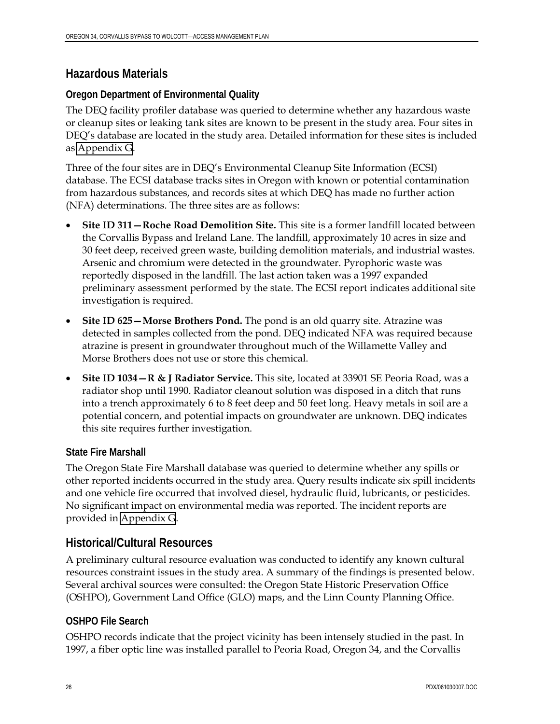#### <span id="page-33-0"></span>**Hazardous Materials**

#### **Oregon Department of Environmental Quality**

The DEQ facility profiler database was queried to determine whether any hazardous waste or cleanup sites or leaking tank sites are known to be present in the study area. Four sites in DEQ's database are located in the study area. Detailed information for these sites is included as [Appendix G](http://www.oregon.gov/ODOT/HWY/REGION2/docs/area4/US20OR34AMEP/US20/Appendix_G.pdf).

Three of the four sites are in DEQ's Environmental Cleanup Site Information (ECSI) database. The ECSI database tracks sites in Oregon with known or potential contamination from hazardous substances, and records sites at which DEQ has made no further action (NFA) determinations. The three sites are as follows:

- **Site ID 311—Roche Road Demolition Site.** This site is a former landfill located between the Corvallis Bypass and Ireland Lane. The landfill, approximately 10 acres in size and 30 feet deep, received green waste, building demolition materials, and industrial wastes. Arsenic and chromium were detected in the groundwater. Pyrophoric waste was reportedly disposed in the landfill. The last action taken was a 1997 expanded preliminary assessment performed by the state. The ECSI report indicates additional site investigation is required.
- **Site ID 625—Morse Brothers Pond.** The pond is an old quarry site. Atrazine was detected in samples collected from the pond. DEQ indicated NFA was required because atrazine is present in groundwater throughout much of the Willamette Valley and Morse Brothers does not use or store this chemical.
- **Site ID 1034—R & J Radiator Service.** This site, located at 33901 SE Peoria Road, was a radiator shop until 1990. Radiator cleanout solution was disposed in a ditch that runs into a trench approximately 6 to 8 feet deep and 50 feet long. Heavy metals in soil are a potential concern, and potential impacts on groundwater are unknown. DEQ indicates this site requires further investigation.

#### **State Fire Marshall**

The Oregon State Fire Marshall database was queried to determine whether any spills or other reported incidents occurred in the study area. Query results indicate six spill incidents and one vehicle fire occurred that involved diesel, hydraulic fluid, lubricants, or pesticides. No significant impact on environmental media was reported. The incident reports are provided in [Appendix G](http://www.oregon.gov/ODOT/HWY/REGION2/docs/area4/US20OR34AMEP/US20/Appendix_G.pdf).

#### **Historical/Cultural Resources**

A preliminary cultural resource evaluation was conducted to identify any known cultural resources constraint issues in the study area. A summary of the findings is presented below. Several archival sources were consulted: the Oregon State Historic Preservation Office (OSHPO), Government Land Office (GLO) maps, and the Linn County Planning Office.

#### **OSHPO File Search**

OSHPO records indicate that the project vicinity has been intensely studied in the past. In 1997, a fiber optic line was installed parallel to Peoria Road, Oregon 34, and the Corvallis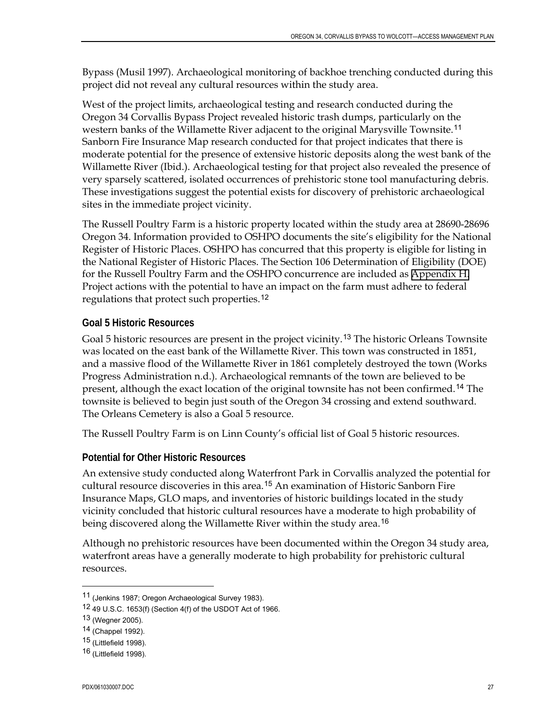Bypass (Musil 1997). Archaeological monitoring of backhoe trenching conducted during this project did not reveal any cultural resources within the study area.

West of the project limits, archaeological testing and research conducted during the Oregon 34 Corvallis Bypass Project revealed historic trash dumps, particularly on the western banks of the Willamette River adjacent to the original Marysville Townsite.<sup>[11](#page-34-0)</sup> Sanborn Fire Insurance Map research conducted for that project indicates that there is moderate potential for the presence of extensive historic deposits along the west bank of the Willamette River (Ibid.). Archaeological testing for that project also revealed the presence of very sparsely scattered, isolated occurrences of prehistoric stone tool manufacturing debris. These investigations suggest the potential exists for discovery of prehistoric archaeological sites in the immediate project vicinity.

The Russell Poultry Farm is a historic property located within the study area at 28690-28696 Oregon 34. Information provided to OSHPO documents the site's eligibility for the National Register of Historic Places. OSHPO has concurred that this property is eligible for listing in the National Register of Historic Places. The Section 106 Determination of Eligibility (DOE) for the Russell Poultry Farm and the OSHPO concurrence are included as [Appendix H.](http://www.oregon.gov/ODOT/HWY/REGION2/docs/area4/US20OR34AMEP/US20/Appendix_H.pdf) Project actions with the potential to have an impact on the farm must adhere to federal regulations that protect such properties.<sup>[1](#page-34-1)2</sup>

#### **Goal 5 Historic Resources**

Goal 5 historic resources are present in the project vicinity.<sup>[13](#page-34-2)</sup> The historic Orleans Townsite was located on the east bank of the Willamette River. This town was constructed in 1851, and a massive flood of the Willamette River in 1861 completely destroyed the town (Works Progress Administration n.d.). Archaeological remnants of the town are believed to be present, although the exact location of the original townsite has not been confirmed.[1](#page-34-3)4 The townsite is believed to begin just south of the Oregon 34 crossing and extend southward. The Orleans Cemetery is also a Goal 5 resource.

The Russell Poultry Farm is on Linn County's official list of Goal 5 historic resources.

#### **Potential for Other Historic Resources**

An extensive study conducted along Waterfront Park in Corvallis analyzed the potential for cultural resource discoveries in this area.[1](#page-34-4)5 An examination of Historic Sanborn Fire Insurance Maps, GLO maps, and inventories of historic buildings located in the study vicinity concluded that historic cultural resources have a moderate to high probability of being discovered along the Willamette River within the study area.<sup>[16](#page-34-5)</sup>

Although no prehistoric resources have been documented within the Oregon 34 study area, waterfront areas have a generally moderate to high probability for prehistoric cultural resources.

<span id="page-34-0"></span><sup>11 (</sup>Jenkins 1987; Oregon Archaeological Survey 1983).

<span id="page-34-1"></span><sup>12 49</sup> U.S.C. 1653(f) (Section 4(f) of the USDOT Act of 1966.

<span id="page-34-2"></span><sup>13 (</sup>Wegner 2005).

<span id="page-34-4"></span><span id="page-34-3"></span><sup>14 (</sup>Chappel 1992).

<sup>15 (</sup>Littlefield 1998).

<span id="page-34-5"></span><sup>16 (</sup>Littlefield 1998).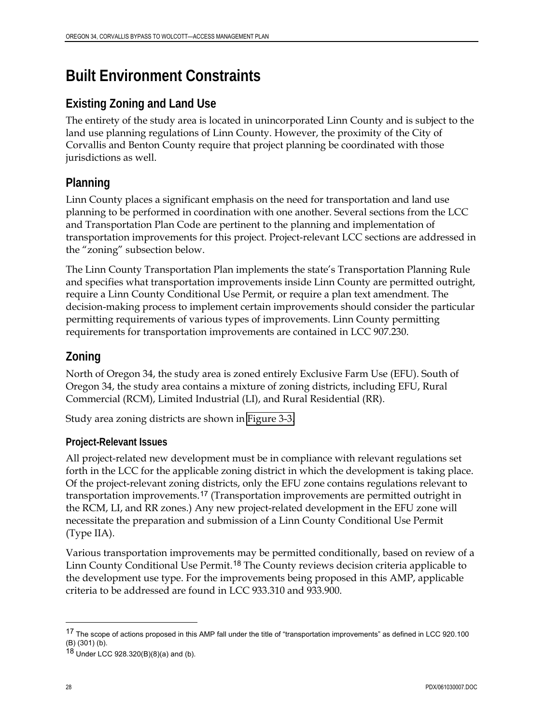## <span id="page-35-0"></span>**Built Environment Constraints**

### **Existing Zoning and Land Use**

The entirety of the study area is located in unincorporated Linn County and is subject to the land use planning regulations of Linn County. However, the proximity of the City of Corvallis and Benton County require that project planning be coordinated with those jurisdictions as well.

### **Planning**

Linn County places a significant emphasis on the need for transportation and land use planning to be performed in coordination with one another. Several sections from the LCC and Transportation Plan Code are pertinent to the planning and implementation of transportation improvements for this project. Project-relevant LCC sections are addressed in the "zoning" subsection below.

The Linn County Transportation Plan implements the state's Transportation Planning Rule and specifies what transportation improvements inside Linn County are permitted outright, require a Linn County Conditional Use Permit, or require a plan text amendment. The decision-making process to implement certain improvements should consider the particular permitting requirements of various types of improvements. Linn County permitting requirements for transportation improvements are contained in LCC 907.230.

## **Zoning**

North of Oregon 34, the study area is zoned entirely Exclusive Farm Use (EFU). South of Oregon 34, the study area contains a mixture of zoning districts, including EFU, Rural Commercial (RCM), Limited Industrial (LI), and Rural Residential (RR).

Study area zoning districts are shown in [Figure 3-3.](http://www.oregon.gov/ODOT/HWY/REGION2/docs/area4/US20OR34AMEP/US20/Figure_3_3.pdf)

#### **Project-Relevant Issues**

All project-related new development must be in compliance with relevant regulations set forth in the LCC for the applicable zoning district in which the development is taking place. Of the project-relevant zoning districts, only the EFU zone contains regulations relevant to transportation improvements.[1](#page-35-1)7 (Transportation improvements are permitted outright in the RCM, LI, and RR zones.) Any new project-related development in the EFU zone will necessitate the preparation and submission of a Linn County Conditional Use Permit (Type IIA).

Various transportation improvements may be permitted conditionally, based on review of a Linn County Conditional Use Permit.<sup>[1](#page-35-2)8</sup> The County reviews decision criteria applicable to the development use type. For the improvements being proposed in this AMP, applicable criteria to be addressed are found in LCC 933.310 and 933.900.

<span id="page-35-1"></span><sup>17</sup> The scope of actions proposed in this AMP fall under the title of "transportation improvements" as defined in LCC 920.100 (B) (301) (b).

<span id="page-35-2"></span><sup>18</sup> Under LCC 928.320(B)(8)(a) and (b).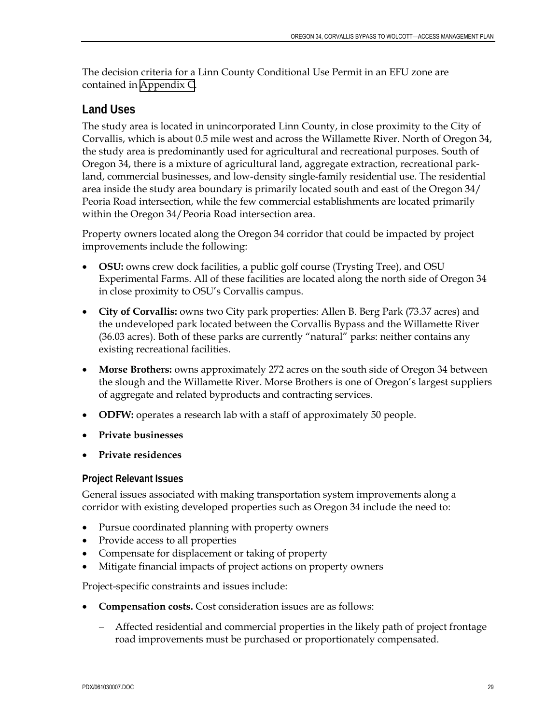The decision criteria for a Linn County Conditional Use Permit in an EFU zone are contained in [Appendix C.](http://www.oregon.gov/ODOT/HWY/REGION2/docs/area4/US20OR34AMEP/US20/Appendix_C.pdf)

## **Land Uses**

The study area is located in unincorporated Linn County, in close proximity to the City of Corvallis, which is about 0.5 mile west and across the Willamette River. North of Oregon 34, the study area is predominantly used for agricultural and recreational purposes. South of Oregon 34, there is a mixture of agricultural land, aggregate extraction, recreational parkland, commercial businesses, and low-density single-family residential use. The residential area inside the study area boundary is primarily located south and east of the Oregon 34/ Peoria Road intersection, while the few commercial establishments are located primarily within the Oregon 34/Peoria Road intersection area.

Property owners located along the Oregon 34 corridor that could be impacted by project improvements include the following:

- **OSU:** owns crew dock facilities, a public golf course (Trysting Tree), and OSU Experimental Farms. All of these facilities are located along the north side of Oregon 34 in close proximity to OSU's Corvallis campus.
- **City of Corvallis:** owns two City park properties: Allen B. Berg Park (73.37 acres) and the undeveloped park located between the Corvallis Bypass and the Willamette River (36.03 acres). Both of these parks are currently "natural" parks: neither contains any existing recreational facilities.
- **Morse Brothers:** owns approximately 272 acres on the south side of Oregon 34 between the slough and the Willamette River. Morse Brothers is one of Oregon's largest suppliers of aggregate and related byproducts and contracting services.
- **ODFW:** operates a research lab with a staff of approximately 50 people.
- **Private businesses**
- **Private residences**

#### **Project Relevant Issues**

General issues associated with making transportation system improvements along a corridor with existing developed properties such as Oregon 34 include the need to:

- Pursue coordinated planning with property owners
- Provide access to all properties
- Compensate for displacement or taking of property
- Mitigate financial impacts of project actions on property owners

Project-specific constraints and issues include:

- **Compensation costs.** Cost consideration issues are as follows:
	- − Affected residential and commercial properties in the likely path of project frontage road improvements must be purchased or proportionately compensated.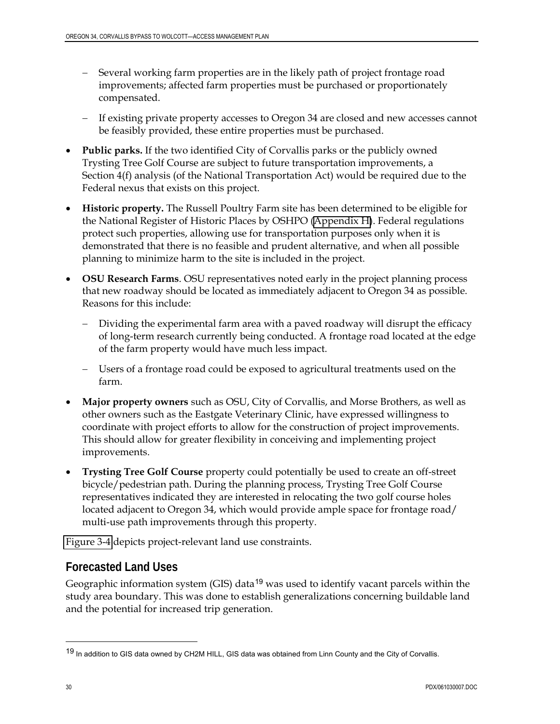- − Several working farm properties are in the likely path of project frontage road improvements; affected farm properties must be purchased or proportionately compensated.
- − If existing private property accesses to Oregon 34 are closed and new accesses cannot be feasibly provided, these entire properties must be purchased.
- **Public parks.** If the two identified City of Corvallis parks or the publicly owned Trysting Tree Golf Course are subject to future transportation improvements, a Section 4(f) analysis (of the National Transportation Act) would be required due to the Federal nexus that exists on this project.
- **Historic property.** The Russell Poultry Farm site has been determined to be eligible for the National Register of Historic Places by OSHPO [\(Appendix H\)](http://www.oregon.gov/ODOT/HWY/REGION2/docs/area4/US20OR34AMEP/US20/Appendix_H.pdf). Federal regulations protect such properties, allowing use for transportation purposes only when it is demonstrated that there is no feasible and prudent alternative, and when all possible planning to minimize harm to the site is included in the project.
- **OSU Research Farms**. OSU representatives noted early in the project planning process that new roadway should be located as immediately adjacent to Oregon 34 as possible. Reasons for this include:
	- − Dividing the experimental farm area with a paved roadway will disrupt the efficacy of long-term research currently being conducted. A frontage road located at the edge of the farm property would have much less impact.
	- − Users of a frontage road could be exposed to agricultural treatments used on the farm.
- **Major property owners** such as OSU, City of Corvallis, and Morse Brothers, as well as other owners such as the Eastgate Veterinary Clinic, have expressed willingness to coordinate with project efforts to allow for the construction of project improvements. This should allow for greater flexibility in conceiving and implementing project improvements.
- **Trysting Tree Golf Course** property could potentially be used to create an off-street bicycle/ pedestrian path. During the planning process, Trysting Tree Golf Course representatives indicated they are interested in relocating the two golf course holes located adjacent to Oregon 34, which would provide ample space for frontage road/ multi-use path improvements through this property.

[Figure 3-4](http://www.oregon.gov/ODOT/HWY/REGION2/docs/area4/US20OR34AMEP/US20/Figure_3_4.pdf) depicts project-relevant land use constraints.

### **Forecasted Land Uses**

Geographic information system (GIS) data<sup>[1](#page-37-0)9</sup> was used to identify vacant parcels within the study area boundary. This was done to establish generalizations concerning buildable land and the potential for increased trip generation.

-

<span id="page-37-0"></span><sup>&</sup>lt;sup>19</sup> In addition to GIS data owned by CH2M HILL, GIS data was obtained from Linn County and the City of Corvallis.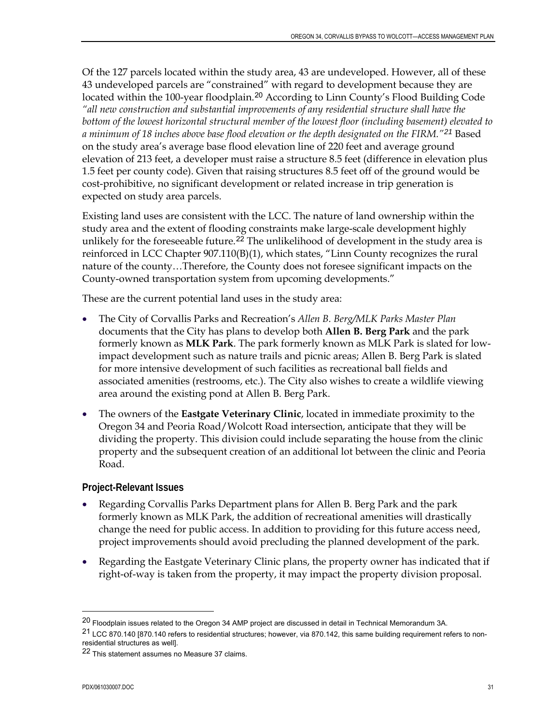Of the 127 parcels located within the study area, 43 are undeveloped. However, all of these 43 undeveloped parcels are "constrained" with regard to development because they are located within the 100-year floodplain.<sup>[20](#page-38-0)</sup> According to Linn County's Flood Building Code *"all new construction and substantial improvements of any residential structure shall have the bottom of the lowest horizontal structural member of the lowest floor (including basement) elevated to a minimum of 18 inches above base flood elevation or the depth designated on the FIRM."[2](#page-38-1)1* Based on the study area's average base flood elevation line of 220 feet and average ground elevation of 213 feet, a developer must raise a structure 8.5 feet (difference in elevation plus 1.5 feet per county code). Given that raising structures 8.5 feet off of the ground would be cost-prohibitive, no significant development or related increase in trip generation is expected on study area parcels.

Existing land uses are consistent with the LCC. The nature of land ownership within the study area and the extent of flooding constraints make large-scale development highly unlikely for the foreseeable future.<sup>[22](#page-38-2)</sup> The unlikelihood of development in the study area is reinforced in LCC Chapter 907.110(B)(1), which states, "Linn County recognizes the rural nature of the county…Therefore, the County does not foresee significant impacts on the County-owned transportation system from upcoming developments."

These are the current potential land uses in the study area:

- The City of Corvallis Parks and Recreation's *Allen B. Berg/MLK Parks Master Plan*  documents that the City has plans to develop both **Allen B. Berg Park** and the park formerly known as **MLK Park**. The park formerly known as MLK Park is slated for lowimpact development such as nature trails and picnic areas; Allen B. Berg Park is slated for more intensive development of such facilities as recreational ball fields and associated amenities (restrooms, etc.). The City also wishes to create a wildlife viewing area around the existing pond at Allen B. Berg Park.
- The owners of the **Eastgate Veterinary Clinic**, located in immediate proximity to the Oregon 34 and Peoria Road/Wolcott Road intersection, anticipate that they will be dividing the property. This division could include separating the house from the clinic property and the subsequent creation of an additional lot between the clinic and Peoria Road.

#### **Project-Relevant Issues**

- Regarding Corvallis Parks Department plans for Allen B. Berg Park and the park formerly known as MLK Park, the addition of recreational amenities will drastically change the need for public access. In addition to providing for this future access need, project improvements should avoid precluding the planned development of the park.
- Regarding the Eastgate Veterinary Clinic plans, the property owner has indicated that if right-of-way is taken from the property, it may impact the property division proposal.

<u>.</u>

<span id="page-38-0"></span><sup>&</sup>lt;sup>20</sup> Floodplain issues related to the Oregon 34 AMP project are discussed in detail in Technical Memorandum 3A.

<span id="page-38-1"></span><sup>21</sup> LCC 870.140 [870.140 refers to residential structures; however, via 870.142, this same building requirement refers to nonresidential structures as well].

<span id="page-38-2"></span><sup>22</sup> This statement assumes no Measure 37 claims.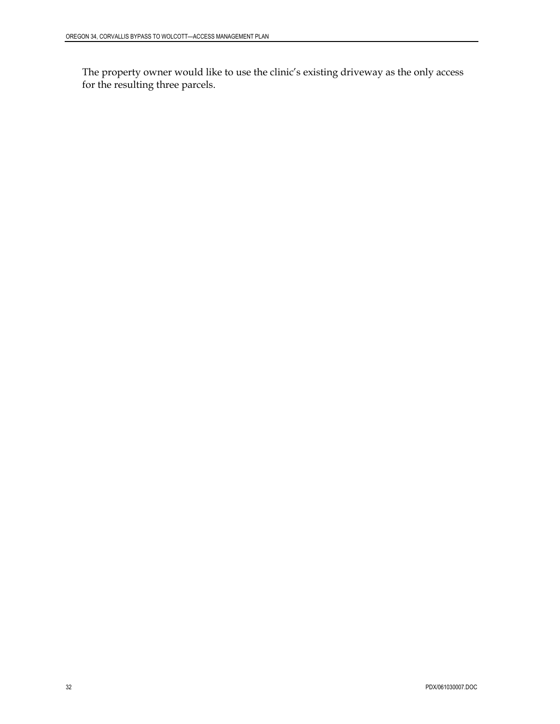The property owner would like to use the clinic's existing driveway as the only access for the resulting three parcels.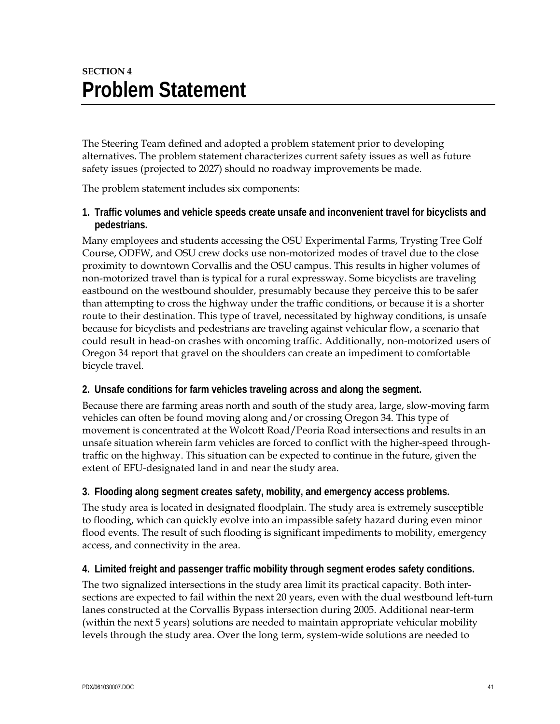# **SECTION 4 Problem Statement**

The Steering Team defined and adopted a problem statement prior to developing alternatives. The problem statement characterizes current safety issues as well as future safety issues (projected to 2027) should no roadway improvements be made.

The problem statement includes six components:

**1. Traffic volumes and vehicle speeds create unsafe and inconvenient travel for bicyclists and pedestrians.** 

Many employees and students accessing the OSU Experimental Farms, Trysting Tree Golf Course, ODFW, and OSU crew docks use non-motorized modes of travel due to the close proximity to downtown Corvallis and the OSU campus. This results in higher volumes of non-motorized travel than is typical for a rural expressway. Some bicyclists are traveling eastbound on the westbound shoulder, presumably because they perceive this to be safer than attempting to cross the highway under the traffic conditions, or because it is a shorter route to their destination. This type of travel, necessitated by highway conditions, is unsafe because for bicyclists and pedestrians are traveling against vehicular flow, a scenario that could result in head-on crashes with oncoming traffic. Additionally, non-motorized users of Oregon 34 report that gravel on the shoulders can create an impediment to comfortable bicycle travel.

#### **2. Unsafe conditions for farm vehicles traveling across and along the segment.**

Because there are farming areas north and south of the study area, large, slow-moving farm vehicles can often be found moving along and/or crossing Oregon 34. This type of movement is concentrated at the Wolcott Road/Peoria Road intersections and results in an unsafe situation wherein farm vehicles are forced to conflict with the higher-speed throughtraffic on the highway. This situation can be expected to continue in the future, given the extent of EFU-designated land in and near the study area.

#### **3. Flooding along segment creates safety, mobility, and emergency access problems.**

The study area is located in designated floodplain. The study area is extremely susceptible to flooding, which can quickly evolve into an impassible safety hazard during even minor flood events. The result of such flooding is significant impediments to mobility, emergency access, and connectivity in the area.

### **4. Limited freight and passenger traffic mobility through segment erodes safety conditions.**

The two signalized intersections in the study area limit its practical capacity. Both intersections are expected to fail within the next 20 years, even with the dual westbound left-turn lanes constructed at the Corvallis Bypass intersection during 2005. Additional near-term (within the next 5 years) solutions are needed to maintain appropriate vehicular mobility levels through the study area. Over the long term, system-wide solutions are needed to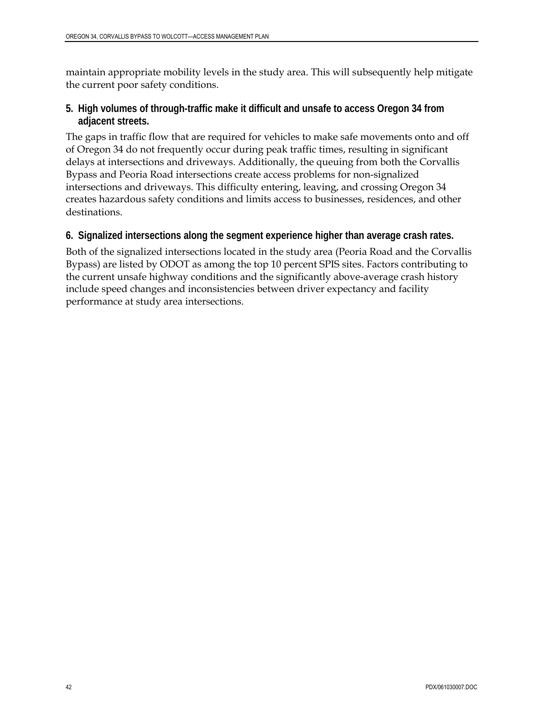maintain appropriate mobility levels in the study area. This will subsequently help mitigate the current poor safety conditions.

**5. High volumes of through-traffic make it difficult and unsafe to access Oregon 34 from adjacent streets.** 

The gaps in traffic flow that are required for vehicles to make safe movements onto and off of Oregon 34 do not frequently occur during peak traffic times, resulting in significant delays at intersections and driveways. Additionally, the queuing from both the Corvallis Bypass and Peoria Road intersections create access problems for non-signalized intersections and driveways. This difficulty entering, leaving, and crossing Oregon 34 creates hazardous safety conditions and limits access to businesses, residences, and other destinations.

### **6. Signalized intersections along the segment experience higher than average crash rates.**

Both of the signalized intersections located in the study area (Peoria Road and the Corvallis Bypass) are listed by ODOT as among the top 10 percent SPIS sites. Factors contributing to the current unsafe highway conditions and the significantly above-average crash history include speed changes and inconsistencies between driver expectancy and facility performance at study area intersections.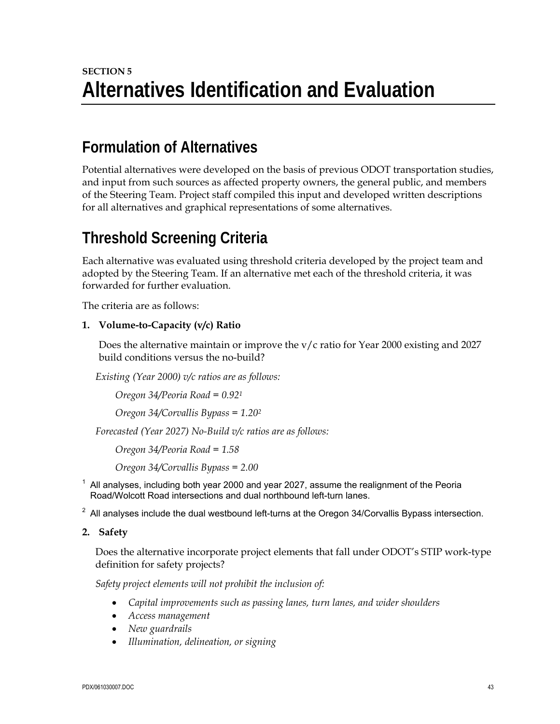# **Formulation of Alternatives**

Potential alternatives were developed on the basis of previous ODOT transportation studies, and input from such sources as affected property owners, the general public, and members of the Steering Team. Project staff compiled this input and developed written descriptions for all alternatives and graphical representations of some alternatives.

# **Threshold Screening Criteria**

Each alternative was evaluated using threshold criteria developed by the project team and adopted by the Steering Team. If an alternative met each of the threshold criteria, it was forwarded for further evaluation.

The criteria are as follows:

### **1. Volume-to-Capacity (v/c) Ratio**

Does the alternative maintain or improve the  $v/c$  ratio for Year 2000 existing and 2027 build conditions versus the no-build?

*Existing (Year 2000) v/c ratios are as follows:* 

*Oregon 34/Peoria Road = 0.921*

*Oregon 34/Corvallis Bypass = 1.202*

*Forecasted (Year 2027) No-Build v/c ratios are as follows:* 

*Oregon 34/Peoria Road = 1.58* 

*Oregon 34/Corvallis Bypass = 2.00* 

 $<sup>1</sup>$  All analyses, including both year 2000 and year 2027, assume the realignment of the Peoria</sup> Road/Wolcott Road intersections and dual northbound left-turn lanes.

 $2$  All analyses include the dual westbound left-turns at the Oregon 34/Corvallis Bypass intersection.

**2. Safety** 

Does the alternative incorporate project elements that fall under ODOT's STIP work-type definition for safety projects?

*Safety project elements will not prohibit the inclusion of:* 

- *Capital improvements such as passing lanes, turn lanes, and wider shoulders*
- *Access management*
- *New guardrails*
- *Illumination, delineation, or signing*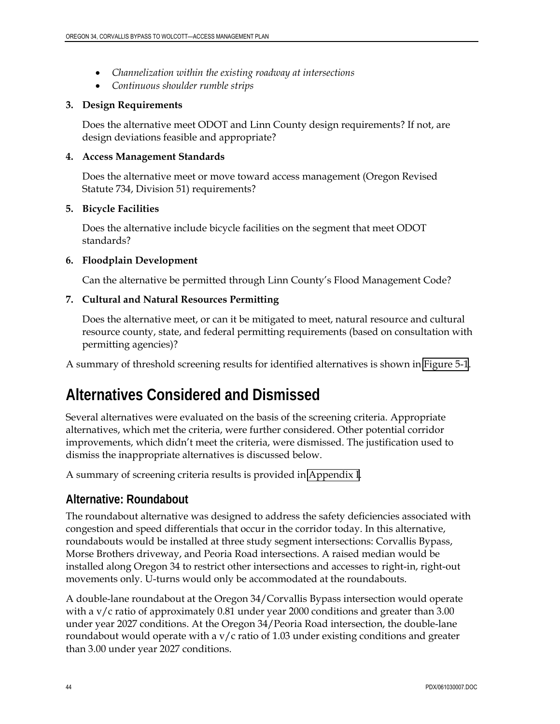- *Channelization within the existing roadway at intersections*
- *Continuous shoulder rumble strips*

#### **3. Design Requirements**

Does the alternative meet ODOT and Linn County design requirements? If not, are design deviations feasible and appropriate?

#### **4. Access Management Standards**

Does the alternative meet or move toward access management (Oregon Revised Statute 734, Division 51) requirements?

#### **5. Bicycle Facilities**

Does the alternative include bicycle facilities on the segment that meet ODOT standards?

#### **6. Floodplain Development**

Can the alternative be permitted through Linn County's Flood Management Code?

#### **7. Cultural and Natural Resources Permitting**

Does the alternative meet, or can it be mitigated to meet, natural resource and cultural resource county, state, and federal permitting requirements (based on consultation with permitting agencies)?

A summary of threshold screening results for identified alternatives is shown in [Figure 5-1](http://www.oregon.gov/ODOT/HWY/REGION2/docs/area4/US20OR34AMEP/US20/Figure_5_1.pdf).

# **Alternatives Considered and Dismissed**

Several alternatives were evaluated on the basis of the screening criteria. Appropriate alternatives, which met the criteria, were further considered. Other potential corridor improvements, which didn't meet the criteria, were dismissed. The justification used to dismiss the inappropriate alternatives is discussed below.

A summary of screening criteria results is provided in [Appendix I.](http://www.oregon.gov/ODOT/HWY/REGION2/docs/area4/US20OR34AMEP/US20/Appendix_I.pdf)

### **Alternative: Roundabout**

The roundabout alternative was designed to address the safety deficiencies associated with congestion and speed differentials that occur in the corridor today. In this alternative, roundabouts would be installed at three study segment intersections: Corvallis Bypass, Morse Brothers driveway, and Peoria Road intersections. A raised median would be installed along Oregon 34 to restrict other intersections and accesses to right-in, right-out movements only. U-turns would only be accommodated at the roundabouts.

A double-lane roundabout at the Oregon 34/Corvallis Bypass intersection would operate with a v/c ratio of approximately 0.81 under year 2000 conditions and greater than 3.00 under year 2027 conditions. At the Oregon 34/Peoria Road intersection, the double-lane roundabout would operate with a  $v/c$  ratio of 1.03 under existing conditions and greater than 3.00 under year 2027 conditions.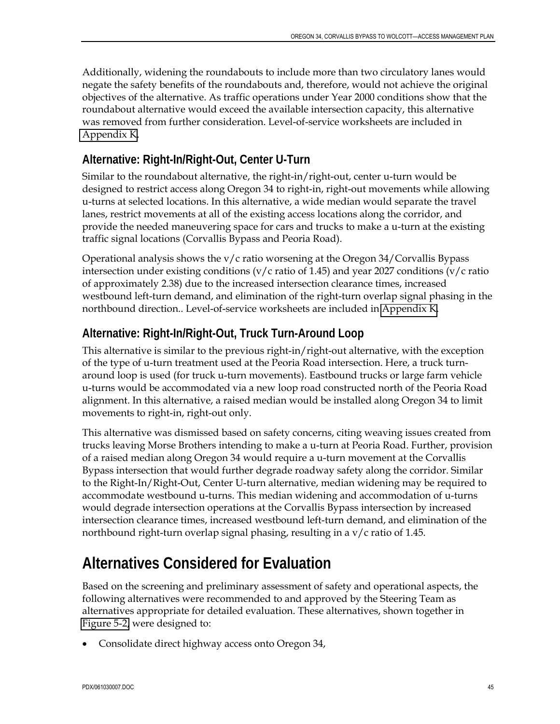Additionally, widening the roundabouts to include more than two circulatory lanes would negate the safety benefits of the roundabouts and, therefore, would not achieve the original objectives of the alternative. As traffic operations under Year 2000 conditions show that the roundabout alternative would exceed the available intersection capacity, this alternative was removed from further consideration. Level-of-service worksheets are included in [Appendix K.](http://www.oregon.gov/ODOT/HWY/REGION2/docs/area4/US20OR34AMEP/US20/Appendix_K.pdf)

## **Alternative: Right-In/Right-Out, Center U-Turn**

Similar to the roundabout alternative, the right-in/right-out, center u-turn would be designed to restrict access along Oregon 34 to right-in, right-out movements while allowing u-turns at selected locations. In this alternative, a wide median would separate the travel lanes, restrict movements at all of the existing access locations along the corridor, and provide the needed maneuvering space for cars and trucks to make a u-turn at the existing traffic signal locations (Corvallis Bypass and Peoria Road).

Operational analysis shows the  $v/c$  ratio worsening at the Oregon 34/Corvallis Bypass intersection under existing conditions (v/c ratio of 1.45) and year 2027 conditions (v/c ratio of approximately 2.38) due to the increased intersection clearance times, increased westbound left-turn demand, and elimination of the right-turn overlap signal phasing in the northbound direction.. Level-of-service worksheets are included in [Appendix K.](http://www.oregon.gov/ODOT/HWY/REGION2/docs/area4/US20OR34AMEP/US20/Appendix_K.pdf)

## **Alternative: Right-In/Right-Out, Truck Turn-Around Loop**

This alternative is similar to the previous right-in/right-out alternative, with the exception of the type of u-turn treatment used at the Peoria Road intersection. Here, a truck turnaround loop is used (for truck u-turn movements). Eastbound trucks or large farm vehicle u-turns would be accommodated via a new loop road constructed north of the Peoria Road alignment. In this alternative, a raised median would be installed along Oregon 34 to limit movements to right-in, right-out only.

This alternative was dismissed based on safety concerns, citing weaving issues created from trucks leaving Morse Brothers intending to make a u-turn at Peoria Road. Further, provision of a raised median along Oregon 34 would require a u-turn movement at the Corvallis Bypass intersection that would further degrade roadway safety along the corridor. Similar to the Right-In/Right-Out, Center U-turn alternative, median widening may be required to accommodate westbound u-turns. This median widening and accommodation of u-turns would degrade intersection operations at the Corvallis Bypass intersection by increased intersection clearance times, increased westbound left-turn demand, and elimination of the northbound right-turn overlap signal phasing, resulting in a v/c ratio of 1.45.

# **Alternatives Considered for Evaluation**

Based on the screening and preliminary assessment of safety and operational aspects, the following alternatives were recommended to and approved by the Steering Team as alternatives appropriate for detailed evaluation. These alternatives, shown together in [Figure 5-2,](http://www.oregon.gov/ODOT/HWY/REGION2/docs/area4/US20OR34AMEP/US20/Figure_5_2.pdf) were designed to:

• Consolidate direct highway access onto Oregon 34,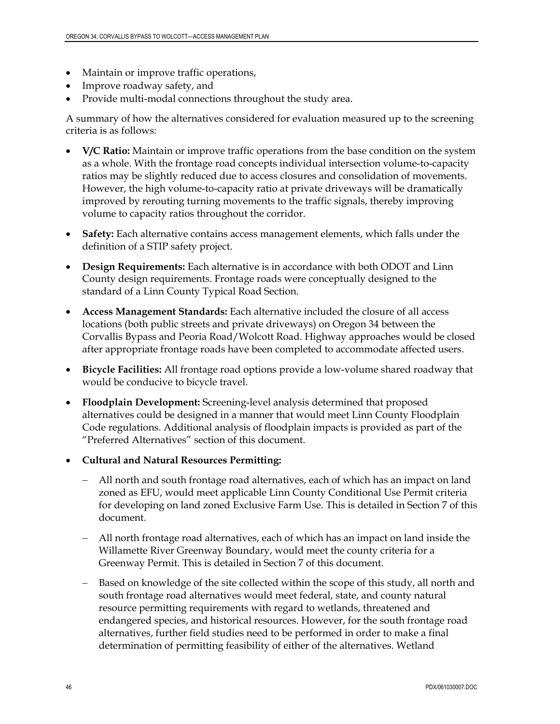- Maintain or improve traffic operations,
- Improve roadway safety, and
- Provide multi-modal connections throughout the study area.

A summary of how the alternatives considered for evaluation measured up to the screening criteria is as follows:

- **V/C Ratio:** Maintain or improve traffic operations from the base condition on the system as a whole. With the frontage road concepts individual intersection volume-to-capacity ratios may be slightly reduced due to access closures and consolidation of movements. However, the high volume-to-capacity ratio at private driveways will be dramatically improved by rerouting turning movements to the traffic signals, thereby improving volume to capacity ratios throughout the corridor.
- **Safety:** Each alternative contains access management elements, which falls under the definition of a STIP safety project.
- **Design Requirements:** Each alternative is in accordance with both ODOT and Linn County design requirements. Frontage roads were conceptually designed to the standard of a Linn County Typical Road Section.
- **Access Management Standards:** Each alternative included the closure of all access locations (both public streets and private driveways) on Oregon 34 between the Corvallis Bypass and Peoria Road/Wolcott Road. Highway approaches would be closed after appropriate frontage roads have been completed to accommodate affected users.
- **Bicycle Facilities:** All frontage road options provide a low-volume shared roadway that would be conducive to bicycle travel.
- **Floodplain Development:** Screening-level analysis determined that proposed alternatives could be designed in a manner that would meet Linn County Floodplain Code regulations. Additional analysis of floodplain impacts is provided as part of the "Preferred Alternatives" section of this document.
- **Cultural and Natural Resources Permitting:** 
	- − All north and south frontage road alternatives, each of which has an impact on land zoned as EFU, would meet applicable Linn County Conditional Use Permit criteria for developing on land zoned Exclusive Farm Use. This is detailed in Section 7 of this document.
	- − All north frontage road alternatives, each of which has an impact on land inside the Willamette River Greenway Boundary, would meet the county criteria for a Greenway Permit. This is detailed in Section 7 of this document.
	- − Based on knowledge of the site collected within the scope of this study, all north and south frontage road alternatives would meet federal, state, and county natural resource permitting requirements with regard to wetlands, threatened and endangered species, and historical resources. However, for the south frontage road alternatives, further field studies need to be performed in order to make a final determination of permitting feasibility of either of the alternatives. Wetland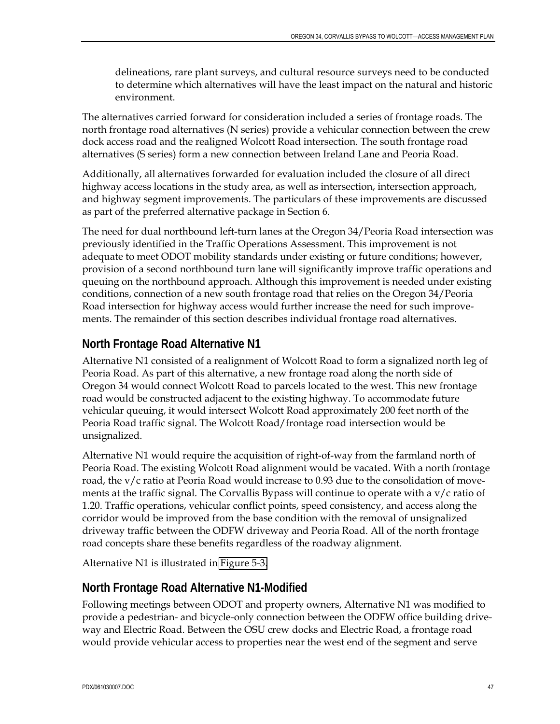delineations, rare plant surveys, and cultural resource surveys need to be conducted to determine which alternatives will have the least impact on the natural and historic environment.

The alternatives carried forward for consideration included a series of frontage roads. The north frontage road alternatives (N series) provide a vehicular connection between the crew dock access road and the realigned Wolcott Road intersection. The south frontage road alternatives (S series) form a new connection between Ireland Lane and Peoria Road.

Additionally, all alternatives forwarded for evaluation included the closure of all direct highway access locations in the study area, as well as intersection, intersection approach, and highway segment improvements. The particulars of these improvements are discussed as part of the preferred alternative package in Section 6.

The need for dual northbound left-turn lanes at the Oregon 34/Peoria Road intersection was previously identified in the Traffic Operations Assessment. This improvement is not adequate to meet ODOT mobility standards under existing or future conditions; however, provision of a second northbound turn lane will significantly improve traffic operations and queuing on the northbound approach. Although this improvement is needed under existing conditions, connection of a new south frontage road that relies on the Oregon 34/Peoria Road intersection for highway access would further increase the need for such improvements. The remainder of this section describes individual frontage road alternatives.

## **North Frontage Road Alternative N1**

Alternative N1 consisted of a realignment of Wolcott Road to form a signalized north leg of Peoria Road. As part of this alternative, a new frontage road along the north side of Oregon 34 would connect Wolcott Road to parcels located to the west. This new frontage road would be constructed adjacent to the existing highway. To accommodate future vehicular queuing, it would intersect Wolcott Road approximately 200 feet north of the Peoria Road traffic signal. The Wolcott Road/frontage road intersection would be unsignalized.

Alternative N1 would require the acquisition of right-of-way from the farmland north of Peoria Road. The existing Wolcott Road alignment would be vacated. With a north frontage road, the v/c ratio at Peoria Road would increase to 0.93 due to the consolidation of movements at the traffic signal. The Corvallis Bypass will continue to operate with a v/c ratio of 1.20. Traffic operations, vehicular conflict points, speed consistency, and access along the corridor would be improved from the base condition with the removal of unsignalized driveway traffic between the ODFW driveway and Peoria Road. All of the north frontage road concepts share these benefits regardless of the roadway alignment.

Alternative N1 is illustrated in [Figure 5-3.](http://www.oregon.gov/ODOT/HWY/REGION2/docs/area4/US20OR34AMEP/US20/Figure_5_3.pdf)

## **North Frontage Road Alternative N1-Modified**

Following meetings between ODOT and property owners, Alternative N1 was modified to provide a pedestrian- and bicycle-only connection between the ODFW office building driveway and Electric Road. Between the OSU crew docks and Electric Road, a frontage road would provide vehicular access to properties near the west end of the segment and serve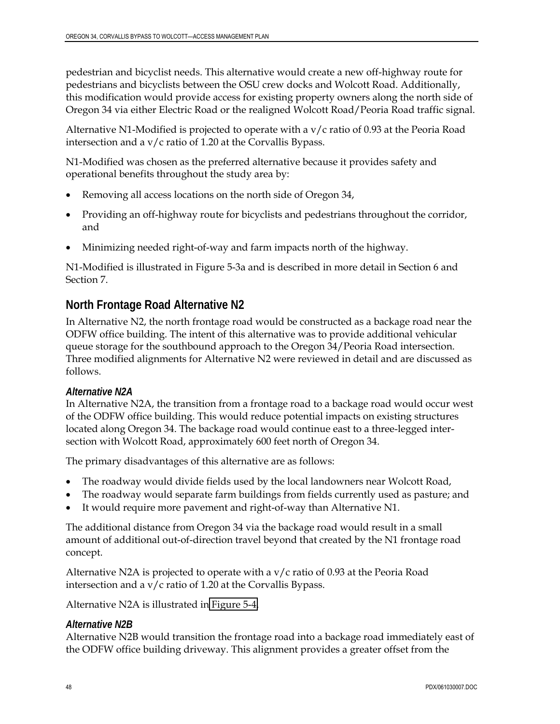pedestrian and bicyclist needs. This alternative would create a new off-highway route for pedestrians and bicyclists between the OSU crew docks and Wolcott Road. Additionally, this modification would provide access for existing property owners along the north side of Oregon 34 via either Electric Road or the realigned Wolcott Road/Peoria Road traffic signal.

Alternative N1-Modified is projected to operate with a v/c ratio of 0.93 at the Peoria Road intersection and a  $v/c$  ratio of 1.20 at the Corvallis Bypass.

N1-Modified was chosen as the preferred alternative because it provides safety and operational benefits throughout the study area by:

- Removing all access locations on the north side of Oregon 34,
- Providing an off-highway route for bicyclists and pedestrians throughout the corridor, and
- Minimizing needed right-of-way and farm impacts north of the highway.

N1-Modified is illustrated in Figure 5-3a and is described in more detail in Section 6 and Section 7.

## **North Frontage Road Alternative N2**

In Alternative N2, the north frontage road would be constructed as a backage road near the ODFW office building. The intent of this alternative was to provide additional vehicular queue storage for the southbound approach to the Oregon 34/Peoria Road intersection. Three modified alignments for Alternative N2 were reviewed in detail and are discussed as follows.

#### *Alternative N2A*

In Alternative N2A, the transition from a frontage road to a backage road would occur west of the ODFW office building. This would reduce potential impacts on existing structures located along Oregon 34. The backage road would continue east to a three-legged intersection with Wolcott Road, approximately 600 feet north of Oregon 34.

The primary disadvantages of this alternative are as follows:

- The roadway would divide fields used by the local landowners near Wolcott Road,
- The roadway would separate farm buildings from fields currently used as pasture; and
- It would require more pavement and right-of-way than Alternative N1.

The additional distance from Oregon 34 via the backage road would result in a small amount of additional out-of-direction travel beyond that created by the N1 frontage road concept.

Alternative N2A is projected to operate with a v/c ratio of 0.93 at the Peoria Road intersection and a  $v/c$  ratio of 1.20 at the Corvallis Bypass.

Alternative N2A is illustrated in [Figure 5-4.](http://www.oregon.gov/ODOT/HWY/REGION2/docs/area4/US20OR34AMEP/US20/Figure_5_4.pdf)

#### *Alternative N2B*

Alternative N2B would transition the frontage road into a backage road immediately east of the ODFW office building driveway. This alignment provides a greater offset from the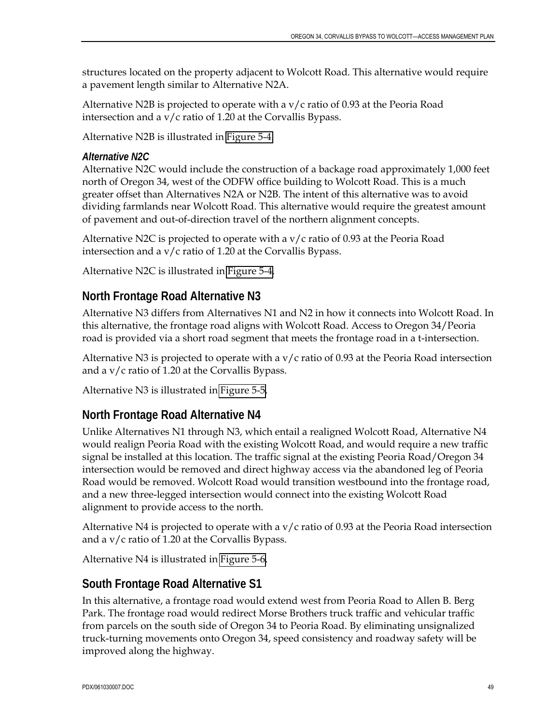structures located on the property adjacent to Wolcott Road. This alternative would require a pavement length similar to Alternative N2A.

Alternative N2B is projected to operate with a  $v/c$  ratio of 0.93 at the Peoria Road intersection and a  $v/c$  ratio of 1.20 at the Corvallis Bypass.

Alternative N2B is illustrated in [Figure 5-4.](http://www.oregon.gov/ODOT/HWY/REGION2/docs/area4/US20OR34AMEP/US20/Figure_5_4.pdf)

### *Alternative N2C*

Alternative N2C would include the construction of a backage road approximately 1,000 feet north of Oregon 34, west of the ODFW office building to Wolcott Road. This is a much greater offset than Alternatives N2A or N2B. The intent of this alternative was to avoid dividing farmlands near Wolcott Road. This alternative would require the greatest amount of pavement and out-of-direction travel of the northern alignment concepts.

Alternative N2C is projected to operate with a  $v/c$  ratio of 0.93 at the Peoria Road intersection and a  $v/c$  ratio of 1.20 at the Corvallis Bypass.

Alternative N2C is illustrated in [Figure 5-4.](http://www.oregon.gov/ODOT/HWY/REGION2/docs/area4/US20OR34AMEP/US20/Figure_5_4.pdf)

## **North Frontage Road Alternative N3**

Alternative N3 differs from Alternatives N1 and N2 in how it connects into Wolcott Road. In this alternative, the frontage road aligns with Wolcott Road. Access to Oregon 34/Peoria road is provided via a short road segment that meets the frontage road in a t-intersection.

Alternative N3 is projected to operate with a  $v/c$  ratio of 0.93 at the Peoria Road intersection and a v/c ratio of 1.20 at the Corvallis Bypass.

Alternative N3 is illustrated in [Figure 5-5](http://www.oregon.gov/ODOT/HWY/REGION2/docs/area4/US20OR34AMEP/US20/Figure_5_5.pdf).

## **North Frontage Road Alternative N4**

Unlike Alternatives N1 through N3, which entail a realigned Wolcott Road, Alternative N4 would realign Peoria Road with the existing Wolcott Road, and would require a new traffic signal be installed at this location. The traffic signal at the existing Peoria Road/Oregon 34 intersection would be removed and direct highway access via the abandoned leg of Peoria Road would be removed. Wolcott Road would transition westbound into the frontage road, and a new three-legged intersection would connect into the existing Wolcott Road alignment to provide access to the north.

Alternative N4 is projected to operate with a  $v/c$  ratio of 0.93 at the Peoria Road intersection and a v/c ratio of 1.20 at the Corvallis Bypass.

Alternative N4 is illustrated in [Figure 5-6](http://www.oregon.gov/ODOT/HWY/REGION2/docs/area4/US20OR34AMEP/US20/Figure_5_6.pdf).

## **South Frontage Road Alternative S1**

In this alternative, a frontage road would extend west from Peoria Road to Allen B. Berg Park. The frontage road would redirect Morse Brothers truck traffic and vehicular traffic from parcels on the south side of Oregon 34 to Peoria Road. By eliminating unsignalized truck-turning movements onto Oregon 34, speed consistency and roadway safety will be improved along the highway.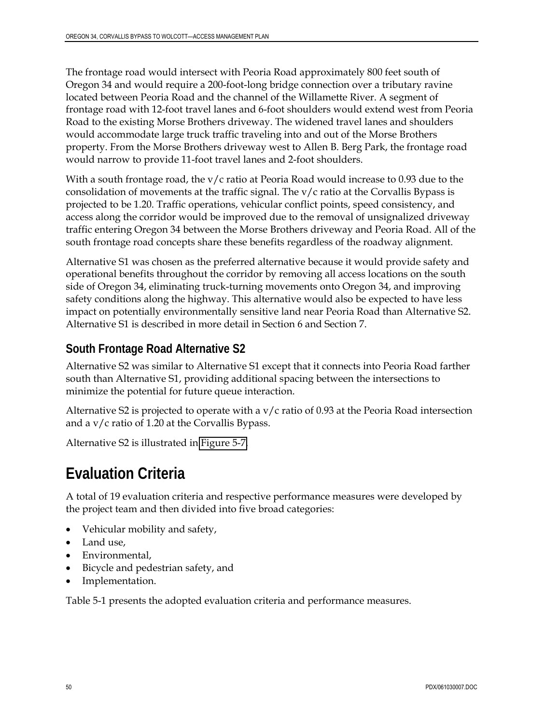The frontage road would intersect with Peoria Road approximately 800 feet south of Oregon 34 and would require a 200-foot-long bridge connection over a tributary ravine located between Peoria Road and the channel of the Willamette River. A segment of frontage road with 12-foot travel lanes and 6-foot shoulders would extend west from Peoria Road to the existing Morse Brothers driveway. The widened travel lanes and shoulders would accommodate large truck traffic traveling into and out of the Morse Brothers property. From the Morse Brothers driveway west to Allen B. Berg Park, the frontage road would narrow to provide 11-foot travel lanes and 2-foot shoulders.

With a south frontage road, the  $v/c$  ratio at Peoria Road would increase to 0.93 due to the consolidation of movements at the traffic signal. The  $v/c$  ratio at the Corvallis Bypass is projected to be 1.20. Traffic operations, vehicular conflict points, speed consistency, and access along the corridor would be improved due to the removal of unsignalized driveway traffic entering Oregon 34 between the Morse Brothers driveway and Peoria Road. All of the south frontage road concepts share these benefits regardless of the roadway alignment.

Alternative S1 was chosen as the preferred alternative because it would provide safety and operational benefits throughout the corridor by removing all access locations on the south side of Oregon 34, eliminating truck-turning movements onto Oregon 34, and improving safety conditions along the highway. This alternative would also be expected to have less impact on potentially environmentally sensitive land near Peoria Road than Alternative S2. Alternative S1 is described in more detail in Section 6 and Section 7.

## **South Frontage Road Alternative S2**

Alternative S2 was similar to Alternative S1 except that it connects into Peoria Road farther south than Alternative S1, providing additional spacing between the intersections to minimize the potential for future queue interaction.

Alternative S2 is projected to operate with a  $v/c$  ratio of 0.93 at the Peoria Road intersection and a v/c ratio of 1.20 at the Corvallis Bypass.

Alternative S2 is illustrated in [Figure 5-7.](http://www.oregon.gov/ODOT/HWY/REGION2/docs/area4/US20OR34AMEP/US20/Figure_5_7.pdf)

# **Evaluation Criteria**

A total of 19 evaluation criteria and respective performance measures were developed by the project team and then divided into five broad categories:

- Vehicular mobility and safety,
- Land use,
- Environmental,
- Bicycle and pedestrian safety, and
- Implementation.

Table 5-1 presents the adopted evaluation criteria and performance measures.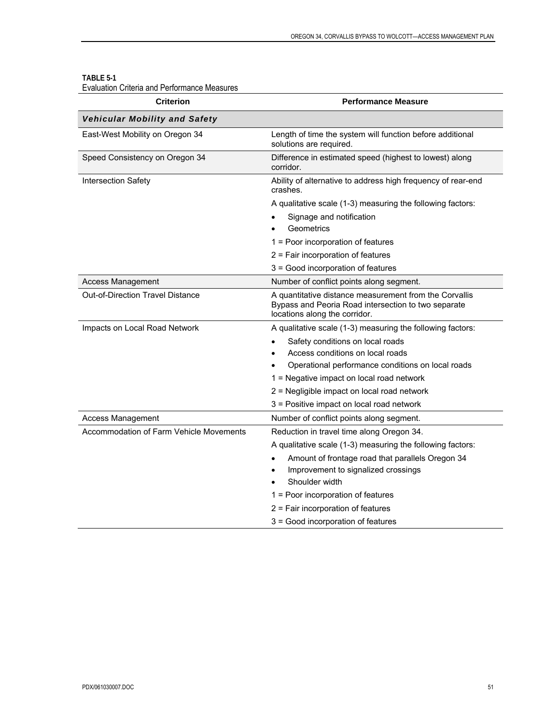| <b>Criterion</b>                        | <b>Performance Measure</b>                                                                                                                     |
|-----------------------------------------|------------------------------------------------------------------------------------------------------------------------------------------------|
| <b>Vehicular Mobility and Safety</b>    |                                                                                                                                                |
| East-West Mobility on Oregon 34         | Length of time the system will function before additional<br>solutions are required.                                                           |
| Speed Consistency on Oregon 34          | Difference in estimated speed (highest to lowest) along<br>corridor.                                                                           |
| Intersection Safety                     | Ability of alternative to address high frequency of rear-end<br>crashes.                                                                       |
|                                         | A qualitative scale (1-3) measuring the following factors:                                                                                     |
|                                         | Signage and notification                                                                                                                       |
|                                         | Geometrics                                                                                                                                     |
|                                         | 1 = Poor incorporation of features                                                                                                             |
|                                         | 2 = Fair incorporation of features                                                                                                             |
|                                         | 3 = Good incorporation of features                                                                                                             |
| <b>Access Management</b>                | Number of conflict points along segment.                                                                                                       |
| Out-of-Direction Travel Distance        | A quantitative distance measurement from the Corvallis<br>Bypass and Peoria Road intersection to two separate<br>locations along the corridor. |
| Impacts on Local Road Network           | A qualitative scale (1-3) measuring the following factors:                                                                                     |
|                                         | Safety conditions on local roads<br>$\bullet$                                                                                                  |
|                                         | Access conditions on local roads                                                                                                               |
|                                         | Operational performance conditions on local roads                                                                                              |
|                                         | 1 = Negative impact on local road network                                                                                                      |
|                                         | 2 = Negligible impact on local road network                                                                                                    |
|                                         | 3 = Positive impact on local road network                                                                                                      |
| <b>Access Management</b>                | Number of conflict points along segment.                                                                                                       |
| Accommodation of Farm Vehicle Movements | Reduction in travel time along Oregon 34.                                                                                                      |
|                                         | A qualitative scale (1-3) measuring the following factors:                                                                                     |
|                                         | Amount of frontage road that parallels Oregon 34                                                                                               |
|                                         | Improvement to signalized crossings                                                                                                            |
|                                         | Shoulder width                                                                                                                                 |
|                                         | 1 = Poor incorporation of features                                                                                                             |
|                                         | 2 = Fair incorporation of features                                                                                                             |
|                                         | 3 = Good incorporation of features                                                                                                             |

#### **TABLE 5-1**

Evaluation Criteria and Performance Measures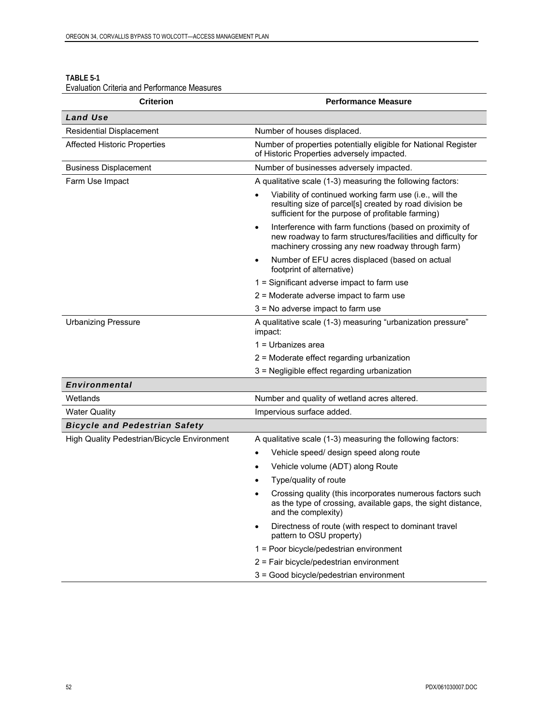| <b>Criterion</b>                            | <b>Performance Measure</b>                                                                                                                                                               |  |
|---------------------------------------------|------------------------------------------------------------------------------------------------------------------------------------------------------------------------------------------|--|
| <b>Land Use</b>                             |                                                                                                                                                                                          |  |
| Residential Displacement                    | Number of houses displaced.                                                                                                                                                              |  |
| <b>Affected Historic Properties</b>         | Number of properties potentially eligible for National Register<br>of Historic Properties adversely impacted.                                                                            |  |
| <b>Business Displacement</b>                | Number of businesses adversely impacted.                                                                                                                                                 |  |
| Farm Use Impact                             | A qualitative scale (1-3) measuring the following factors:                                                                                                                               |  |
|                                             | Viability of continued working farm use (i.e., will the<br>resulting size of parcel[s] created by road division be<br>sufficient for the purpose of profitable farming)                  |  |
|                                             | Interference with farm functions (based on proximity of<br>$\bullet$<br>new roadway to farm structures/facilities and difficulty for<br>machinery crossing any new roadway through farm) |  |
|                                             | Number of EFU acres displaced (based on actual<br>$\bullet$<br>footprint of alternative)                                                                                                 |  |
|                                             | 1 = Significant adverse impact to farm use                                                                                                                                               |  |
|                                             | 2 = Moderate adverse impact to farm use                                                                                                                                                  |  |
|                                             | 3 = No adverse impact to farm use                                                                                                                                                        |  |
| <b>Urbanizing Pressure</b>                  | A qualitative scale (1-3) measuring "urbanization pressure"<br>impact:                                                                                                                   |  |
|                                             | 1 = Urbanizes area                                                                                                                                                                       |  |
|                                             | 2 = Moderate effect regarding urbanization                                                                                                                                               |  |
|                                             | 3 = Negligible effect regarding urbanization                                                                                                                                             |  |
| <b>Environmental</b>                        |                                                                                                                                                                                          |  |
| Wetlands                                    | Number and quality of wetland acres altered.                                                                                                                                             |  |
| <b>Water Quality</b>                        | Impervious surface added.                                                                                                                                                                |  |
| <b>Bicycle and Pedestrian Safety</b>        |                                                                                                                                                                                          |  |
| High Quality Pedestrian/Bicycle Environment | A qualitative scale (1-3) measuring the following factors:                                                                                                                               |  |
|                                             | Vehicle speed/ design speed along route                                                                                                                                                  |  |
|                                             | Vehicle volume (ADT) along Route                                                                                                                                                         |  |
|                                             | Type/quality of route                                                                                                                                                                    |  |
|                                             | Crossing quality (this incorporates numerous factors such<br>as the type of crossing, available gaps, the sight distance,<br>and the complexity)                                         |  |
|                                             | Directness of route (with respect to dominant travel<br>pattern to OSU property)                                                                                                         |  |
|                                             | 1 = Poor bicycle/pedestrian environment                                                                                                                                                  |  |
|                                             | 2 = Fair bicycle/pedestrian environment                                                                                                                                                  |  |
|                                             | 3 = Good bicycle/pedestrian environment                                                                                                                                                  |  |

#### **TABLE 5-1**  Evaluation Criteria and Performance Measures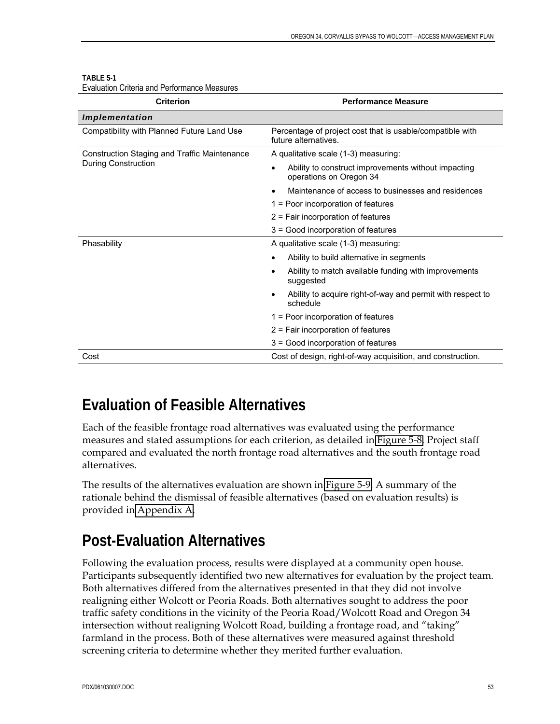| <b>Criterion</b>                                                    | <b>Performance Measure</b>                                                                  |  |
|---------------------------------------------------------------------|---------------------------------------------------------------------------------------------|--|
| Implementation                                                      |                                                                                             |  |
| Compatibility with Planned Future Land Use                          | Percentage of project cost that is usable/compatible with<br>future alternatives.           |  |
| Construction Staging and Traffic Maintenance<br>During Construction | A qualitative scale (1-3) measuring:                                                        |  |
|                                                                     | Ability to construct improvements without impacting<br>$\bullet$<br>operations on Oregon 34 |  |
|                                                                     | Maintenance of access to businesses and residences                                          |  |
|                                                                     | 1 = Poor incorporation of features                                                          |  |
|                                                                     | 2 = Fair incorporation of features                                                          |  |
|                                                                     | 3 = Good incorporation of features                                                          |  |
| Phasability                                                         | A qualitative scale (1-3) measuring:                                                        |  |
|                                                                     | Ability to build alternative in segments<br>$\bullet$                                       |  |
|                                                                     | Ability to match available funding with improvements<br>٠<br>suggested                      |  |
|                                                                     | Ability to acquire right-of-way and permit with respect to<br>schedule                      |  |
|                                                                     | 1 = Poor incorporation of features                                                          |  |
|                                                                     | 2 = Fair incorporation of features                                                          |  |
|                                                                     | 3 = Good incorporation of features                                                          |  |
| Cost                                                                | Cost of design, right-of-way acquisition, and construction.                                 |  |

#### **TABLE 5-1**

Evaluation Criteria and Performance Measures

# **Evaluation of Feasible Alternatives**

Each of the feasible frontage road alternatives was evaluated using the performance measures and stated assumptions for each criterion, as detailed in [Figure 5-8.](http://www.oregon.gov/ODOT/HWY/REGION2/docs/area4/US20OR34AMEP/US20/Figure_5_8.pdf) Project staff compared and evaluated the north frontage road alternatives and the south frontage road alternatives.

The results of the alternatives evaluation are shown in [Figure 5-9.](http://www.oregon.gov/ODOT/HWY/REGION2/docs/area4/US20OR34AMEP/US20/Figure_5_9.pdf) A summary of the rationale behind the dismissal of feasible alternatives (based on evaluation results) is provided in [Appendix A.](http://www.oregon.gov/ODOT/HWY/REGION2/docs/area4/US20OR34AMEP/US20/Appendix_A.pdf)

# **Post-Evaluation Alternatives**

Following the evaluation process, results were displayed at a community open house. Participants subsequently identified two new alternatives for evaluation by the project team. Both alternatives differed from the alternatives presented in that they did not involve realigning either Wolcott or Peoria Roads. Both alternatives sought to address the poor traffic safety conditions in the vicinity of the Peoria Road/Wolcott Road and Oregon 34 intersection without realigning Wolcott Road, building a frontage road, and "taking" farmland in the process. Both of these alternatives were measured against threshold screening criteria to determine whether they merited further evaluation.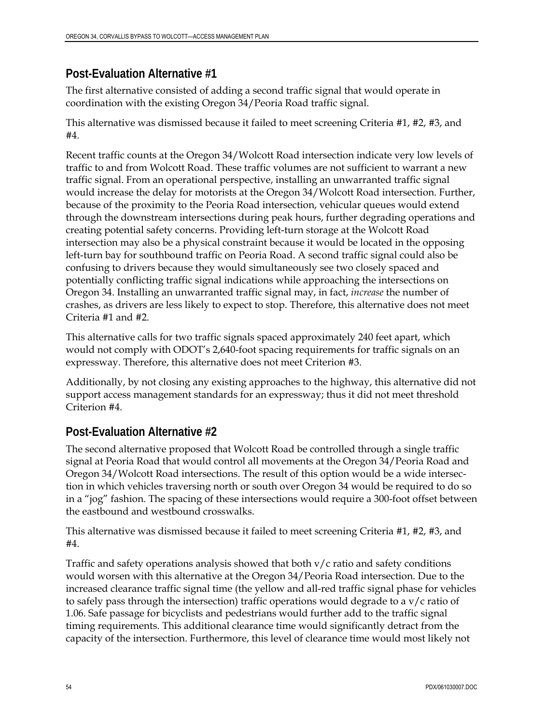## **Post-Evaluation Alternative #1**

The first alternative consisted of adding a second traffic signal that would operate in coordination with the existing Oregon 34/Peoria Road traffic signal.

This alternative was dismissed because it failed to meet screening Criteria #1, #2, #3, and #4.

Recent traffic counts at the Oregon 34/Wolcott Road intersection indicate very low levels of traffic to and from Wolcott Road. These traffic volumes are not sufficient to warrant a new traffic signal. From an operational perspective, installing an unwarranted traffic signal would increase the delay for motorists at the Oregon 34/Wolcott Road intersection. Further, because of the proximity to the Peoria Road intersection, vehicular queues would extend through the downstream intersections during peak hours, further degrading operations and creating potential safety concerns. Providing left-turn storage at the Wolcott Road intersection may also be a physical constraint because it would be located in the opposing left-turn bay for southbound traffic on Peoria Road. A second traffic signal could also be confusing to drivers because they would simultaneously see two closely spaced and potentially conflicting traffic signal indications while approaching the intersections on Oregon 34. Installing an unwarranted traffic signal may, in fact, *increase* the number of crashes, as drivers are less likely to expect to stop. Therefore, this alternative does not meet Criteria #1 and #2.

This alternative calls for two traffic signals spaced approximately 240 feet apart, which would not comply with ODOT's 2,640-foot spacing requirements for traffic signals on an expressway. Therefore, this alternative does not meet Criterion #3.

Additionally, by not closing any existing approaches to the highway, this alternative did not support access management standards for an expressway; thus it did not meet threshold Criterion #4.

## **Post-Evaluation Alternative #2**

The second alternative proposed that Wolcott Road be controlled through a single traffic signal at Peoria Road that would control all movements at the Oregon 34/Peoria Road and Oregon 34/Wolcott Road intersections. The result of this option would be a wide intersection in which vehicles traversing north or south over Oregon 34 would be required to do so in a "jog" fashion. The spacing of these intersections would require a 300-foot offset between the eastbound and westbound crosswalks.

This alternative was dismissed because it failed to meet screening Criteria #1, #2, #3, and #4.

Traffic and safety operations analysis showed that both v/c ratio and safety conditions would worsen with this alternative at the Oregon 34/Peoria Road intersection. Due to the increased clearance traffic signal time (the yellow and all-red traffic signal phase for vehicles to safely pass through the intersection) traffic operations would degrade to a  $v/c$  ratio of 1.06. Safe passage for bicyclists and pedestrians would further add to the traffic signal timing requirements. This additional clearance time would significantly detract from the capacity of the intersection. Furthermore, this level of clearance time would most likely not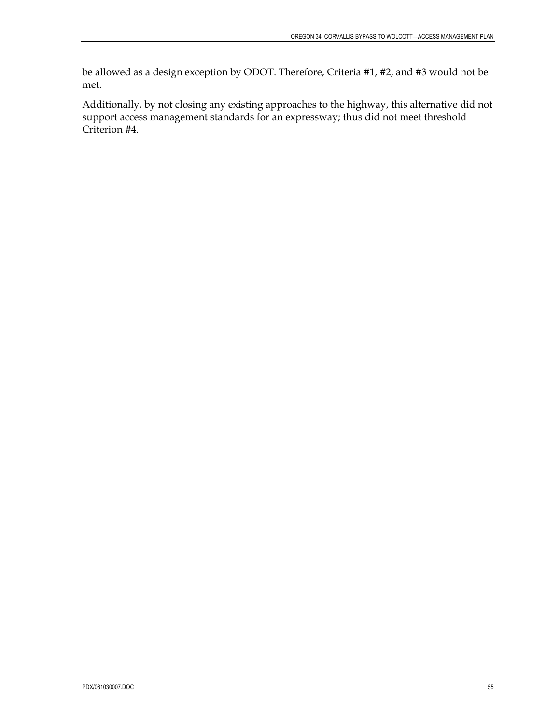be allowed as a design exception by ODOT. Therefore, Criteria #1, #2, and #3 would not be met.

Additionally, by not closing any existing approaches to the highway, this alternative did not support access management standards for an expressway; thus did not meet threshold Criterion #4.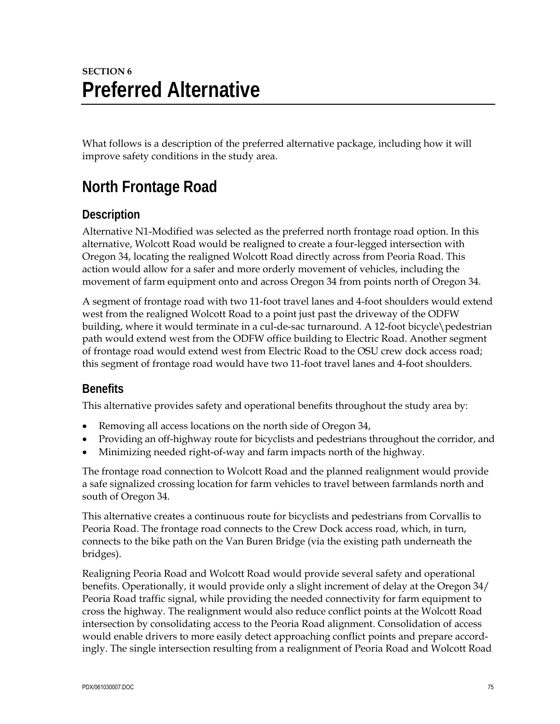# **SECTION 6 Preferred Alternative**

What follows is a description of the preferred alternative package, including how it will improve safety conditions in the study area.

# **North Frontage Road**

## **Description**

Alternative N1-Modified was selected as the preferred north frontage road option. In this alternative, Wolcott Road would be realigned to create a four-legged intersection with Oregon 34, locating the realigned Wolcott Road directly across from Peoria Road. This action would allow for a safer and more orderly movement of vehicles, including the movement of farm equipment onto and across Oregon 34 from points north of Oregon 34.

A segment of frontage road with two 11-foot travel lanes and 4-foot shoulders would extend west from the realigned Wolcott Road to a point just past the driveway of the ODFW building, where it would terminate in a cul-de-sac turnaround. A 12-foot bicycle\pedestrian path would extend west from the ODFW office building to Electric Road. Another segment of frontage road would extend west from Electric Road to the OSU crew dock access road; this segment of frontage road would have two 11-foot travel lanes and 4-foot shoulders.

## **Benefits**

This alternative provides safety and operational benefits throughout the study area by:

- Removing all access locations on the north side of Oregon 34,
- Providing an off-highway route for bicyclists and pedestrians throughout the corridor, and
- Minimizing needed right-of-way and farm impacts north of the highway.

The frontage road connection to Wolcott Road and the planned realignment would provide a safe signalized crossing location for farm vehicles to travel between farmlands north and south of Oregon 34.

This alternative creates a continuous route for bicyclists and pedestrians from Corvallis to Peoria Road. The frontage road connects to the Crew Dock access road, which, in turn, connects to the bike path on the Van Buren Bridge (via the existing path underneath the bridges).

Realigning Peoria Road and Wolcott Road would provide several safety and operational benefits. Operationally, it would provide only a slight increment of delay at the Oregon 34/ Peoria Road traffic signal, while providing the needed connectivity for farm equipment to cross the highway. The realignment would also reduce conflict points at the Wolcott Road intersection by consolidating access to the Peoria Road alignment. Consolidation of access would enable drivers to more easily detect approaching conflict points and prepare accordingly. The single intersection resulting from a realignment of Peoria Road and Wolcott Road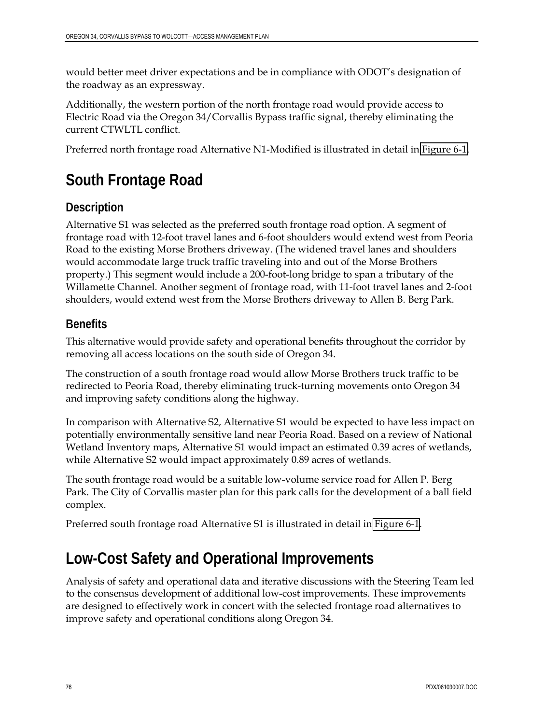would better meet driver expectations and be in compliance with ODOT's designation of the roadway as an expressway.

Additionally, the western portion of the north frontage road would provide access to Electric Road via the Oregon 34/Corvallis Bypass traffic signal, thereby eliminating the current CTWLTL conflict.

Preferred north frontage road Alternative N1-Modified is illustrated in detail in [Figure 6-1.](http://www.oregon.gov/ODOT/HWY/REGION2/docs/area4/US20OR34AMEP/US20/Figure_6_1.pdf)

# **South Frontage Road**

## **Description**

Alternative S1 was selected as the preferred south frontage road option. A segment of frontage road with 12-foot travel lanes and 6-foot shoulders would extend west from Peoria Road to the existing Morse Brothers driveway. (The widened travel lanes and shoulders would accommodate large truck traffic traveling into and out of the Morse Brothers property.) This segment would include a 200-foot-long bridge to span a tributary of the Willamette Channel. Another segment of frontage road, with 11-foot travel lanes and 2-foot shoulders, would extend west from the Morse Brothers driveway to Allen B. Berg Park.

## **Benefits**

This alternative would provide safety and operational benefits throughout the corridor by removing all access locations on the south side of Oregon 34.

The construction of a south frontage road would allow Morse Brothers truck traffic to be redirected to Peoria Road, thereby eliminating truck-turning movements onto Oregon 34 and improving safety conditions along the highway.

In comparison with Alternative S2, Alternative S1 would be expected to have less impact on potentially environmentally sensitive land near Peoria Road. Based on a review of National Wetland Inventory maps, Alternative S1 would impact an estimated 0.39 acres of wetlands, while Alternative S2 would impact approximately 0.89 acres of wetlands.

The south frontage road would be a suitable low-volume service road for Allen P. Berg Park. The City of Corvallis master plan for this park calls for the development of a ball field complex.

Preferred south frontage road Alternative S1 is illustrated in detail in [Figure 6-1.](http://www.oregon.gov/ODOT/HWY/REGION2/docs/area4/US20OR34AMEP/US20/Figure_6_1.pdf)

# **Low-Cost Safety and Operational Improvements**

Analysis of safety and operational data and iterative discussions with the Steering Team led to the consensus development of additional low-cost improvements. These improvements are designed to effectively work in concert with the selected frontage road alternatives to improve safety and operational conditions along Oregon 34.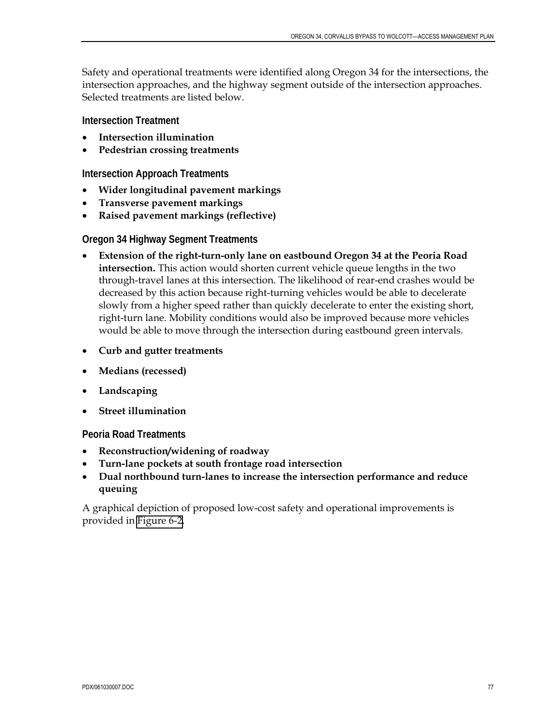Safety and operational treatments were identified along Oregon 34 for the intersections, the intersection approaches, and the highway segment outside of the intersection approaches. Selected treatments are listed below.

**Intersection Treatment** 

- **Intersection illumination**
- **Pedestrian crossing treatments**

**Intersection Approach Treatments** 

- **Wider longitudinal pavement markings**
- **Transverse pavement markings**
- **Raised pavement markings (reflective)**

**Oregon 34 Highway Segment Treatments** 

- **Extension of the right-turn-only lane on eastbound Oregon 34 at the Peoria Road intersection.** This action would shorten current vehicle queue lengths in the two through-travel lanes at this intersection. The likelihood of rear-end crashes would be decreased by this action because right-turning vehicles would be able to decelerate slowly from a higher speed rather than quickly decelerate to enter the existing short, right-turn lane. Mobility conditions would also be improved because more vehicles would be able to move through the intersection during eastbound green intervals.
- **Curb and gutter treatments**
- **Medians (recessed)**
- **Landscaping**
- **Street illumination**

**Peoria Road Treatments** 

- **Reconstruction/widening of roadway**
- **Turn-lane pockets at south frontage road intersection**
- **Dual northbound turn-lanes to increase the intersection performance and reduce queuing**

A graphical depiction of proposed low-cost safety and operational improvements is provided in [Figure 6-2.](http://www.oregon.gov/ODOT/HWY/REGION2/docs/area4/US20OR34AMEP/US20/Figure_6_2.pdf)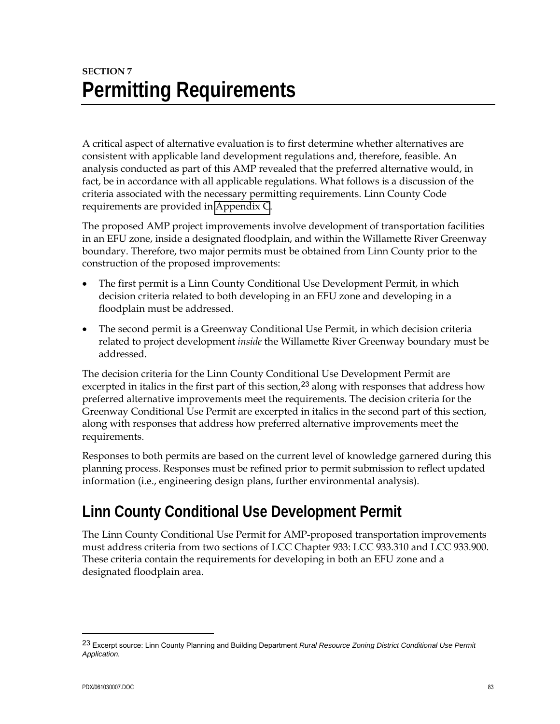# **SECTION 7 Permitting Requirements**

A critical aspect of alternative evaluation is to first determine whether alternatives are consistent with applicable land development regulations and, therefore, feasible. An analysis conducted as part of this AMP revealed that the preferred alternative would, in fact, be in accordance with all applicable regulations. What follows is a discussion of the criteria associated with the necessary permitting requirements. Linn County Code requirements are provided in [Appendix C](http://www.oregon.gov/ODOT/HWY/REGION2/docs/area4/US20OR34AMEP/US20/Appendix_C.pdf).

The proposed AMP project improvements involve development of transportation facilities in an EFU zone, inside a designated floodplain, and within the Willamette River Greenway boundary. Therefore, two major permits must be obtained from Linn County prior to the construction of the proposed improvements:

- The first permit is a Linn County Conditional Use Development Permit, in which decision criteria related to both developing in an EFU zone and developing in a floodplain must be addressed.
- The second permit is a Greenway Conditional Use Permit, in which decision criteria related to project development *inside* the Willamette River Greenway boundary must be addressed.

The decision criteria for the Linn County Conditional Use Development Permit are excerpted in italics in the first part of this section,<sup>[23](#page-58-0)</sup> along with responses that address how preferred alternative improvements meet the requirements. The decision criteria for the Greenway Conditional Use Permit are excerpted in italics in the second part of this section, along with responses that address how preferred alternative improvements meet the requirements.

Responses to both permits are based on the current level of knowledge garnered during this planning process. Responses must be refined prior to permit submission to reflect updated information (i.e., engineering design plans, further environmental analysis).

# **Linn County Conditional Use Development Permit**

The Linn County Conditional Use Permit for AMP-proposed transportation improvements must address criteria from two sections of LCC Chapter 933: LCC 933.310 and LCC 933.900. These criteria contain the requirements for developing in both an EFU zone and a designated floodplain area.

 $\overline{a}$ 

<span id="page-58-0"></span><sup>23</sup> Excerpt source: Linn County Planning and Building Department *Rural Resource Zoning District Conditional Use Permit Application.*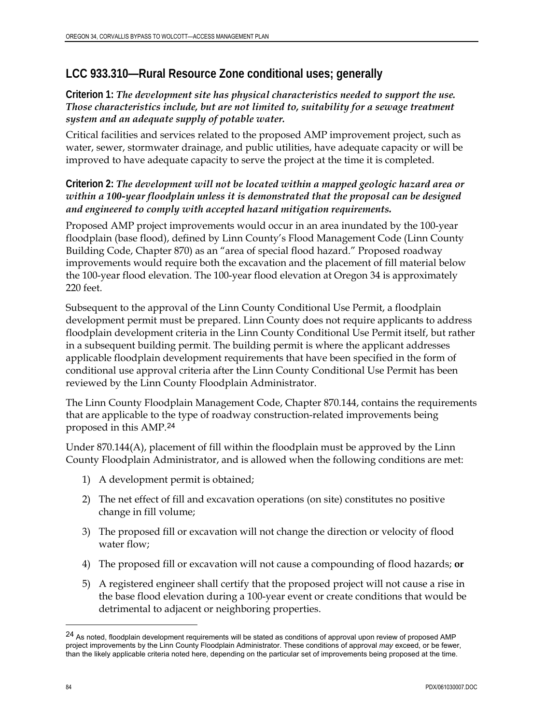## **LCC 933.310—Rural Resource Zone conditional uses; generally**

**Criterion 1:** *The development site has physical characteristics needed to support the use. Those characteristics include, but are not limited to, suitability for a sewage treatment system and an adequate supply of potable water.* 

Critical facilities and services related to the proposed AMP improvement project, such as water, sewer, stormwater drainage, and public utilities, have adequate capacity or will be improved to have adequate capacity to serve the project at the time it is completed.

### **Criterion 2:** *The development will not be located within a mapped geologic hazard area or within a 100-year floodplain unless it is demonstrated that the proposal can be designed and engineered to comply with accepted hazard mitigation requirements.*

Proposed AMP project improvements would occur in an area inundated by the 100-year floodplain (base flood), defined by Linn County's Flood Management Code (Linn County Building Code, Chapter 870) as an "area of special flood hazard." Proposed roadway improvements would require both the excavation and the placement of fill material below the 100-year flood elevation. The 100-year flood elevation at Oregon 34 is approximately 220 feet.

Subsequent to the approval of the Linn County Conditional Use Permit, a floodplain development permit must be prepared. Linn County does not require applicants to address floodplain development criteria in the Linn County Conditional Use Permit itself, but rather in a subsequent building permit. The building permit is where the applicant addresses applicable floodplain development requirements that have been specified in the form of conditional use approval criteria after the Linn County Conditional Use Permit has been reviewed by the Linn County Floodplain Administrator.

The Linn County Floodplain Management Code, Chapter 870.144, contains the requirements that are applicable to the type of roadway construction-related improvements being proposed in this AMP.[2](#page-59-0)4

Under 870.144(A), placement of fill within the floodplain must be approved by the Linn County Floodplain Administrator, and is allowed when the following conditions are met:

- 1) A development permit is obtained;
- 2) The net effect of fill and excavation operations (on site) constitutes no positive change in fill volume;
- 3) The proposed fill or excavation will not change the direction or velocity of flood water flow;
- 4) The proposed fill or excavation will not cause a compounding of flood hazards; **or**
- 5) A registered engineer shall certify that the proposed project will not cause a rise in the base flood elevation during a 100-year event or create conditions that would be detrimental to adjacent or neighboring properties.

<u>.</u>

<span id="page-59-0"></span><sup>&</sup>lt;sup>24</sup> As noted, floodplain development requirements will be stated as conditions of approval upon review of proposed AMP project improvements by the Linn County Floodplain Administrator. These conditions of approval *may* exceed, or be fewer, than the likely applicable criteria noted here, depending on the particular set of improvements being proposed at the time.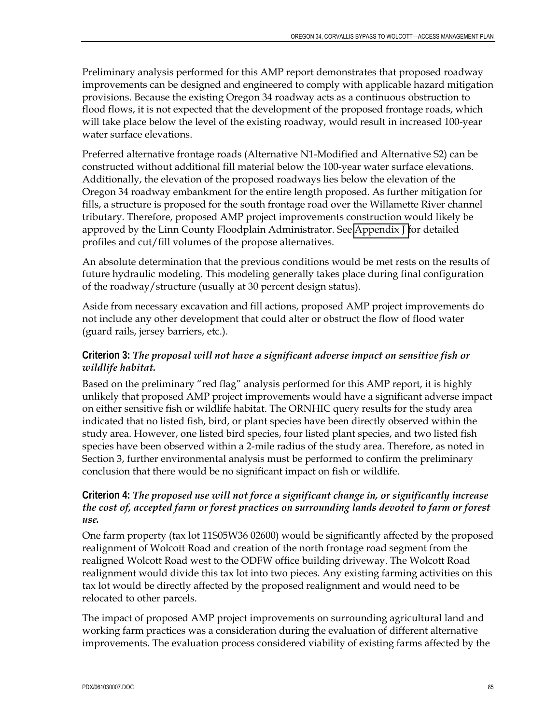Preliminary analysis performed for this AMP report demonstrates that proposed roadway improvements can be designed and engineered to comply with applicable hazard mitigation provisions. Because the existing Oregon 34 roadway acts as a continuous obstruction to flood flows, it is not expected that the development of the proposed frontage roads, which will take place below the level of the existing roadway, would result in increased 100-year water surface elevations.

Preferred alternative frontage roads (Alternative N1-Modified and Alternative S2) can be constructed without additional fill material below the 100-year water surface elevations. Additionally, the elevation of the proposed roadways lies below the elevation of the Oregon 34 roadway embankment for the entire length proposed. As further mitigation for fills, a structure is proposed for the south frontage road over the Willamette River channel tributary. Therefore, proposed AMP project improvements construction would likely be approved by the Linn County Floodplain Administrator. See [Appendix J f](http://www.oregon.gov/ODOT/HWY/REGION2/docs/area4/US20OR34AMEP/US20/Appendix_J.pdf)or detailed profiles and cut/fill volumes of the propose alternatives.

An absolute determination that the previous conditions would be met rests on the results of future hydraulic modeling. This modeling generally takes place during final configuration of the roadway/structure (usually at 30 percent design status).

Aside from necessary excavation and fill actions, proposed AMP project improvements do not include any other development that could alter or obstruct the flow of flood water (guard rails, jersey barriers, etc.).

### **Criterion 3:** *The proposal will not have a significant adverse impact on sensitive fish or wildlife habitat.*

Based on the preliminary "red flag" analysis performed for this AMP report, it is highly unlikely that proposed AMP project improvements would have a significant adverse impact on either sensitive fish or wildlife habitat. The ORNHIC query results for the study area indicated that no listed fish, bird, or plant species have been directly observed within the study area. However, one listed bird species, four listed plant species, and two listed fish species have been observed within a 2-mile radius of the study area. Therefore, as noted in Section 3, further environmental analysis must be performed to confirm the preliminary conclusion that there would be no significant impact on fish or wildlife.

### **Criterion 4:** *The proposed use will not force a significant change in, or significantly increase the cost of, accepted farm or forest practices on surrounding lands devoted to farm or forest use.*

One farm property (tax lot 11S05W36 02600) would be significantly affected by the proposed realignment of Wolcott Road and creation of the north frontage road segment from the realigned Wolcott Road west to the ODFW office building driveway. The Wolcott Road realignment would divide this tax lot into two pieces. Any existing farming activities on this tax lot would be directly affected by the proposed realignment and would need to be relocated to other parcels.

The impact of proposed AMP project improvements on surrounding agricultural land and working farm practices was a consideration during the evaluation of different alternative improvements. The evaluation process considered viability of existing farms affected by the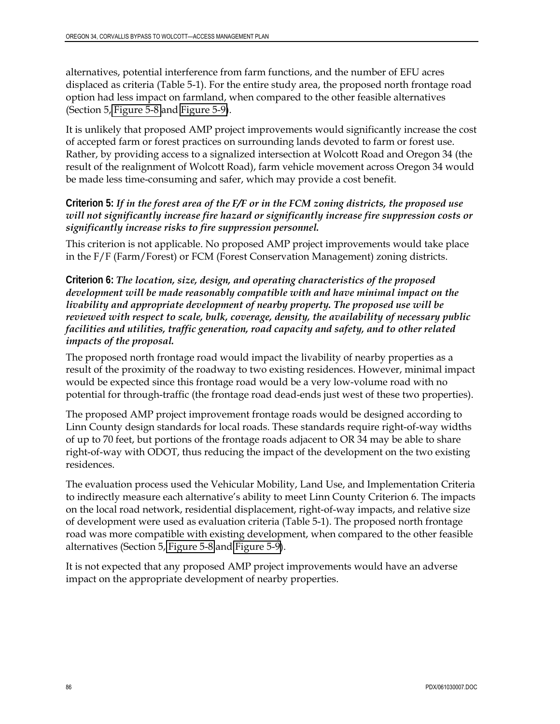alternatives, potential interference from farm functions, and the number of EFU acres displaced as criteria (Table 5-1). For the entire study area, the proposed north frontage road option had less impact on farmland, when compared to the other feasible alternatives (Section 5, [Figure 5-8](http://www.oregon.gov/ODOT/HWY/REGION2/docs/area4/US20OR34AMEP/US20/Figure_5_8.pdf) and [Figure 5-9\)](http://www.oregon.gov/ODOT/HWY/REGION2/docs/area4/US20OR34AMEP/US20/Figure_5_9.pdf).

It is unlikely that proposed AMP project improvements would significantly increase the cost of accepted farm or forest practices on surrounding lands devoted to farm or forest use. Rather, by providing access to a signalized intersection at Wolcott Road and Oregon 34 (the result of the realignment of Wolcott Road), farm vehicle movement across Oregon 34 would be made less time-consuming and safer, which may provide a cost benefit.

### **Criterion 5:** *If in the forest area of the F/F or in the FCM zoning districts, the proposed use will not significantly increase fire hazard or significantly increase fire suppression costs or significantly increase risks to fire suppression personnel.*

This criterion is not applicable. No proposed AMP project improvements would take place in the F/F (Farm/Forest) or FCM (Forest Conservation Management) zoning districts.

**Criterion 6:** *The location, size, design, and operating characteristics of the proposed development will be made reasonably compatible with and have minimal impact on the livability and appropriate development of nearby property. The proposed use will be reviewed with respect to scale, bulk, coverage, density, the availability of necessary public facilities and utilities, traffic generation, road capacity and safety, and to other related impacts of the proposal.* 

The proposed north frontage road would impact the livability of nearby properties as a result of the proximity of the roadway to two existing residences. However, minimal impact would be expected since this frontage road would be a very low-volume road with no potential for through-traffic (the frontage road dead-ends just west of these two properties).

The proposed AMP project improvement frontage roads would be designed according to Linn County design standards for local roads. These standards require right-of-way widths of up to 70 feet, but portions of the frontage roads adjacent to OR 34 may be able to share right-of-way with ODOT, thus reducing the impact of the development on the two existing residences.

The evaluation process used the Vehicular Mobility, Land Use, and Implementation Criteria to indirectly measure each alternative's ability to meet Linn County Criterion 6. The impacts on the local road network, residential displacement, right-of-way impacts, and relative size of development were used as evaluation criteria (Table 5-1). The proposed north frontage road was more compatible with existing development, when compared to the other feasible alternatives (Section 5, [Figure 5-8](http://www.oregon.gov/ODOT/HWY/REGION2/docs/area4/US20OR34AMEP/US20/Figure_5_8.pdf) and [Figure 5-9\)](http://www.oregon.gov/ODOT/HWY/REGION2/docs/area4/US20OR34AMEP/US20/Figure_5_9.pdf).

It is not expected that any proposed AMP project improvements would have an adverse impact on the appropriate development of nearby properties.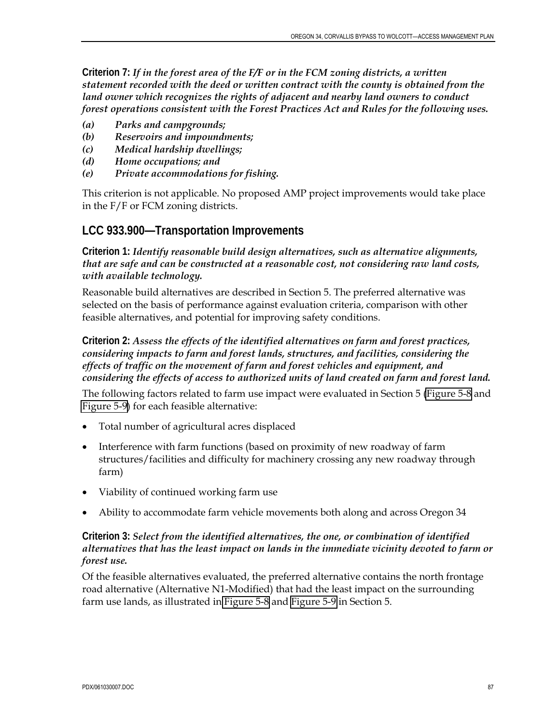**Criterion 7:** *If in the forest area of the F/F or in the FCM zoning districts, a written statement recorded with the deed or written contract with the county is obtained from the land owner which recognizes the rights of adjacent and nearby land owners to conduct forest operations consistent with the Forest Practices Act and Rules for the following uses.* 

- *(a) Parks and campgrounds;*
- *(b) Reservoirs and impoundments;*
- *(c) Medical hardship dwellings;*
- *(d) Home occupations; and*
- *(e) Private accommodations for fishing.*

This criterion is not applicable. No proposed AMP project improvements would take place in the F/F or FCM zoning districts.

## **LCC 933.900—Transportation Improvements**

### **Criterion 1:** *Identify reasonable build design alternatives, such as alternative alignments, that are safe and can be constructed at a reasonable cost, not considering raw land costs, with available technology.*

Reasonable build alternatives are described in Section 5. The preferred alternative was selected on the basis of performance against evaluation criteria, comparison with other feasible alternatives, and potential for improving safety conditions.

### **Criterion 2:** *Assess the effects of the identified alternatives on farm and forest practices, considering impacts to farm and forest lands, structures, and facilities, considering the effects of traffic on the movement of farm and forest vehicles and equipment, and considering the effects of access to authorized units of land created on farm and forest land.*

The following factors related to farm use impact were evaluated in Section 5 [\(Figure 5-8](http://www.oregon.gov/ODOT/HWY/REGION2/docs/area4/US20OR34AMEP/US20/Figure_5_8.pdf) and [Figure 5-9\)](http://www.oregon.gov/ODOT/HWY/REGION2/docs/area4/US20OR34AMEP/US20/Figure_5_9.pdf) for each feasible alternative:

- Total number of agricultural acres displaced
- Interference with farm functions (based on proximity of new roadway of farm structures/facilities and difficulty for machinery crossing any new roadway through farm)
- Viability of continued working farm use
- Ability to accommodate farm vehicle movements both along and across Oregon 34

### **Criterion 3:** *Select from the identified alternatives, the one, or combination of identified alternatives that has the least impact on lands in the immediate vicinity devoted to farm or forest use.*

Of the feasible alternatives evaluated, the preferred alternative contains the north frontage road alternative (Alternative N1-Modified) that had the least impact on the surrounding farm use lands, as illustrated in [Figure 5-8](http://www.oregon.gov/ODOT/HWY/REGION2/docs/area4/US20OR34AMEP/US20/Figure_5_8.pdf) and [Figure 5-9](http://www.oregon.gov/ODOT/HWY/REGION2/docs/area4/US20OR34AMEP/US20/Figure_5_9.pdf) in Section 5.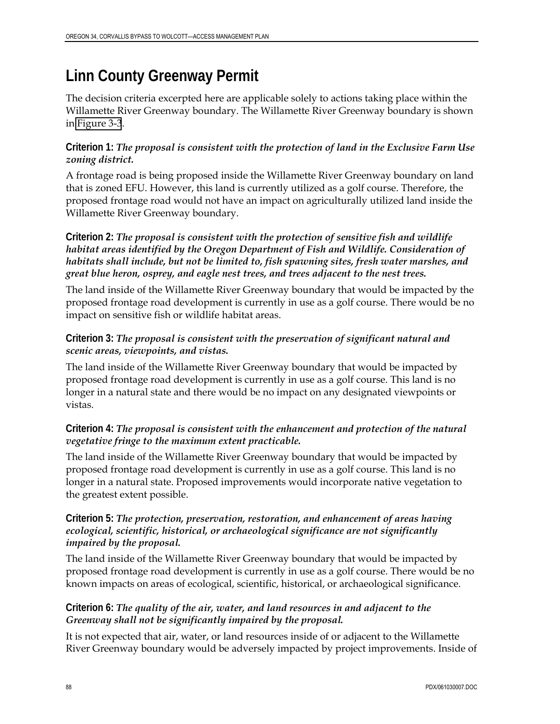# **Linn County Greenway Permit**

The decision criteria excerpted here are applicable solely to actions taking place within the Willamette River Greenway boundary. The Willamette River Greenway boundary is shown in [Figure 3-3](http://www.oregon.gov/ODOT/HWY/REGION2/docs/area4/US20OR34AMEP/US20/Figure_3_3.pdf).

### **Criterion 1:** *The proposal is consistent with the protection of land in the Exclusive Farm Use zoning district.*

A frontage road is being proposed inside the Willamette River Greenway boundary on land that is zoned EFU. However, this land is currently utilized as a golf course. Therefore, the proposed frontage road would not have an impact on agriculturally utilized land inside the Willamette River Greenway boundary.

### **Criterion 2:** *The proposal is consistent with the protection of sensitive fish and wildlife habitat areas identified by the Oregon Department of Fish and Wildlife. Consideration of habitats shall include, but not be limited to, fish spawning sites, fresh water marshes, and great blue heron, osprey, and eagle nest trees, and trees adjacent to the nest trees.*

The land inside of the Willamette River Greenway boundary that would be impacted by the proposed frontage road development is currently in use as a golf course. There would be no impact on sensitive fish or wildlife habitat areas.

### **Criterion 3:** *The proposal is consistent with the preservation of significant natural and scenic areas, viewpoints, and vistas.*

The land inside of the Willamette River Greenway boundary that would be impacted by proposed frontage road development is currently in use as a golf course. This land is no longer in a natural state and there would be no impact on any designated viewpoints or vistas.

### **Criterion 4:** *The proposal is consistent with the enhancement and protection of the natural vegetative fringe to the maximum extent practicable.*

The land inside of the Willamette River Greenway boundary that would be impacted by proposed frontage road development is currently in use as a golf course. This land is no longer in a natural state. Proposed improvements would incorporate native vegetation to the greatest extent possible.

### **Criterion 5:** *The protection, preservation, restoration, and enhancement of areas having ecological, scientific, historical, or archaeological significance are not significantly impaired by the proposal.*

The land inside of the Willamette River Greenway boundary that would be impacted by proposed frontage road development is currently in use as a golf course. There would be no known impacts on areas of ecological, scientific, historical, or archaeological significance.

### **Criterion 6:** *The quality of the air, water, and land resources in and adjacent to the Greenway shall not be significantly impaired by the proposal.*

It is not expected that air, water, or land resources inside of or adjacent to the Willamette River Greenway boundary would be adversely impacted by project improvements. Inside of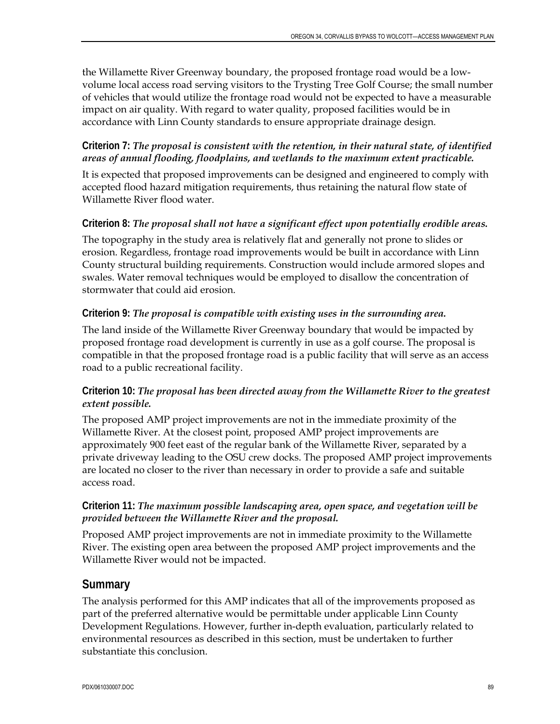the Willamette River Greenway boundary, the proposed frontage road would be a lowvolume local access road serving visitors to the Trysting Tree Golf Course; the small number of vehicles that would utilize the frontage road would not be expected to have a measurable impact on air quality. With regard to water quality, proposed facilities would be in accordance with Linn County standards to ensure appropriate drainage design.

### **Criterion 7:** *The proposal is consistent with the retention, in their natural state, of identified areas of annual flooding, floodplains, and wetlands to the maximum extent practicable.*

It is expected that proposed improvements can be designed and engineered to comply with accepted flood hazard mitigation requirements, thus retaining the natural flow state of Willamette River flood water.

### **Criterion 8:** *The proposal shall not have a significant effect upon potentially erodible areas.*

The topography in the study area is relatively flat and generally not prone to slides or erosion. Regardless, frontage road improvements would be built in accordance with Linn County structural building requirements. Construction would include armored slopes and swales. Water removal techniques would be employed to disallow the concentration of stormwater that could aid erosion.

### **Criterion 9:** *The proposal is compatible with existing uses in the surrounding area.*

The land inside of the Willamette River Greenway boundary that would be impacted by proposed frontage road development is currently in use as a golf course. The proposal is compatible in that the proposed frontage road is a public facility that will serve as an access road to a public recreational facility.

### **Criterion 10:** *The proposal has been directed away from the Willamette River to the greatest extent possible.*

The proposed AMP project improvements are not in the immediate proximity of the Willamette River. At the closest point, proposed AMP project improvements are approximately 900 feet east of the regular bank of the Willamette River, separated by a private driveway leading to the OSU crew docks. The proposed AMP project improvements are located no closer to the river than necessary in order to provide a safe and suitable access road.

### **Criterion 11:** *The maximum possible landscaping area, open space, and vegetation will be provided between the Willamette River and the proposal.*

Proposed AMP project improvements are not in immediate proximity to the Willamette River. The existing open area between the proposed AMP project improvements and the Willamette River would not be impacted.

## **Summary**

The analysis performed for this AMP indicates that all of the improvements proposed as part of the preferred alternative would be permittable under applicable Linn County Development Regulations. However, further in-depth evaluation, particularly related to environmental resources as described in this section, must be undertaken to further substantiate this conclusion.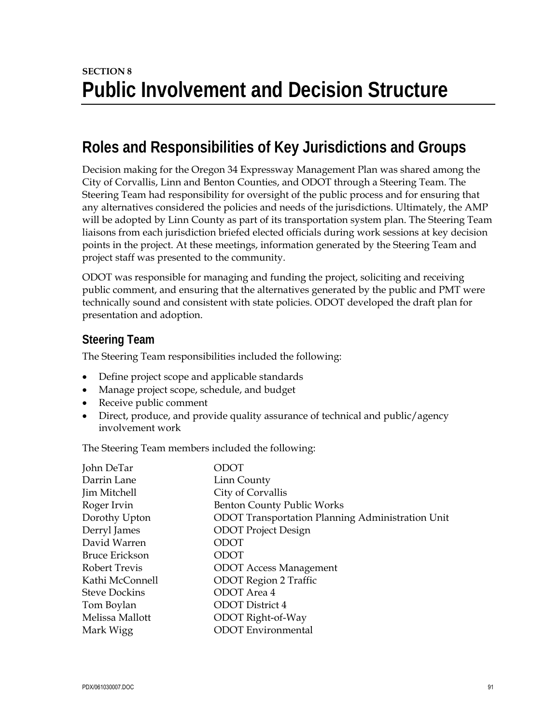# **Roles and Responsibilities of Key Jurisdictions and Groups**

Decision making for the Oregon 34 Expressway Management Plan was shared among the City of Corvallis, Linn and Benton Counties, and ODOT through a Steering Team. The Steering Team had responsibility for oversight of the public process and for ensuring that any alternatives considered the policies and needs of the jurisdictions. Ultimately, the AMP will be adopted by Linn County as part of its transportation system plan. The Steering Team liaisons from each jurisdiction briefed elected officials during work sessions at key decision points in the project. At these meetings, information generated by the Steering Team and project staff was presented to the community.

ODOT was responsible for managing and funding the project, soliciting and receiving public comment, and ensuring that the alternatives generated by the public and PMT were technically sound and consistent with state policies. ODOT developed the draft plan for presentation and adoption.

## **Steering Team**

The Steering Team responsibilities included the following:

- Define project scope and applicable standards
- Manage project scope, schedule, and budget
- Receive public comment
- Direct, produce, and provide quality assurance of technical and public/agency involvement work

The Steering Team members included the following:

| John DeTar            | ODOT                                             |
|-----------------------|--------------------------------------------------|
| Darrin Lane           | Linn County                                      |
| Jim Mitchell          | City of Corvallis                                |
| Roger Irvin           | <b>Benton County Public Works</b>                |
| Dorothy Upton         | ODOT Transportation Planning Administration Unit |
| Derryl James          | <b>ODOT</b> Project Design                       |
| David Warren          | <b>ODOT</b>                                      |
| <b>Bruce Erickson</b> | ODOT                                             |
| Robert Trevis         | <b>ODOT</b> Access Management                    |
| Kathi McConnell       | <b>ODOT</b> Region 2 Traffic                     |
| <b>Steve Dockins</b>  | ODOT Area 4                                      |
| Tom Boylan            | <b>ODOT</b> District 4                           |
| Melissa Mallott       | ODOT Right-of-Way                                |
| Mark Wigg             | <b>ODOT</b> Environmental                        |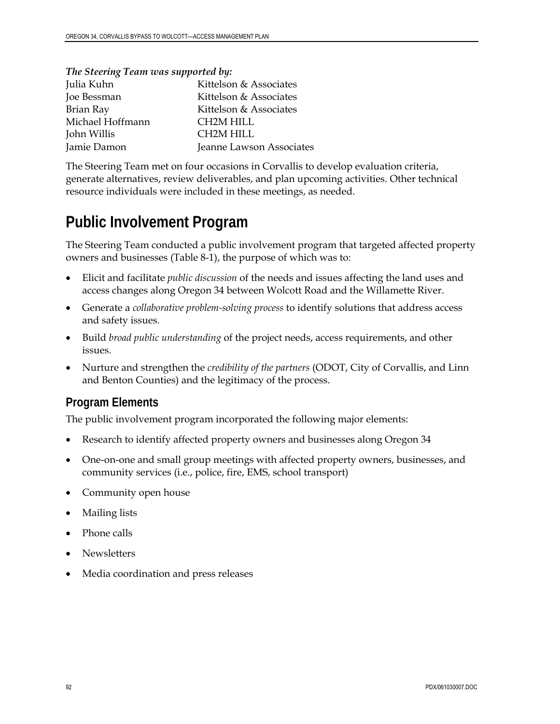| The second Team was supported by: |                          |  |  |  |
|-----------------------------------|--------------------------|--|--|--|
| Julia Kuhn                        | Kittelson & Associates   |  |  |  |
| Joe Bessman                       | Kittelson & Associates   |  |  |  |
| Brian Ray                         | Kittelson & Associates   |  |  |  |
| Michael Hoffmann                  | CH2M HILL                |  |  |  |
| John Willis                       | CH2M HILL                |  |  |  |
| Jamie Damon                       | Jeanne Lawson Associates |  |  |  |

*The Steering Team was supported by:* 

The Steering Team met on four occasions in Corvallis to develop evaluation criteria, generate alternatives, review deliverables, and plan upcoming activities. Other technical resource individuals were included in these meetings, as needed.

# **Public Involvement Program**

The Steering Team conducted a public involvement program that targeted affected property owners and businesses (Table 8-1), the purpose of which was to:

- Elicit and facilitate *public discussion* of the needs and issues affecting the land uses and access changes along Oregon 34 between Wolcott Road and the Willamette River.
- Generate a *collaborative problem-solving process* to identify solutions that address access and safety issues.
- Build *broad public understanding* of the project needs, access requirements, and other issues.
- Nurture and strengthen the *credibility of the partners* (ODOT, City of Corvallis, and Linn and Benton Counties) and the legitimacy of the process.

## **Program Elements**

The public involvement program incorporated the following major elements:

- Research to identify affected property owners and businesses along Oregon 34
- One-on-one and small group meetings with affected property owners, businesses, and community services (i.e., police, fire, EMS, school transport)
- Community open house
- Mailing lists
- Phone calls
- Newsletters
- Media coordination and press releases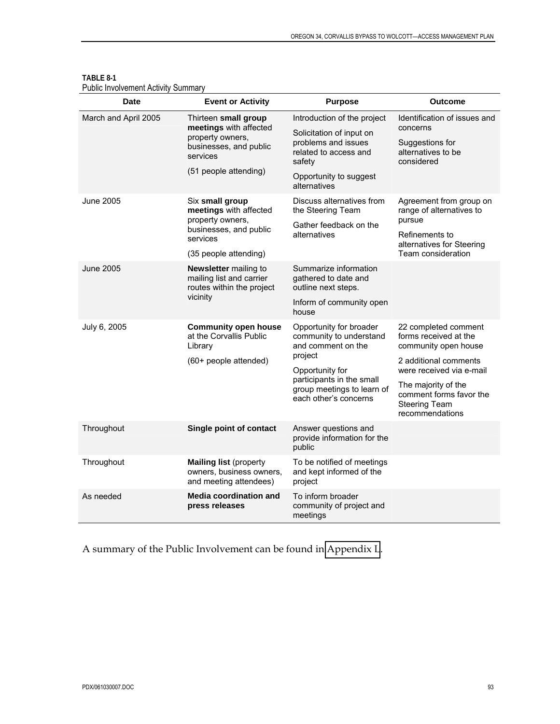| <b>Date</b>          | <b>Event or Activity</b>                                                                                                          | <b>Purpose</b>                                                                                                                                                                             | <b>Outcome</b>                                                                                                                                                                                                          |
|----------------------|-----------------------------------------------------------------------------------------------------------------------------------|--------------------------------------------------------------------------------------------------------------------------------------------------------------------------------------------|-------------------------------------------------------------------------------------------------------------------------------------------------------------------------------------------------------------------------|
| March and April 2005 | Thirteen small group<br>meetings with affected<br>property owners,<br>businesses, and public<br>services<br>(51 people attending) | Introduction of the project<br>Solicitation of input on<br>problems and issues<br>related to access and<br>safety<br>Opportunity to suggest<br>alternatives                                | Identification of issues and<br>concerns<br>Suggestions for<br>alternatives to be<br>considered                                                                                                                         |
| <b>June 2005</b>     | Six small group<br>meetings with affected<br>property owners,<br>businesses, and public<br>services<br>(35 people attending)      | Discuss alternatives from<br>the Steering Team<br>Gather feedback on the<br>alternatives                                                                                                   | Agreement from group on<br>range of alternatives to<br>pursue<br>Refinements to<br>alternatives for Steering<br>Team consideration                                                                                      |
| <b>June 2005</b>     | Newsletter mailing to<br>mailing list and carrier<br>routes within the project<br>vicinity                                        | Summarize information<br>gathered to date and<br>outline next steps.<br>Inform of community open<br>house                                                                                  |                                                                                                                                                                                                                         |
| July 6, 2005         | <b>Community open house</b><br>at the Corvallis Public<br>Library<br>(60+ people attended)                                        | Opportunity for broader<br>community to understand<br>and comment on the<br>project<br>Opportunity for<br>participants in the small<br>group meetings to learn of<br>each other's concerns | 22 completed comment<br>forms received at the<br>community open house<br>2 additional comments<br>were received via e-mail<br>The majority of the<br>comment forms favor the<br><b>Steering Team</b><br>recommendations |
| Throughout           | Single point of contact                                                                                                           | Answer questions and<br>provide information for the<br>public                                                                                                                              |                                                                                                                                                                                                                         |
| Throughout           | <b>Mailing list (property</b><br>owners, business owners,<br>and meeting attendees)                                               | To be notified of meetings<br>and kept informed of the<br>project                                                                                                                          |                                                                                                                                                                                                                         |
| As needed            | <b>Media coordination and</b><br>press releases                                                                                   | To inform broader<br>community of project and<br>meetings                                                                                                                                  |                                                                                                                                                                                                                         |

#### **TABLE 8-1 Public Involvement Activity Summary**

A summary of the Public Involvement can be found in [Appendix L](http://www.oregon.gov/ODOT/HWY/REGION2/docs/area4/US20OR34AMEP/US20/Appendix_L.pdf).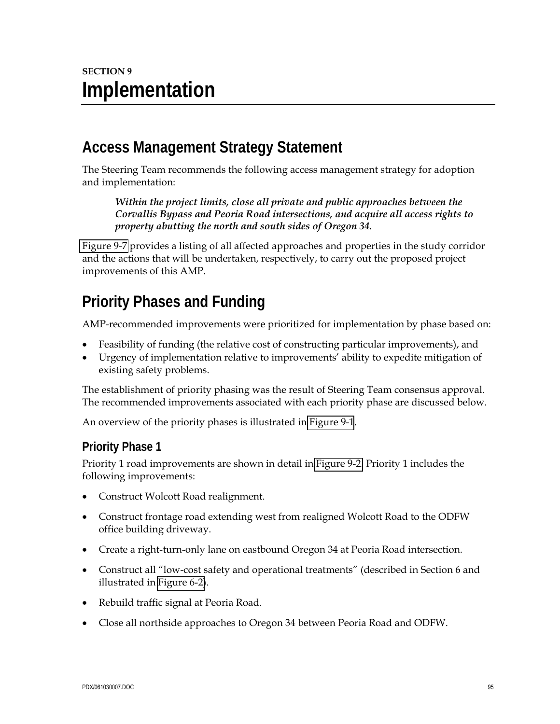# **Access Management Strategy Statement**

The Steering Team recommends the following access management strategy for adoption and implementation:

*Within the project limits, close all private and public approaches between the Corvallis Bypass and Peoria Road intersections, and acquire all access rights to property abutting the north and south sides of Oregon 34.* 

[Figure 9-7](http://www.oregon.gov/ODOT/HWY/REGION2/docs/area4/US20OR34AMEP/US20/Figures_9_7.pdf) provides a listing of all affected approaches and properties in the study corridor and the actions that will be undertaken, respectively, to carry out the proposed project improvements of this AMP.

# **Priority Phases and Funding**

AMP-recommended improvements were prioritized for implementation by phase based on:

- Feasibility of funding (the relative cost of constructing particular improvements), and
- Urgency of implementation relative to improvements' ability to expedite mitigation of existing safety problems.

The establishment of priority phasing was the result of Steering Team consensus approval. The recommended improvements associated with each priority phase are discussed below.

An overview of the priority phases is illustrated in [Figure 9-1](http://www.oregon.gov/ODOT/HWY/REGION2/docs/area4/US20OR34AMEP/US20/Figure_9_1.pdf).

## **Priority Phase 1**

Priority 1 road improvements are shown in detail in [Figure 9-2.](http://www.oregon.gov/ODOT/HWY/REGION2/docs/area4/US20OR34AMEP/US20/Figure_9_2.pdf) Priority 1 includes the following improvements:

- Construct Wolcott Road realignment.
- Construct frontage road extending west from realigned Wolcott Road to the ODFW office building driveway.
- Create a right-turn-only lane on eastbound Oregon 34 at Peoria Road intersection.
- Construct all "low-cost safety and operational treatments" (described in Section 6 and illustrated in [Figure 6-2\)](http://www.oregon.gov/ODOT/HWY/REGION2/docs/area4/US20OR34AMEP/US20/Figure_6_2.pdf).
- Rebuild traffic signal at Peoria Road.
- Close all northside approaches to Oregon 34 between Peoria Road and ODFW.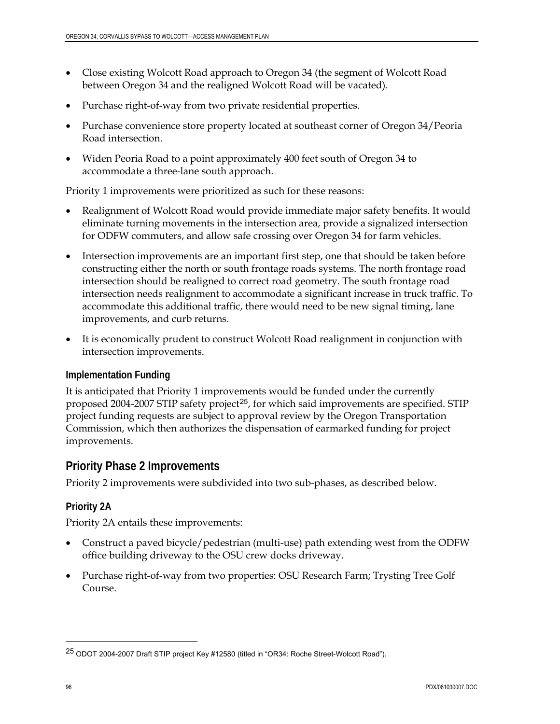- Close existing Wolcott Road approach to Oregon 34 (the segment of Wolcott Road between Oregon 34 and the realigned Wolcott Road will be vacated).
- Purchase right-of-way from two private residential properties.
- Purchase convenience store property located at southeast corner of Oregon 34/Peoria Road intersection.
- Widen Peoria Road to a point approximately 400 feet south of Oregon 34 to accommodate a three-lane south approach.

Priority 1 improvements were prioritized as such for these reasons:

- Realignment of Wolcott Road would provide immediate major safety benefits. It would eliminate turning movements in the intersection area, provide a signalized intersection for ODFW commuters, and allow safe crossing over Oregon 34 for farm vehicles.
- Intersection improvements are an important first step, one that should be taken before constructing either the north or south frontage roads systems. The north frontage road intersection should be realigned to correct road geometry. The south frontage road intersection needs realignment to accommodate a significant increase in truck traffic. To accommodate this additional traffic, there would need to be new signal timing, lane improvements, and curb returns.
- It is economically prudent to construct Wolcott Road realignment in conjunction with intersection improvements.

#### **Implementation Funding**

It is anticipated that Priority 1 improvements would be funded under the currently proposed 2004-2007 STIP safety project<sup>[25](#page-69-0)</sup>, for which said improvements are specified. STIP project funding requests are subject to approval review by the Oregon Transportation Commission, which then authorizes the dispensation of earmarked funding for project improvements.

### **Priority Phase 2 Improvements**

Priority 2 improvements were subdivided into two sub-phases, as described below.

### **Priority 2A**

Priority 2A entails these improvements:

- Construct a paved bicycle/pedestrian (multi-use) path extending west from the ODFW office building driveway to the OSU crew docks driveway.
- Purchase right-of-way from two properties: OSU Research Farm; Trysting Tree Golf Course.

 $\ddot{\phantom{a}}$ 

<span id="page-69-0"></span><sup>25</sup> ODOT 2004-2007 Draft STIP project Key #12580 (titled in "OR34: Roche Street-Wolcott Road").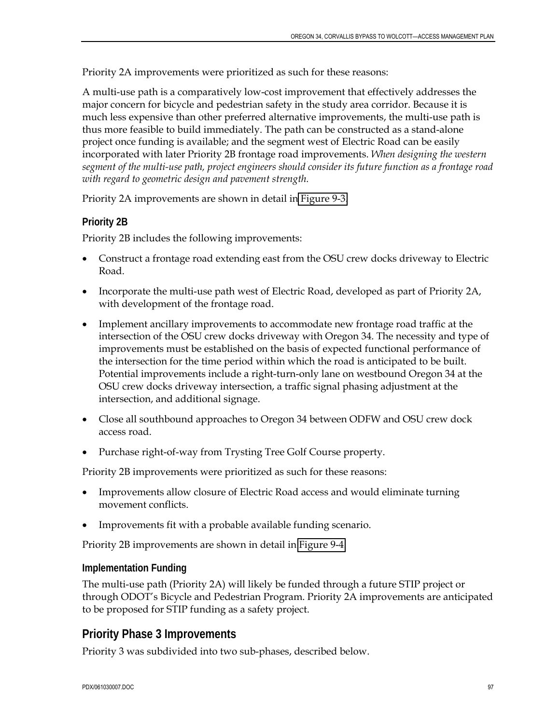Priority 2A improvements were prioritized as such for these reasons:

A multi-use path is a comparatively low-cost improvement that effectively addresses the major concern for bicycle and pedestrian safety in the study area corridor. Because it is much less expensive than other preferred alternative improvements, the multi-use path is thus more feasible to build immediately. The path can be constructed as a stand-alone project once funding is available; and the segment west of Electric Road can be easily incorporated with later Priority 2B frontage road improvements. *When designing the western segment of the multi-use path, project engineers should consider its future function as a frontage road with regard to geometric design and pavement strength.* 

Priority 2A improvements are shown in detail in [Figure 9-3.](http://www.oregon.gov/ODOT/HWY/REGION2/docs/area4/US20OR34AMEP/US20/Figure_9_3.pdf)

## **Priority 2B**

Priority 2B includes the following improvements:

- Construct a frontage road extending east from the OSU crew docks driveway to Electric Road.
- Incorporate the multi-use path west of Electric Road, developed as part of Priority 2A, with development of the frontage road.
- Implement ancillary improvements to accommodate new frontage road traffic at the intersection of the OSU crew docks driveway with Oregon 34. The necessity and type of improvements must be established on the basis of expected functional performance of the intersection for the time period within which the road is anticipated to be built. Potential improvements include a right-turn-only lane on westbound Oregon 34 at the OSU crew docks driveway intersection, a traffic signal phasing adjustment at the intersection, and additional signage.
- Close all southbound approaches to Oregon 34 between ODFW and OSU crew dock access road.
- Purchase right-of-way from Trysting Tree Golf Course property.

Priority 2B improvements were prioritized as such for these reasons:

- Improvements allow closure of Electric Road access and would eliminate turning movement conflicts.
- Improvements fit with a probable available funding scenario.

Priority 2B improvements are shown in detail in [Figure 9-4.](http://www.oregon.gov/ODOT/HWY/REGION2/docs/area4/US20OR34AMEP/US20/Figure_9_4.pdf)

### **Implementation Funding**

The multi-use path (Priority 2A) will likely be funded through a future STIP project or through ODOT's Bicycle and Pedestrian Program. Priority 2A improvements are anticipated to be proposed for STIP funding as a safety project.

## **Priority Phase 3 Improvements**

Priority 3 was subdivided into two sub-phases, described below.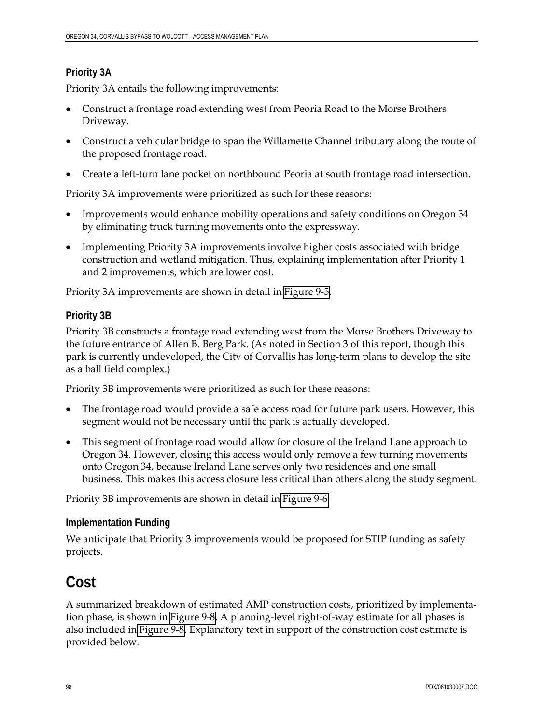### **Priority 3A**

Priority 3A entails the following improvements:

- Construct a frontage road extending west from Peoria Road to the Morse Brothers Driveway.
- Construct a vehicular bridge to span the Willamette Channel tributary along the route of the proposed frontage road.
- Create a left-turn lane pocket on northbound Peoria at south frontage road intersection.

Priority 3A improvements were prioritized as such for these reasons:

- Improvements would enhance mobility operations and safety conditions on Oregon 34 by eliminating truck turning movements onto the expressway.
- Implementing Priority 3A improvements involve higher costs associated with bridge construction and wetland mitigation. Thus, explaining implementation after Priority 1 and 2 improvements, which are lower cost.

Priority 3A improvements are shown in detail in [Figure 9-5.](http://www.oregon.gov/ODOT/HWY/REGION2/docs/area4/US20OR34AMEP/US20/Figure_9_5.pdf)

#### **Priority 3B**

Priority 3B constructs a frontage road extending west from the Morse Brothers Driveway to the future entrance of Allen B. Berg Park. (As noted in Section 3 of this report, though this park is currently undeveloped, the City of Corvallis has long-term plans to develop the site as a ball field complex.)

Priority 3B improvements were prioritized as such for these reasons:

- The frontage road would provide a safe access road for future park users. However, this segment would not be necessary until the park is actually developed.
- This segment of frontage road would allow for closure of the Ireland Lane approach to Oregon 34. However, closing this access would only remove a few turning movements onto Oregon 34, because Ireland Lane serves only two residences and one small business. This makes this access closure less critical than others along the study segment.

Priority 3B improvements are shown in detail in [Figure 9-6.](http://www.oregon.gov/ODOT/HWY/REGION2/docs/area4/US20OR34AMEP/US20/Figure_9_6.pdf)

#### **Implementation Funding**

We anticipate that Priority 3 improvements would be proposed for STIP funding as safety projects.

## **Cost**

A summarized breakdown of estimated AMP construction costs, prioritized by implementation phase, is shown in [Figure 9-8.](http://www.oregon.gov/ODOT/HWY/REGION2/docs/area4/US20OR34AMEP/US20/Figure_9_8.pdf) A planning-level right-of-way estimate for all phases is also included in [Figure 9-8.](http://www.oregon.gov/ODOT/HWY/REGION2/docs/area4/US20OR34AMEP/US20/Figure_9_8.pdf) Explanatory text in support of the construction cost estimate is provided below.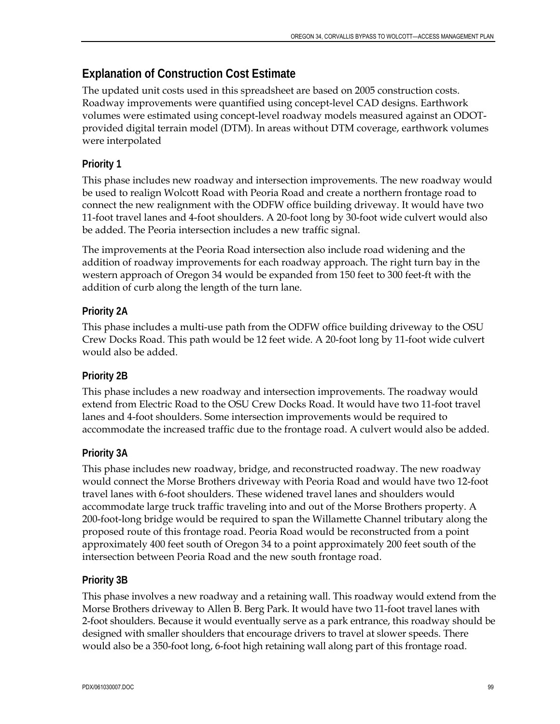## **Explanation of Construction Cost Estimate**

The updated unit costs used in this spreadsheet are based on 2005 construction costs. Roadway improvements were quantified using concept-level CAD designs. Earthwork volumes were estimated using concept-level roadway models measured against an ODOTprovided digital terrain model (DTM). In areas without DTM coverage, earthwork volumes were interpolated

#### **Priority 1**

This phase includes new roadway and intersection improvements. The new roadway would be used to realign Wolcott Road with Peoria Road and create a northern frontage road to connect the new realignment with the ODFW office building driveway. It would have two 11-foot travel lanes and 4-foot shoulders. A 20-foot long by 30-foot wide culvert would also be added. The Peoria intersection includes a new traffic signal.

The improvements at the Peoria Road intersection also include road widening and the addition of roadway improvements for each roadway approach. The right turn bay in the western approach of Oregon 34 would be expanded from 150 feet to 300 feet-ft with the addition of curb along the length of the turn lane.

### **Priority 2A**

This phase includes a multi-use path from the ODFW office building driveway to the OSU Crew Docks Road. This path would be 12 feet wide. A 20-foot long by 11-foot wide culvert would also be added.

### **Priority 2B**

This phase includes a new roadway and intersection improvements. The roadway would extend from Electric Road to the OSU Crew Docks Road. It would have two 11-foot travel lanes and 4-foot shoulders. Some intersection improvements would be required to accommodate the increased traffic due to the frontage road. A culvert would also be added.

### **Priority 3A**

This phase includes new roadway, bridge, and reconstructed roadway. The new roadway would connect the Morse Brothers driveway with Peoria Road and would have two 12-foot travel lanes with 6-foot shoulders. These widened travel lanes and shoulders would accommodate large truck traffic traveling into and out of the Morse Brothers property. A 200-foot-long bridge would be required to span the Willamette Channel tributary along the proposed route of this frontage road. Peoria Road would be reconstructed from a point approximately 400 feet south of Oregon 34 to a point approximately 200 feet south of the intersection between Peoria Road and the new south frontage road.

### **Priority 3B**

This phase involves a new roadway and a retaining wall. This roadway would extend from the Morse Brothers driveway to Allen B. Berg Park. It would have two 11-foot travel lanes with 2-foot shoulders. Because it would eventually serve as a park entrance, this roadway should be designed with smaller shoulders that encourage drivers to travel at slower speeds. There would also be a 350-foot long, 6-foot high retaining wall along part of this frontage road.